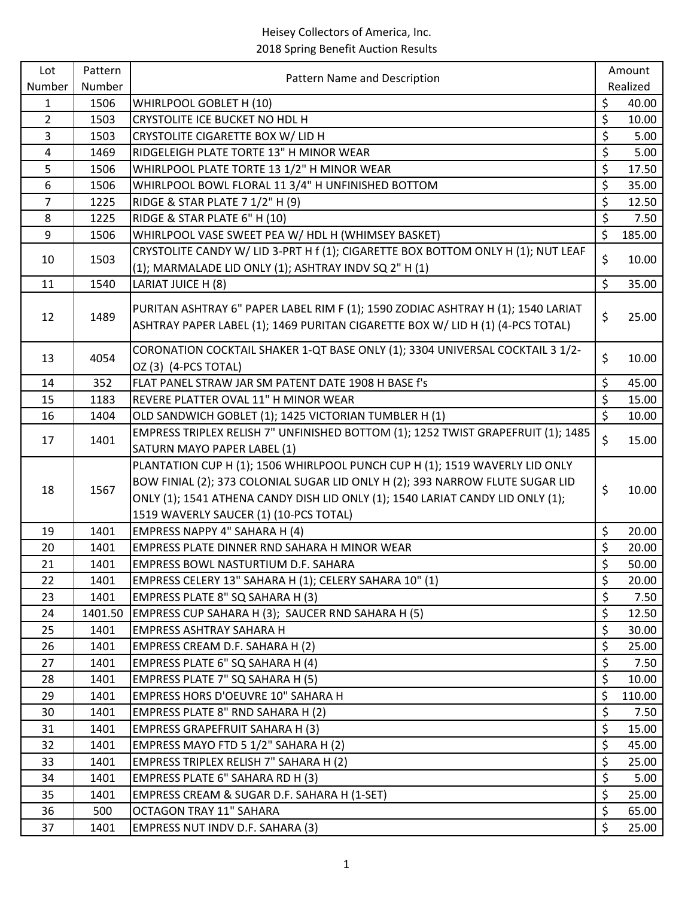| Lot            | Pattern | Pattern Name and Description                                                                                                                                                                                                                                                             |                          | Amount   |
|----------------|---------|------------------------------------------------------------------------------------------------------------------------------------------------------------------------------------------------------------------------------------------------------------------------------------------|--------------------------|----------|
| Number         | Number  |                                                                                                                                                                                                                                                                                          |                          | Realized |
| $\mathbf{1}$   | 1506    | WHIRLPOOL GOBLET H (10)                                                                                                                                                                                                                                                                  | \$                       | 40.00    |
| $\overline{2}$ | 1503    | CRYSTOLITE ICE BUCKET NO HDL H                                                                                                                                                                                                                                                           | \$                       | 10.00    |
| $\overline{3}$ | 1503    | CRYSTOLITE CIGARETTE BOX W/ LID H                                                                                                                                                                                                                                                        | \$                       | 5.00     |
| 4              | 1469    | RIDGELEIGH PLATE TORTE 13" H MINOR WEAR                                                                                                                                                                                                                                                  | \$                       | 5.00     |
| 5              | 1506    | WHIRLPOOL PLATE TORTE 13 1/2" H MINOR WEAR                                                                                                                                                                                                                                               | \$                       | 17.50    |
| 6              | 1506    | WHIRLPOOL BOWL FLORAL 11 3/4" H UNFINISHED BOTTOM                                                                                                                                                                                                                                        | \$                       | 35.00    |
| $\overline{7}$ | 1225    | RIDGE & STAR PLATE 7 1/2" H (9)                                                                                                                                                                                                                                                          | \$                       | 12.50    |
| 8              | 1225    | RIDGE & STAR PLATE 6" H (10)                                                                                                                                                                                                                                                             | \$                       | 7.50     |
| 9              | 1506    | WHIRLPOOL VASE SWEET PEA W/ HDL H (WHIMSEY BASKET)                                                                                                                                                                                                                                       | \$                       | 185.00   |
| 10             | 1503    | CRYSTOLITE CANDY W/ LID 3-PRT H f (1); CIGARETTE BOX BOTTOM ONLY H (1); NUT LEAF                                                                                                                                                                                                         | \$                       | 10.00    |
|                |         | (1); MARMALADE LID ONLY (1); ASHTRAY INDV SQ 2" H (1)                                                                                                                                                                                                                                    |                          |          |
| 11             | 1540    | LARIAT JUICE H (8)                                                                                                                                                                                                                                                                       | \$                       | 35.00    |
| 12             | 1489    | PURITAN ASHTRAY 6" PAPER LABEL RIM F (1); 1590 ZODIAC ASHTRAY H (1); 1540 LARIAT<br>ASHTRAY PAPER LABEL (1); 1469 PURITAN CIGARETTE BOX W/ LID H (1) (4-PCS TOTAL)                                                                                                                       | \$                       | 25.00    |
| 13             | 4054    | CORONATION COCKTAIL SHAKER 1-QT BASE ONLY (1); 3304 UNIVERSAL COCKTAIL 3 1/2-<br>OZ (3) (4-PCS TOTAL)                                                                                                                                                                                    | \$                       | 10.00    |
| 14             | 352     | FLAT PANEL STRAW JAR SM PATENT DATE 1908 H BASE f's                                                                                                                                                                                                                                      | \$                       | 45.00    |
| 15             | 1183    | REVERE PLATTER OVAL 11" H MINOR WEAR                                                                                                                                                                                                                                                     | \$                       | 15.00    |
| 16             | 1404    | OLD SANDWICH GOBLET (1); 1425 VICTORIAN TUMBLER H (1)                                                                                                                                                                                                                                    | $\overline{\mathcal{S}}$ | 10.00    |
| 17             | 1401    | EMPRESS TRIPLEX RELISH 7" UNFINISHED BOTTOM (1); 1252 TWIST GRAPEFRUIT (1); 1485<br>SATURN MAYO PAPER LABEL (1)                                                                                                                                                                          | \$                       | 15.00    |
| 18             | 1567    | PLANTATION CUP H (1); 1506 WHIRLPOOL PUNCH CUP H (1); 1519 WAVERLY LID ONLY<br>BOW FINIAL (2); 373 COLONIAL SUGAR LID ONLY H (2); 393 NARROW FLUTE SUGAR LID<br>ONLY (1); 1541 ATHENA CANDY DISH LID ONLY (1); 1540 LARIAT CANDY LID ONLY (1);<br>1519 WAVERLY SAUCER (1) (10-PCS TOTAL) | \$                       | 10.00    |
| 19             | 1401    | EMPRESS NAPPY 4" SAHARA H (4)                                                                                                                                                                                                                                                            | \$                       | 20.00    |
| 20             | 1401    | EMPRESS PLATE DINNER RND SAHARA H MINOR WEAR                                                                                                                                                                                                                                             | \$                       | 20.00    |
| 21             | 1401    | EMPRESS BOWL NASTURTIUM D.F. SAHARA                                                                                                                                                                                                                                                      | \$                       | 50.00    |
| 22             | 1401    | EMPRESS CELERY 13" SAHARA H (1); CELERY SAHARA 10" (1)                                                                                                                                                                                                                                   | \$                       | 20.00    |
| 23             | 1401    | EMPRESS PLATE 8" SQ SAHARA H (3)                                                                                                                                                                                                                                                         | \$                       | 7.50     |
| 24             | 1401.50 | EMPRESS CUP SAHARA H (3); SAUCER RND SAHARA H (5)                                                                                                                                                                                                                                        | \$                       | 12.50    |
| 25             | 1401    | EMPRESS ASHTRAY SAHARA H                                                                                                                                                                                                                                                                 | \$                       | 30.00    |
| 26             | 1401    | EMPRESS CREAM D.F. SAHARA H (2)                                                                                                                                                                                                                                                          | \$                       | 25.00    |
| 27             | 1401    | EMPRESS PLATE 6" SQ SAHARA H (4)                                                                                                                                                                                                                                                         | \$                       | 7.50     |
| 28             | 1401    | EMPRESS PLATE 7" SQ SAHARA H (5)                                                                                                                                                                                                                                                         | \$                       | 10.00    |
| 29             | 1401    | EMPRESS HORS D'OEUVRE 10" SAHARA H                                                                                                                                                                                                                                                       | \$                       | 110.00   |
| 30             | 1401    | EMPRESS PLATE 8" RND SAHARA H (2)                                                                                                                                                                                                                                                        | \$                       | 7.50     |
| 31             | 1401    | <b>EMPRESS GRAPEFRUIT SAHARA H (3)</b>                                                                                                                                                                                                                                                   | \$                       | 15.00    |
| 32             | 1401    | EMPRESS MAYO FTD 5 1/2" SAHARA H (2)                                                                                                                                                                                                                                                     | \$                       | 45.00    |
| 33             | 1401    | EMPRESS TRIPLEX RELISH 7" SAHARA H (2)                                                                                                                                                                                                                                                   | \$                       | 25.00    |
| 34             | 1401    | EMPRESS PLATE 6" SAHARA RD H (3)                                                                                                                                                                                                                                                         | \$                       | 5.00     |
| 35             | 1401    | EMPRESS CREAM & SUGAR D.F. SAHARA H (1-SET)                                                                                                                                                                                                                                              | \$                       | 25.00    |
| 36             | 500     | OCTAGON TRAY 11" SAHARA                                                                                                                                                                                                                                                                  | \$                       | 65.00    |
| 37             | 1401    | EMPRESS NUT INDV D.F. SAHARA (3)                                                                                                                                                                                                                                                         | \$                       | 25.00    |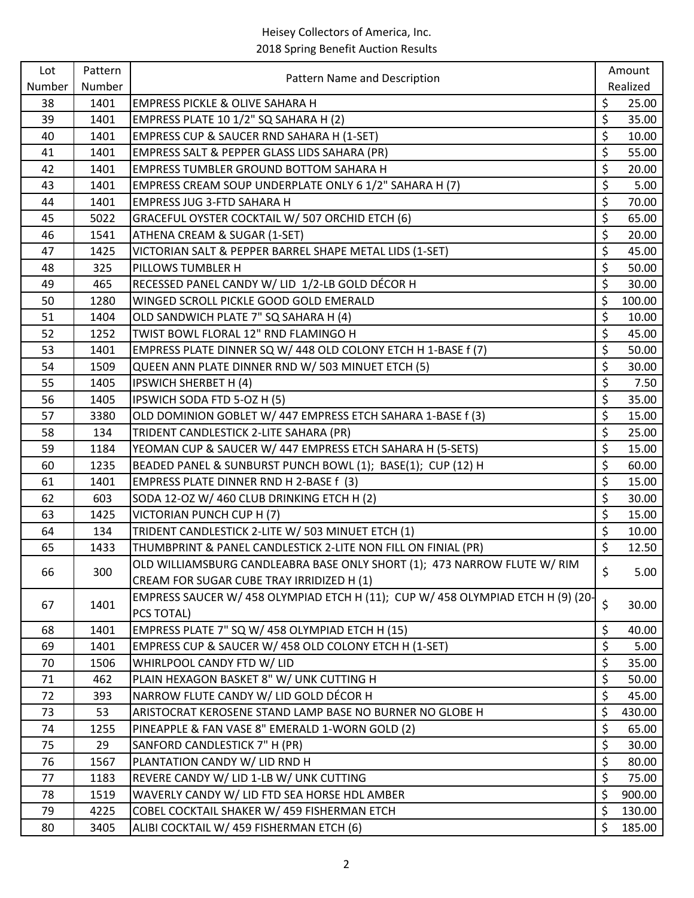| Lot    | Pattern | Pattern Name and Description                                                    | Amount       |
|--------|---------|---------------------------------------------------------------------------------|--------------|
| Number | Number  |                                                                                 | Realized     |
| 38     | 1401    | <b>EMPRESS PICKLE &amp; OLIVE SAHARA H</b>                                      | \$<br>25.00  |
| 39     | 1401    | EMPRESS PLATE 10 1/2" SQ SAHARA H (2)                                           | \$<br>35.00  |
| 40     | 1401    | <b>EMPRESS CUP &amp; SAUCER RND SAHARA H (1-SET)</b>                            | \$<br>10.00  |
| 41     | 1401    | EMPRESS SALT & PEPPER GLASS LIDS SAHARA (PR)                                    | \$<br>55.00  |
| 42     | 1401    | EMPRESS TUMBLER GROUND BOTTOM SAHARA H                                          | \$<br>20.00  |
| 43     | 1401    | EMPRESS CREAM SOUP UNDERPLATE ONLY 6 1/2" SAHARA H (7)                          | \$<br>5.00   |
| 44     | 1401    | <b>EMPRESS JUG 3-FTD SAHARA H</b>                                               | \$<br>70.00  |
| 45     | 5022    | GRACEFUL OYSTER COCKTAIL W/ 507 ORCHID ETCH (6)                                 | \$<br>65.00  |
| 46     | 1541    | ATHENA CREAM & SUGAR (1-SET)                                                    | \$<br>20.00  |
| 47     | 1425    | VICTORIAN SALT & PEPPER BARREL SHAPE METAL LIDS (1-SET)                         | \$<br>45.00  |
| 48     | 325     | PILLOWS TUMBLER H                                                               | \$<br>50.00  |
| 49     | 465     | RECESSED PANEL CANDY W/ LID 1/2-LB GOLD DÉCOR H                                 | \$<br>30.00  |
| 50     | 1280    | WINGED SCROLL PICKLE GOOD GOLD EMERALD                                          | \$<br>100.00 |
| 51     | 1404    | OLD SANDWICH PLATE 7" SQ SAHARA H (4)                                           | \$<br>10.00  |
| 52     | 1252    | TWIST BOWL FLORAL 12" RND FLAMINGO H                                            | \$<br>45.00  |
| 53     | 1401    | EMPRESS PLATE DINNER SQ W/ 448 OLD COLONY ETCH H 1-BASE f (7)                   | \$<br>50.00  |
| 54     | 1509    | QUEEN ANN PLATE DINNER RND W/ 503 MINUET ETCH (5)                               | \$<br>30.00  |
| 55     | 1405    | <b>IPSWICH SHERBET H (4)</b>                                                    | \$<br>7.50   |
| 56     | 1405    | IPSWICH SODA FTD 5-OZ H (5)                                                     | \$<br>35.00  |
| 57     | 3380    | OLD DOMINION GOBLET W/ 447 EMPRESS ETCH SAHARA 1-BASE f (3)                     | \$<br>15.00  |
| 58     | 134     | TRIDENT CANDLESTICK 2-LITE SAHARA (PR)                                          | \$<br>25.00  |
| 59     | 1184    | YEOMAN CUP & SAUCER W/ 447 EMPRESS ETCH SAHARA H (5-SETS)                       | \$<br>15.00  |
| 60     | 1235    | BEADED PANEL & SUNBURST PUNCH BOWL (1); BASE(1); CUP (12) H                     | \$<br>60.00  |
| 61     | 1401    | EMPRESS PLATE DINNER RND H 2-BASE f (3)                                         | \$<br>15.00  |
| 62     | 603     | SODA 12-OZ W/ 460 CLUB DRINKING ETCH H (2)                                      | \$<br>30.00  |
| 63     | 1425    | VICTORIAN PUNCH CUP H (7)                                                       | \$<br>15.00  |
| 64     | 134     | TRIDENT CANDLESTICK 2-LITE W/ 503 MINUET ETCH (1)                               | \$<br>10.00  |
| 65     | 1433    | THUMBPRINT & PANEL CANDLESTICK 2-LITE NON FILL ON FINIAL (PR)                   | \$<br>12.50  |
|        |         | OLD WILLIAMSBURG CANDLEABRA BASE ONLY SHORT (1); 473 NARROW FLUTE W/ RIM        |              |
| 66     | 300     | CREAM FOR SUGAR CUBE TRAY IRRIDIZED H (1)                                       | \$<br>5.00   |
|        |         | EMPRESS SAUCER W/ 458 OLYMPIAD ETCH H (11); CUP W/ 458 OLYMPIAD ETCH H (9) (20- |              |
| 67     | 1401    | PCS TOTAL)                                                                      | \$<br>30.00  |
| 68     | 1401    | EMPRESS PLATE 7" SQ W/ 458 OLYMPIAD ETCH H (15)                                 | \$<br>40.00  |
| 69     | 1401    | EMPRESS CUP & SAUCER W/ 458 OLD COLONY ETCH H (1-SET)                           | \$<br>5.00   |
| 70     | 1506    | WHIRLPOOL CANDY FTD W/ LID                                                      | \$<br>35.00  |
| 71     | 462     | PLAIN HEXAGON BASKET 8" W/ UNK CUTTING H                                        | \$<br>50.00  |
| 72     | 393     | NARROW FLUTE CANDY W/ LID GOLD DÉCOR H                                          | \$<br>45.00  |
| 73     | 53      | ARISTOCRAT KEROSENE STAND LAMP BASE NO BURNER NO GLOBE H                        | \$<br>430.00 |
| 74     | 1255    | PINEAPPLE & FAN VASE 8" EMERALD 1-WORN GOLD (2)                                 | \$<br>65.00  |
| 75     | 29      | SANFORD CANDLESTICK 7" H (PR)                                                   | \$<br>30.00  |
| 76     | 1567    | PLANTATION CANDY W/ LID RND H                                                   | \$<br>80.00  |
| 77     | 1183    | REVERE CANDY W/ LID 1-LB W/ UNK CUTTING                                         | \$<br>75.00  |
| 78     | 1519    | WAVERLY CANDY W/ LID FTD SEA HORSE HDL AMBER                                    | \$<br>900.00 |
| 79     | 4225    | COBEL COCKTAIL SHAKER W/ 459 FISHERMAN ETCH                                     | \$<br>130.00 |
| 80     | 3405    | ALIBI COCKTAIL W/ 459 FISHERMAN ETCH (6)                                        | \$<br>185.00 |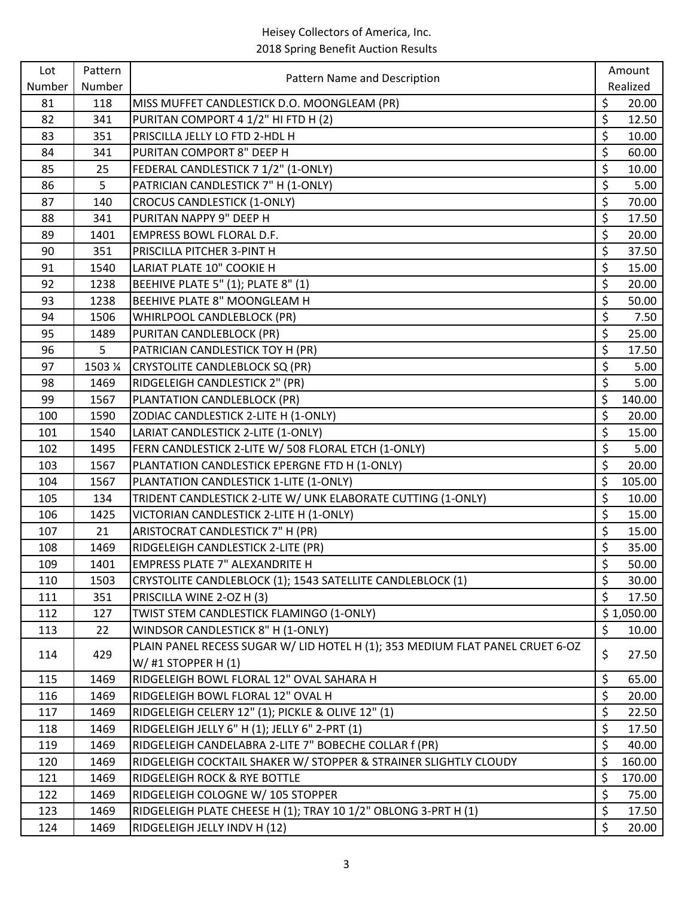| Lot    | Pattern | Pattern Name and Description                                                  |                          | Amount     |
|--------|---------|-------------------------------------------------------------------------------|--------------------------|------------|
| Number | Number  |                                                                               |                          | Realized   |
| 81     | 118     | MISS MUFFET CANDLESTICK D.O. MOONGLEAM (PR)                                   | \$                       | 20.00      |
| 82     | 341     | PURITAN COMPORT 4 1/2" HI FTD H (2)                                           | \$                       | 12.50      |
| 83     | 351     | PRISCILLA JELLY LO FTD 2-HDL H                                                | $\overline{\xi}$         | 10.00      |
| 84     | 341     | PURITAN COMPORT 8" DEEP H                                                     | \$                       | 60.00      |
| 85     | 25      | FEDERAL CANDLESTICK 7 1/2" (1-ONLY)                                           | \$                       | 10.00      |
| 86     | 5       | PATRICIAN CANDLESTICK 7" H (1-ONLY)                                           | \$                       | 5.00       |
| 87     | 140     | <b>CROCUS CANDLESTICK (1-ONLY)</b>                                            | \$                       | 70.00      |
| 88     | 341     | PURITAN NAPPY 9" DEEP H                                                       | \$                       | 17.50      |
| 89     | 1401    | EMPRESS BOWL FLORAL D.F.                                                      | \$                       | 20.00      |
| 90     | 351     | PRISCILLA PITCHER 3-PINT H                                                    | \$                       | 37.50      |
| 91     | 1540    | LARIAT PLATE 10" COOKIE H                                                     | \$                       | 15.00      |
| 92     | 1238    | BEEHIVE PLATE 5" (1); PLATE 8" (1)                                            | \$                       | 20.00      |
| 93     | 1238    | BEEHIVE PLATE 8" MOONGLEAM H                                                  | \$                       | 50.00      |
| 94     | 1506    | WHIRLPOOL CANDLEBLOCK (PR)                                                    | \$                       | 7.50       |
| 95     | 1489    | PURITAN CANDLEBLOCK (PR)                                                      | \$                       | 25.00      |
| 96     | 5       | PATRICIAN CANDLESTICK TOY H (PR)                                              | \$                       | 17.50      |
| 97     | 1503 %  | <b>CRYSTOLITE CANDLEBLOCK SQ (PR)</b>                                         | \$                       | 5.00       |
| 98     | 1469    | RIDGELEIGH CANDLESTICK 2" (PR)                                                | \$                       | 5.00       |
| 99     | 1567    | PLANTATION CANDLEBLOCK (PR)                                                   | \$                       | 140.00     |
| 100    | 1590    | ZODIAC CANDLESTICK 2-LITE H (1-ONLY)                                          | \$                       | 20.00      |
| 101    | 1540    | LARIAT CANDLESTICK 2-LITE (1-ONLY)                                            | \$                       | 15.00      |
| 102    | 1495    | FERN CANDLESTICK 2-LITE W/ 508 FLORAL ETCH (1-ONLY)                           | \$                       | 5.00       |
| 103    | 1567    | PLANTATION CANDLESTICK EPERGNE FTD H (1-ONLY)                                 | \$                       | 20.00      |
| 104    | 1567    | PLANTATION CANDLESTICK 1-LITE (1-ONLY)                                        | \$                       | 105.00     |
| 105    | 134     | TRIDENT CANDLESTICK 2-LITE W/ UNK ELABORATE CUTTING (1-ONLY)                  | \$                       | 10.00      |
| 106    | 1425    | VICTORIAN CANDLESTICK 2-LITE H (1-ONLY)                                       | \$                       | 15.00      |
| 107    | 21      | ARISTOCRAT CANDLESTICK 7" H (PR)                                              | \$                       | 15.00      |
| 108    | 1469    | RIDGELEIGH CANDLESTICK 2-LITE (PR)                                            | \$                       | 35.00      |
| 109    | 1401    | EMPRESS PLATE 7" ALEXANDRITE H                                                | \$                       | 50.00      |
| 110    | 1503    | CRYSTOLITE CANDLEBLOCK (1); 1543 SATELLITE CANDLEBLOCK (1)                    | \$                       | 30.00      |
| 111    | 351     | PRISCILLA WINE 2-OZ H (3)                                                     | \$                       | 17.50      |
| 112    | 127     | TWIST STEM CANDLESTICK FLAMINGO (1-ONLY)                                      |                          | \$1,050.00 |
| 113    | 22      | WINDSOR CANDLESTICK 8" H (1-ONLY)                                             | \$                       | 10.00      |
| 114    | 429     | PLAIN PANEL RECESS SUGAR W/ LID HOTEL H (1); 353 MEDIUM FLAT PANEL CRUET 6-OZ | \$                       | 27.50      |
|        |         | W/ #1 STOPPER $H(1)$                                                          |                          |            |
| 115    | 1469    | RIDGELEIGH BOWL FLORAL 12" OVAL SAHARA H                                      | \$                       | 65.00      |
| 116    | 1469    | RIDGELEIGH BOWL FLORAL 12" OVAL H                                             | \$                       | 20.00      |
| 117    | 1469    | RIDGELEIGH CELERY 12" (1); PICKLE & OLIVE 12" (1)                             | \$                       | 22.50      |
| 118    | 1469    | RIDGELEIGH JELLY 6" H (1); JELLY 6" 2-PRT (1)                                 | $\overline{\xi}$         | 17.50      |
| 119    | 1469    | RIDGELEIGH CANDELABRA 2-LITE 7" BOBECHE COLLAR f (PR)                         | \$                       | 40.00      |
| 120    | 1469    | RIDGELEIGH COCKTAIL SHAKER W/ STOPPER & STRAINER SLIGHTLY CLOUDY              | \$                       | 160.00     |
| 121    | 1469    | RIDGELEIGH ROCK & RYE BOTTLE                                                  | \$                       | 170.00     |
| 122    | 1469    | RIDGELEIGH COLOGNE W/ 105 STOPPER                                             | \$                       | 75.00      |
| 123    | 1469    | RIDGELEIGH PLATE CHEESE H (1); TRAY 10 1/2" OBLONG 3-PRT H (1)                | $\overline{\mathcal{S}}$ | 17.50      |
| 124    | 1469    | RIDGELEIGH JELLY INDV H (12)                                                  | \$                       | 20.00      |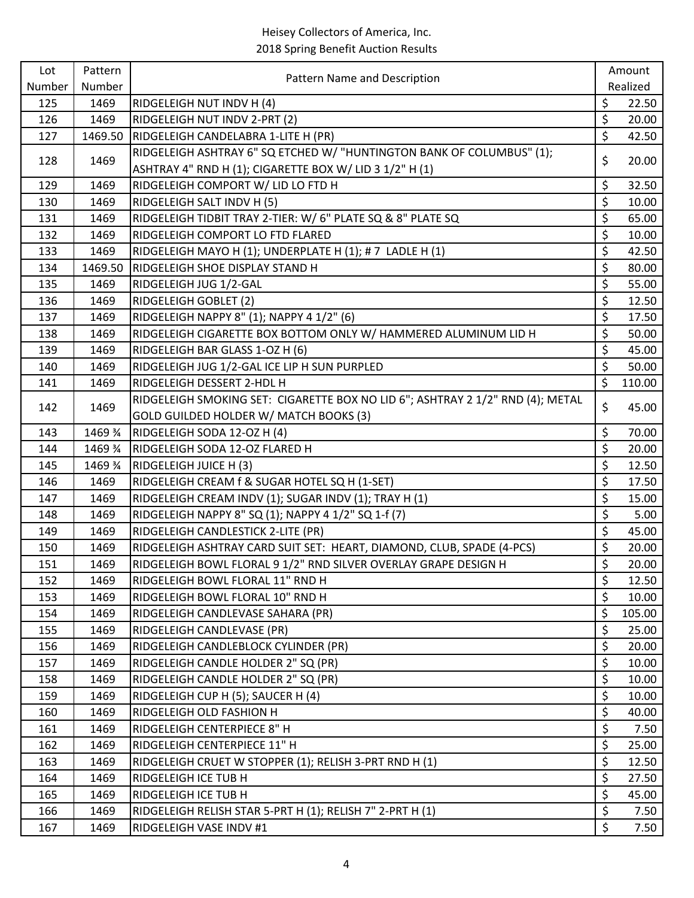| Lot    | Pattern | Pattern Name and Description                                                   |                  | Amount   |
|--------|---------|--------------------------------------------------------------------------------|------------------|----------|
| Number | Number  |                                                                                |                  | Realized |
| 125    | 1469    | RIDGELEIGH NUT INDV H (4)                                                      | \$               | 22.50    |
| 126    | 1469    | RIDGELEIGH NUT INDV 2-PRT (2)                                                  | \$               | 20.00    |
| 127    | 1469.50 | RIDGELEIGH CANDELABRA 1-LITE H (PR)                                            | \$               | 42.50    |
| 128    | 1469    | RIDGELEIGH ASHTRAY 6" SQ ETCHED W/ "HUNTINGTON BANK OF COLUMBUS" (1);          | \$               | 20.00    |
|        |         | ASHTRAY 4" RND H (1); CIGARETTE BOX W/ LID 3 1/2" H (1)                        |                  |          |
| 129    | 1469    | RIDGELEIGH COMPORT W/ LID LO FTD H                                             | \$               | 32.50    |
| 130    | 1469    | RIDGELEIGH SALT INDV H (5)                                                     | \$               | 10.00    |
| 131    | 1469    | RIDGELEIGH TIDBIT TRAY 2-TIER: W/ 6" PLATE SQ & 8" PLATE SQ                    | \$               | 65.00    |
| 132    | 1469    | RIDGELEIGH COMPORT LO FTD FLARED                                               | \$               | 10.00    |
| 133    | 1469    | RIDGELEIGH MAYO H (1); UNDERPLATE H (1); # 7 LADLE H (1)                       | \$               | 42.50    |
| 134    | 1469.50 | RIDGELEIGH SHOE DISPLAY STAND H                                                | \$               | 80.00    |
| 135    | 1469    | RIDGELEIGH JUG 1/2-GAL                                                         | \$               | 55.00    |
| 136    | 1469    | <b>RIDGELEIGH GOBLET (2)</b>                                                   | \$               | 12.50    |
| 137    | 1469    | RIDGELEIGH NAPPY 8" (1); NAPPY 4 1/2" (6)                                      | \$               | 17.50    |
| 138    | 1469    | RIDGELEIGH CIGARETTE BOX BOTTOM ONLY W/ HAMMERED ALUMINUM LID H                | \$               | 50.00    |
| 139    | 1469    | RIDGELEIGH BAR GLASS 1-OZ H (6)                                                | \$               | 45.00    |
| 140    | 1469    | RIDGELEIGH JUG 1/2-GAL ICE LIP H SUN PURPLED                                   | \$               | 50.00    |
| 141    | 1469    | RIDGELEIGH DESSERT 2-HDL H                                                     | \$               | 110.00   |
| 142    | 1469    | RIDGELEIGH SMOKING SET: CIGARETTE BOX NO LID 6"; ASHTRAY 2 1/2" RND (4); METAL | \$               | 45.00    |
|        |         | GOLD GUILDED HOLDER W/ MATCH BOOKS (3)                                         |                  |          |
| 143    | 1469 %  | RIDGELEIGH SODA 12-OZ H (4)                                                    | \$               | 70.00    |
| 144    | 1469 %  | RIDGELEIGH SODA 12-OZ FLARED H                                                 | \$               | 20.00    |
| 145    | 1469 %  | RIDGELEIGH JUICE H (3)                                                         | \$               | 12.50    |
| 146    | 1469    | RIDGELEIGH CREAM f & SUGAR HOTEL SQ H (1-SET)                                  | \$               | 17.50    |
| 147    | 1469    | RIDGELEIGH CREAM INDV (1); SUGAR INDV (1); TRAY H (1)                          | \$               | 15.00    |
| 148    | 1469    | RIDGELEIGH NAPPY 8" SQ (1); NAPPY 4 1/2" SQ 1-f (7)                            | \$               | 5.00     |
| 149    | 1469    | RIDGELEIGH CANDLESTICK 2-LITE (PR)                                             | \$               | 45.00    |
| 150    | 1469    | RIDGELEIGH ASHTRAY CARD SUIT SET: HEART, DIAMOND, CLUB, SPADE (4-PCS)          | \$               | 20.00    |
| 151    | 1469    | RIDGELEIGH BOWL FLORAL 9 1/2" RND SILVER OVERLAY GRAPE DESIGN H                | \$               | 20.00    |
| 152    | 1469    | RIDGELEIGH BOWL FLORAL 11" RND H                                               | \$               | 12.50    |
| 153    | 1469    | RIDGELEIGH BOWL FLORAL 10" RND H                                               | \$               | 10.00    |
| 154    | 1469    | RIDGELEIGH CANDLEVASE SAHARA (PR)                                              | \$               | 105.00   |
| 155    | 1469    | RIDGELEIGH CANDLEVASE (PR)                                                     | \$               | 25.00    |
| 156    | 1469    | RIDGELEIGH CANDLEBLOCK CYLINDER (PR)                                           | \$               | 20.00    |
| 157    | 1469    | RIDGELEIGH CANDLE HOLDER 2" SQ (PR)                                            | \$               | 10.00    |
| 158    | 1469    | RIDGELEIGH CANDLE HOLDER 2" SQ (PR)                                            | \$               | 10.00    |
| 159    | 1469    | RIDGELEIGH CUP H (5); SAUCER H (4)                                             | \$               | 10.00    |
| 160    | 1469    | RIDGELEIGH OLD FASHION H                                                       | \$               | 40.00    |
| 161    | 1469    | RIDGELEIGH CENTERPIECE 8" H                                                    | \$               | 7.50     |
| 162    | 1469    | RIDGELEIGH CENTERPIECE 11" H                                                   | \$               | 25.00    |
| 163    | 1469    | RIDGELEIGH CRUET W STOPPER (1); RELISH 3-PRT RND H (1)                         | \$               | 12.50    |
| 164    | 1469    | RIDGELEIGH ICE TUB H                                                           | \$               | 27.50    |
| 165    | 1469    | RIDGELEIGH ICE TUB H                                                           | \$               | 45.00    |
| 166    | 1469    | RIDGELEIGH RELISH STAR 5-PRT H (1); RELISH 7" 2-PRT H (1)                      | $\overline{\xi}$ | 7.50     |
| 167    | 1469    | RIDGELEIGH VASE INDV #1                                                        | \$               | 7.50     |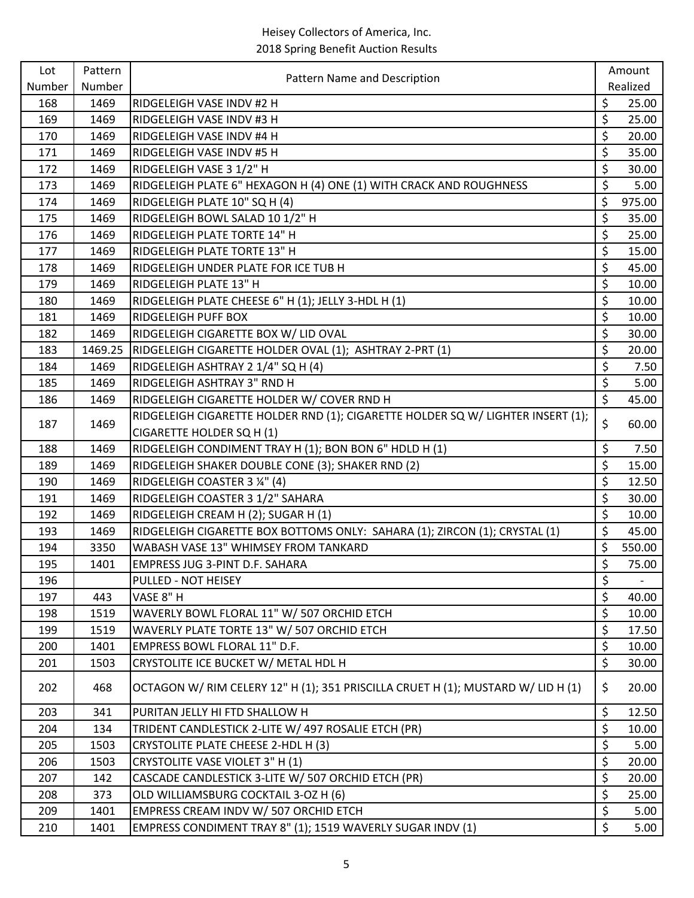| Lot    | Pattern |                                                                                  |                                 | Amount                   |
|--------|---------|----------------------------------------------------------------------------------|---------------------------------|--------------------------|
| Number | Number  | Pattern Name and Description                                                     |                                 | Realized                 |
| 168    | 1469    | RIDGELEIGH VASE INDV #2 H                                                        | \$                              | 25.00                    |
| 169    | 1469    | RIDGELEIGH VASE INDV #3 H                                                        | \$                              | 25.00                    |
| 170    | 1469    | RIDGELEIGH VASE INDV #4 H                                                        | \$                              | 20.00                    |
| 171    | 1469    | RIDGELEIGH VASE INDV #5 H                                                        | \$                              | 35.00                    |
| 172    | 1469    | RIDGELEIGH VASE 3 1/2" H                                                         | \$                              | 30.00                    |
| 173    | 1469    | RIDGELEIGH PLATE 6" HEXAGON H (4) ONE (1) WITH CRACK AND ROUGHNESS               | \$                              | 5.00                     |
| 174    | 1469    | RIDGELEIGH PLATE 10" SQ H (4)                                                    | \$                              | 975.00                   |
| 175    | 1469    | RIDGELEIGH BOWL SALAD 10 1/2" H                                                  | \$                              | 35.00                    |
| 176    | 1469    | RIDGELEIGH PLATE TORTE 14" H                                                     | \$                              | 25.00                    |
| 177    | 1469    | RIDGELEIGH PLATE TORTE 13" H                                                     | \$                              | 15.00                    |
| 178    | 1469    | RIDGELEIGH UNDER PLATE FOR ICE TUB H                                             | \$                              | 45.00                    |
| 179    | 1469    | RIDGELEIGH PLATE 13" H                                                           | \$                              | 10.00                    |
| 180    | 1469    | RIDGELEIGH PLATE CHEESE 6" H (1); JELLY 3-HDL H (1)                              | $\zeta$                         | 10.00                    |
| 181    | 1469    | RIDGELEIGH PUFF BOX                                                              | \$                              | 10.00                    |
| 182    | 1469    | RIDGELEIGH CIGARETTE BOX W/ LID OVAL                                             | \$                              | 30.00                    |
| 183    | 1469.25 | RIDGELEIGH CIGARETTE HOLDER OVAL (1); ASHTRAY 2-PRT (1)                          | \$                              | 20.00                    |
| 184    | 1469    | RIDGELEIGH ASHTRAY 2 1/4" SQ H (4)                                               | \$                              | 7.50                     |
| 185    | 1469    | RIDGELEIGH ASHTRAY 3" RND H                                                      | \$                              | 5.00                     |
| 186    | 1469    | RIDGELEIGH CIGARETTE HOLDER W/ COVER RND H                                       | $\zeta$                         | 45.00                    |
| 187    | 1469    | RIDGELEIGH CIGARETTE HOLDER RND (1); CIGARETTE HOLDER SQ W/ LIGHTER INSERT (1);  | \$                              | 60.00                    |
|        |         | CIGARETTE HOLDER SQ H (1)                                                        |                                 |                          |
| 188    | 1469    | RIDGELEIGH CONDIMENT TRAY H (1); BON BON 6" HDLD H (1)                           | \$                              | 7.50                     |
| 189    | 1469    | RIDGELEIGH SHAKER DOUBLE CONE (3); SHAKER RND (2)                                | \$                              | 15.00                    |
| 190    | 1469    | RIDGELEIGH COASTER 3 1/4" (4)                                                    | \$                              | 12.50                    |
| 191    | 1469    | RIDGELEIGH COASTER 3 1/2" SAHARA                                                 | \$                              | 30.00                    |
| 192    | 1469    | RIDGELEIGH CREAM H (2); SUGAR H (1)                                              | \$                              | 10.00                    |
| 193    | 1469    | RIDGELEIGH CIGARETTE BOX BOTTOMS ONLY: SAHARA (1); ZIRCON (1); CRYSTAL (1)       | \$                              | 45.00                    |
| 194    | 3350    | WABASH VASE 13" WHIMSEY FROM TANKARD                                             | \$                              | 550.00                   |
| 195    | 1401    | EMPRESS JUG 3-PINT D.F. SAHARA                                                   | \$                              | 75.00                    |
| 196    |         | PULLED - NOT HEISEY                                                              | \$                              | $\overline{\phantom{a}}$ |
| 197    | 443     | VASE 8" H                                                                        | \$                              | 40.00                    |
| 198    | 1519    | WAVERLY BOWL FLORAL 11" W/ 507 ORCHID ETCH                                       | $\zeta$                         | 10.00                    |
| 199    | 1519    | WAVERLY PLATE TORTE 13" W/ 507 ORCHID ETCH                                       | \$                              | 17.50                    |
| 200    | 1401    | EMPRESS BOWL FLORAL 11" D.F.                                                     | \$                              | 10.00                    |
| 201    | 1503    | CRYSTOLITE ICE BUCKET W/ METAL HDL H                                             | \$                              | 30.00                    |
| 202    | 468     | OCTAGON W/ RIM CELERY 12" H (1); 351 PRISCILLA CRUET H (1); MUSTARD W/ LID H (1) | \$                              | 20.00                    |
| 203    | 341     | PURITAN JELLY HI FTD SHALLOW H                                                   | \$                              | 12.50                    |
| 204    | 134     | TRIDENT CANDLESTICK 2-LITE W/ 497 ROSALIE ETCH (PR)                              | \$                              | 10.00                    |
| 205    | 1503    | CRYSTOLITE PLATE CHEESE 2-HDL H (3)                                              | \$                              | 5.00                     |
| 206    | 1503    | CRYSTOLITE VASE VIOLET 3" H (1)                                                  | \$                              | 20.00                    |
| 207    | 142     | CASCADE CANDLESTICK 3-LITE W/ 507 ORCHID ETCH (PR)                               | \$                              | 20.00                    |
| 208    | 373     | OLD WILLIAMSBURG COCKTAIL 3-OZ H (6)                                             | \$                              | 25.00                    |
| 209    | 1401    | EMPRESS CREAM INDV W/ 507 ORCHID ETCH                                            | $\overline{\boldsymbol{\zeta}}$ | 5.00                     |
| 210    | 1401    | EMPRESS CONDIMENT TRAY 8" (1); 1519 WAVERLY SUGAR INDV (1)                       | \$                              | 5.00                     |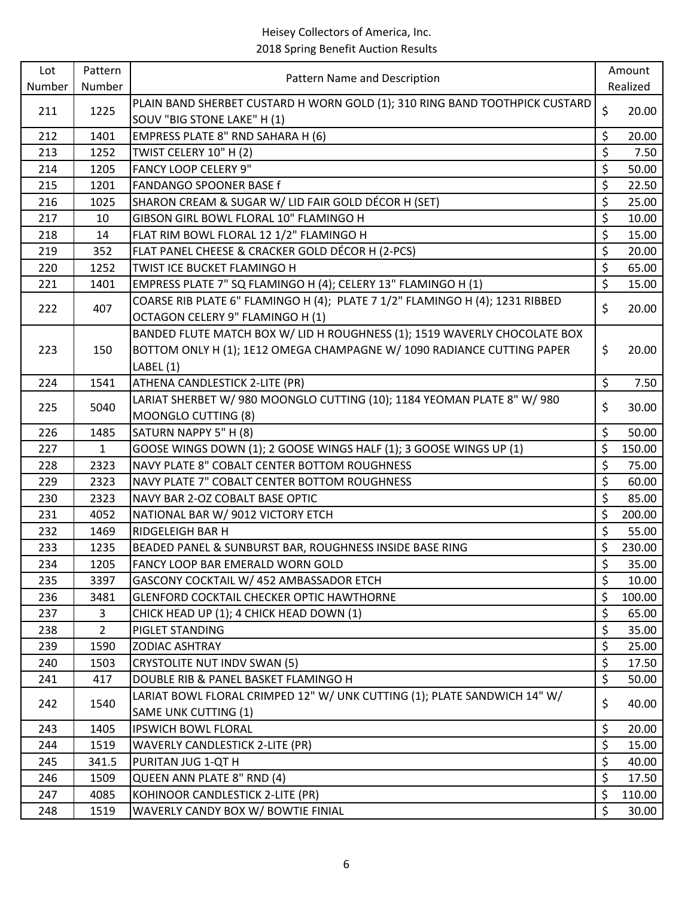| Pattern Name and Description<br>Number<br>Number<br>PLAIN BAND SHERBET CUSTARD H WORN GOLD (1); 310 RING BAND TOOTHPICK CUSTARD<br>\$<br>1225<br>211<br>SOUV "BIG STONE LAKE" H (1)<br>\$<br>212<br>EMPRESS PLATE 8" RND SAHARA H (6)<br>1401<br>\$<br>213<br>1252<br>TWIST CELERY 10" H (2)<br>\$<br><b>FANCY LOOP CELERY 9"</b><br>214<br>1205<br>\$<br>215<br>1201<br><b>FANDANGO SPOONER BASE f</b><br>\$<br>216<br>1025<br>SHARON CREAM & SUGAR W/ LID FAIR GOLD DÉCOR H (SET)<br>\$<br>217<br>GIBSON GIRL BOWL FLORAL 10" FLAMINGO H<br>10<br>\$<br>218<br>14<br>FLAT RIM BOWL FLORAL 12 1/2" FLAMINGO H<br>\$<br>FLAT PANEL CHEESE & CRACKER GOLD DÉCOR H (2-PCS)<br>219<br>352<br>\$<br>220<br>TWIST ICE BUCKET FLAMINGO H<br>1252<br>\$<br>EMPRESS PLATE 7" SQ FLAMINGO H (4); CELERY 13" FLAMINGO H (1)<br>221<br>1401<br>COARSE RIB PLATE 6" FLAMINGO H (4); PLATE 7 1/2" FLAMINGO H (4); 1231 RIBBED<br>\$<br>222<br>407<br>OCTAGON CELERY 9" FLAMINGO H (1) | Amount   |
|--------------------------------------------------------------------------------------------------------------------------------------------------------------------------------------------------------------------------------------------------------------------------------------------------------------------------------------------------------------------------------------------------------------------------------------------------------------------------------------------------------------------------------------------------------------------------------------------------------------------------------------------------------------------------------------------------------------------------------------------------------------------------------------------------------------------------------------------------------------------------------------------------------------------------------------------------------------------------|----------|
|                                                                                                                                                                                                                                                                                                                                                                                                                                                                                                                                                                                                                                                                                                                                                                                                                                                                                                                                                                          | Realized |
|                                                                                                                                                                                                                                                                                                                                                                                                                                                                                                                                                                                                                                                                                                                                                                                                                                                                                                                                                                          | 20.00    |
|                                                                                                                                                                                                                                                                                                                                                                                                                                                                                                                                                                                                                                                                                                                                                                                                                                                                                                                                                                          |          |
|                                                                                                                                                                                                                                                                                                                                                                                                                                                                                                                                                                                                                                                                                                                                                                                                                                                                                                                                                                          | 20.00    |
|                                                                                                                                                                                                                                                                                                                                                                                                                                                                                                                                                                                                                                                                                                                                                                                                                                                                                                                                                                          | 7.50     |
|                                                                                                                                                                                                                                                                                                                                                                                                                                                                                                                                                                                                                                                                                                                                                                                                                                                                                                                                                                          | 50.00    |
|                                                                                                                                                                                                                                                                                                                                                                                                                                                                                                                                                                                                                                                                                                                                                                                                                                                                                                                                                                          | 22.50    |
|                                                                                                                                                                                                                                                                                                                                                                                                                                                                                                                                                                                                                                                                                                                                                                                                                                                                                                                                                                          | 25.00    |
|                                                                                                                                                                                                                                                                                                                                                                                                                                                                                                                                                                                                                                                                                                                                                                                                                                                                                                                                                                          | 10.00    |
|                                                                                                                                                                                                                                                                                                                                                                                                                                                                                                                                                                                                                                                                                                                                                                                                                                                                                                                                                                          | 15.00    |
|                                                                                                                                                                                                                                                                                                                                                                                                                                                                                                                                                                                                                                                                                                                                                                                                                                                                                                                                                                          | 20.00    |
|                                                                                                                                                                                                                                                                                                                                                                                                                                                                                                                                                                                                                                                                                                                                                                                                                                                                                                                                                                          | 65.00    |
|                                                                                                                                                                                                                                                                                                                                                                                                                                                                                                                                                                                                                                                                                                                                                                                                                                                                                                                                                                          | 15.00    |
|                                                                                                                                                                                                                                                                                                                                                                                                                                                                                                                                                                                                                                                                                                                                                                                                                                                                                                                                                                          | 20.00    |
|                                                                                                                                                                                                                                                                                                                                                                                                                                                                                                                                                                                                                                                                                                                                                                                                                                                                                                                                                                          |          |
| BANDED FLUTE MATCH BOX W/ LID H ROUGHNESS (1); 1519 WAVERLY CHOCOLATE BOX                                                                                                                                                                                                                                                                                                                                                                                                                                                                                                                                                                                                                                                                                                                                                                                                                                                                                                |          |
| \$<br>BOTTOM ONLY H (1); 1E12 OMEGA CHAMPAGNE W/ 1090 RADIANCE CUTTING PAPER<br>150<br>223                                                                                                                                                                                                                                                                                                                                                                                                                                                                                                                                                                                                                                                                                                                                                                                                                                                                               | 20.00    |
| LABEL (1)                                                                                                                                                                                                                                                                                                                                                                                                                                                                                                                                                                                                                                                                                                                                                                                                                                                                                                                                                                |          |
| \$<br>ATHENA CANDLESTICK 2-LITE (PR)<br>224<br>1541                                                                                                                                                                                                                                                                                                                                                                                                                                                                                                                                                                                                                                                                                                                                                                                                                                                                                                                      | 7.50     |
| LARIAT SHERBET W/980 MOONGLO CUTTING (10); 1184 YEOMAN PLATE 8" W/980<br>\$                                                                                                                                                                                                                                                                                                                                                                                                                                                                                                                                                                                                                                                                                                                                                                                                                                                                                              |          |
| 225<br>5040<br><b>MOONGLO CUTTING (8)</b>                                                                                                                                                                                                                                                                                                                                                                                                                                                                                                                                                                                                                                                                                                                                                                                                                                                                                                                                | 30.00    |
| \$<br>SATURN NAPPY 5" H (8)<br>226<br>1485                                                                                                                                                                                                                                                                                                                                                                                                                                                                                                                                                                                                                                                                                                                                                                                                                                                                                                                               | 50.00    |
| \$<br>GOOSE WINGS DOWN (1); 2 GOOSE WINGS HALF (1); 3 GOOSE WINGS UP (1)<br>227<br>$\mathbf{1}$                                                                                                                                                                                                                                                                                                                                                                                                                                                                                                                                                                                                                                                                                                                                                                                                                                                                          | 150.00   |
| \$<br>NAVY PLATE 8" COBALT CENTER BOTTOM ROUGHNESS<br>228<br>2323                                                                                                                                                                                                                                                                                                                                                                                                                                                                                                                                                                                                                                                                                                                                                                                                                                                                                                        | 75.00    |
| \$<br>NAVY PLATE 7" COBALT CENTER BOTTOM ROUGHNESS<br>229<br>2323                                                                                                                                                                                                                                                                                                                                                                                                                                                                                                                                                                                                                                                                                                                                                                                                                                                                                                        | 60.00    |
| \$<br>230<br>2323<br>NAVY BAR 2-OZ COBALT BASE OPTIC                                                                                                                                                                                                                                                                                                                                                                                                                                                                                                                                                                                                                                                                                                                                                                                                                                                                                                                     | 85.00    |
| \$<br>231<br>4052<br>NATIONAL BAR W/ 9012 VICTORY ETCH                                                                                                                                                                                                                                                                                                                                                                                                                                                                                                                                                                                                                                                                                                                                                                                                                                                                                                                   | 200.00   |
| \$<br>232<br><b>RIDGELEIGH BAR H</b><br>1469                                                                                                                                                                                                                                                                                                                                                                                                                                                                                                                                                                                                                                                                                                                                                                                                                                                                                                                             | 55.00    |
| \$<br>233<br>BEADED PANEL & SUNBURST BAR, ROUGHNESS INSIDE BASE RING<br>1235                                                                                                                                                                                                                                                                                                                                                                                                                                                                                                                                                                                                                                                                                                                                                                                                                                                                                             | 230.00   |
| \$<br>234<br>1205<br>FANCY LOOP BAR EMERALD WORN GOLD                                                                                                                                                                                                                                                                                                                                                                                                                                                                                                                                                                                                                                                                                                                                                                                                                                                                                                                    | 35.00    |
| \$<br>235<br>3397<br>GASCONY COCKTAIL W/ 452 AMBASSADOR ETCH                                                                                                                                                                                                                                                                                                                                                                                                                                                                                                                                                                                                                                                                                                                                                                                                                                                                                                             | 10.00    |
| \$<br>3481<br>GLENFORD COCKTAIL CHECKER OPTIC HAWTHORNE<br>236                                                                                                                                                                                                                                                                                                                                                                                                                                                                                                                                                                                                                                                                                                                                                                                                                                                                                                           | 100.00   |
| \$<br>237<br>CHICK HEAD UP (1); 4 CHICK HEAD DOWN (1)<br>3                                                                                                                                                                                                                                                                                                                                                                                                                                                                                                                                                                                                                                                                                                                                                                                                                                                                                                               | 65.00    |
| \$<br>$\overline{2}$<br>238<br>PIGLET STANDING                                                                                                                                                                                                                                                                                                                                                                                                                                                                                                                                                                                                                                                                                                                                                                                                                                                                                                                           | 35.00    |
| \$<br>1590<br>239<br><b>ZODIAC ASHTRAY</b>                                                                                                                                                                                                                                                                                                                                                                                                                                                                                                                                                                                                                                                                                                                                                                                                                                                                                                                               | 25.00    |
| \$<br>240<br><b>CRYSTOLITE NUT INDV SWAN (5)</b><br>1503                                                                                                                                                                                                                                                                                                                                                                                                                                                                                                                                                                                                                                                                                                                                                                                                                                                                                                                 | 17.50    |
| \$<br>241<br>417<br>DOUBLE RIB & PANEL BASKET FLAMINGO H                                                                                                                                                                                                                                                                                                                                                                                                                                                                                                                                                                                                                                                                                                                                                                                                                                                                                                                 | 50.00    |
| LARIAT BOWL FLORAL CRIMPED 12" W/ UNK CUTTING (1); PLATE SANDWICH 14" W/                                                                                                                                                                                                                                                                                                                                                                                                                                                                                                                                                                                                                                                                                                                                                                                                                                                                                                 |          |
| \$<br>242<br>1540<br><b>SAME UNK CUTTING (1)</b>                                                                                                                                                                                                                                                                                                                                                                                                                                                                                                                                                                                                                                                                                                                                                                                                                                                                                                                         | 40.00    |
| \$<br>243<br>1405<br><b>IPSWICH BOWL FLORAL</b>                                                                                                                                                                                                                                                                                                                                                                                                                                                                                                                                                                                                                                                                                                                                                                                                                                                                                                                          | 20.00    |
| \$<br>244<br><b>WAVERLY CANDLESTICK 2-LITE (PR)</b><br>1519                                                                                                                                                                                                                                                                                                                                                                                                                                                                                                                                                                                                                                                                                                                                                                                                                                                                                                              | 15.00    |
| \$<br>245<br>341.5<br>PURITAN JUG 1-QT H                                                                                                                                                                                                                                                                                                                                                                                                                                                                                                                                                                                                                                                                                                                                                                                                                                                                                                                                 | 40.00    |
| \$<br>QUEEN ANN PLATE 8" RND (4)<br>246<br>1509                                                                                                                                                                                                                                                                                                                                                                                                                                                                                                                                                                                                                                                                                                                                                                                                                                                                                                                          | 17.50    |
| \$<br>KOHINOOR CANDLESTICK 2-LITE (PR)<br>247<br>4085                                                                                                                                                                                                                                                                                                                                                                                                                                                                                                                                                                                                                                                                                                                                                                                                                                                                                                                    | 110.00   |
| \$<br>WAVERLY CANDY BOX W/ BOWTIE FINIAL<br>248<br>1519                                                                                                                                                                                                                                                                                                                                                                                                                                                                                                                                                                                                                                                                                                                                                                                                                                                                                                                  | 30.00    |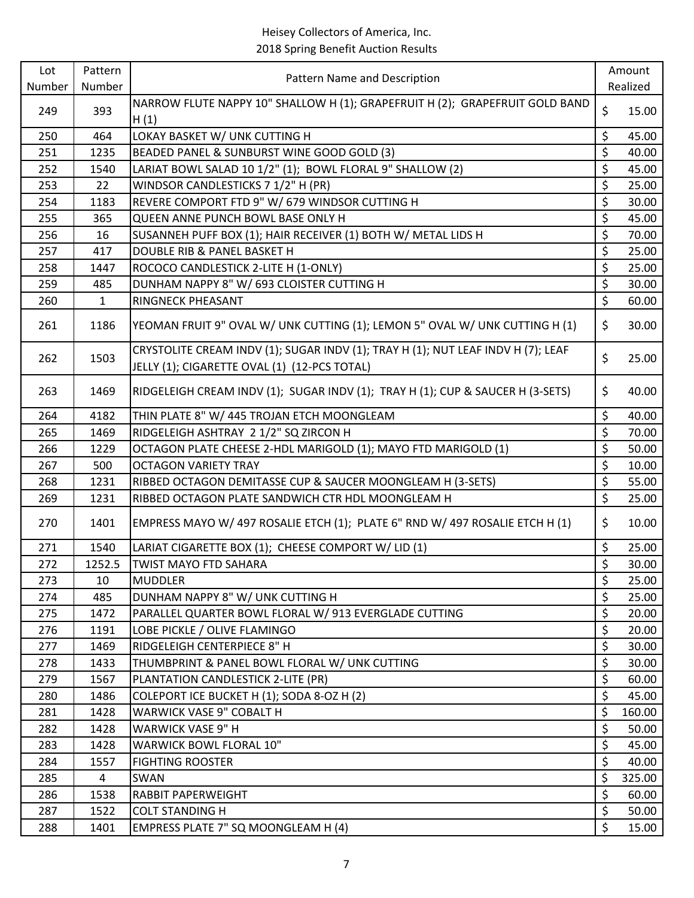| Lot    | Pattern      | Pattern Name and Description                                                     |                          | Amount   |
|--------|--------------|----------------------------------------------------------------------------------|--------------------------|----------|
| Number | Number       |                                                                                  |                          | Realized |
| 249    | 393          | NARROW FLUTE NAPPY 10" SHALLOW H (1); GRAPEFRUIT H (2); GRAPEFRUIT GOLD BAND     | \$                       | 15.00    |
|        |              | H(1)                                                                             |                          |          |
| 250    | 464          | LOKAY BASKET W/ UNK CUTTING H                                                    | \$                       | 45.00    |
| 251    | 1235         | BEADED PANEL & SUNBURST WINE GOOD GOLD (3)                                       | \$                       | 40.00    |
| 252    | 1540         | LARIAT BOWL SALAD 10 1/2" (1); BOWL FLORAL 9" SHALLOW (2)                        | \$                       | 45.00    |
| 253    | 22           | WINDSOR CANDLESTICKS 7 1/2" H (PR)                                               | \$                       | 25.00    |
| 254    | 1183         | REVERE COMPORT FTD 9" W/ 679 WINDSOR CUTTING H                                   | $\overline{\xi}$         | 30.00    |
| 255    | 365          | QUEEN ANNE PUNCH BOWL BASE ONLY H                                                | \$                       | 45.00    |
| 256    | 16           | SUSANNEH PUFF BOX (1); HAIR RECEIVER (1) BOTH W/ METAL LIDS H                    | \$                       | 70.00    |
| 257    | 417          | DOUBLE RIB & PANEL BASKET H                                                      | \$                       | 25.00    |
| 258    | 1447         | ROCOCO CANDLESTICK 2-LITE H (1-ONLY)                                             | \$                       | 25.00    |
| 259    | 485          | DUNHAM NAPPY 8" W/ 693 CLOISTER CUTTING H                                        | \$                       | 30.00    |
| 260    | $\mathbf{1}$ | RINGNECK PHEASANT                                                                | $\overline{\mathcal{L}}$ | 60.00    |
| 261    | 1186         | YEOMAN FRUIT 9" OVAL W/ UNK CUTTING (1); LEMON 5" OVAL W/ UNK CUTTING H (1)      | \$                       | 30.00    |
|        |              | CRYSTOLITE CREAM INDV (1); SUGAR INDV (1); TRAY H (1); NUT LEAF INDV H (7); LEAF | \$                       |          |
| 262    | 1503         | JELLY (1); CIGARETTE OVAL (1) (12-PCS TOTAL)                                     |                          | 25.00    |
| 263    | 1469         | RIDGELEIGH CREAM INDV (1); SUGAR INDV (1); TRAY H (1); CUP & SAUCER H (3-SETS)   | \$                       | 40.00    |
| 264    | 4182         | THIN PLATE 8" W/ 445 TROJAN ETCH MOONGLEAM                                       | \$                       | 40.00    |
| 265    | 1469         | RIDGELEIGH ASHTRAY 21/2" SQ ZIRCON H                                             | \$                       | 70.00    |
| 266    | 1229         | OCTAGON PLATE CHEESE 2-HDL MARIGOLD (1); MAYO FTD MARIGOLD (1)                   | \$                       | 50.00    |
| 267    | 500          | <b>OCTAGON VARIETY TRAY</b>                                                      | \$                       | 10.00    |
| 268    | 1231         | RIBBED OCTAGON DEMITASSE CUP & SAUCER MOONGLEAM H (3-SETS)                       | $\overline{\xi}$         | 55.00    |
| 269    | 1231         | RIBBED OCTAGON PLATE SANDWICH CTR HDL MOONGLEAM H                                | $\overline{\xi}$         | 25.00    |
| 270    | 1401         | EMPRESS MAYO W/ 497 ROSALIE ETCH (1); PLATE 6" RND W/ 497 ROSALIE ETCH H (1)     | \$                       | 10.00    |
| 271    | 1540         | LARIAT CIGARETTE BOX (1); CHEESE COMPORT W/ LID (1)                              | \$                       | 25.00    |
| 272    | 1252.5       | <b>TWIST MAYO FTD SAHARA</b>                                                     | $\overline{\mathsf{S}}$  | 30.00    |
| 273    | 10           | <b>MUDDLER</b>                                                                   | \$                       | 25.00    |
| 274    | 485          | DUNHAM NAPPY 8" W/ UNK CUTTING H                                                 | \$                       | 25.00    |
| 275    | 1472         | PARALLEL QUARTER BOWL FLORAL W/ 913 EVERGLADE CUTTING                            | \$                       | 20.00    |
| 276    | 1191         | LOBE PICKLE / OLIVE FLAMINGO                                                     | \$                       | 20.00    |
| 277    | 1469         | RIDGELEIGH CENTERPIECE 8" H                                                      | \$                       | 30.00    |
| 278    | 1433         | THUMBPRINT & PANEL BOWL FLORAL W/ UNK CUTTING                                    | \$                       | 30.00    |
| 279    | 1567         | PLANTATION CANDLESTICK 2-LITE (PR)                                               | \$                       | 60.00    |
| 280    | 1486         | COLEPORT ICE BUCKET H (1); SODA 8-OZ H (2)                                       | \$                       | 45.00    |
| 281    | 1428         | <b>WARWICK VASE 9" COBALT H</b>                                                  | \$                       | 160.00   |
| 282    | 1428         | <b>WARWICK VASE 9" H</b>                                                         | \$                       | 50.00    |
| 283    | 1428         | WARWICK BOWL FLORAL 10"                                                          | \$                       | 45.00    |
| 284    | 1557         | <b>FIGHTING ROOSTER</b>                                                          | \$                       | 40.00    |
| 285    | 4            | SWAN                                                                             | \$                       | 325.00   |
| 286    | 1538         | <b>RABBIT PAPERWEIGHT</b>                                                        | \$                       | 60.00    |
| 287    | 1522         | <b>COLT STANDING H</b>                                                           | \$                       | 50.00    |
| 288    | 1401         | EMPRESS PLATE 7" SQ MOONGLEAM H (4)                                              | \$                       | 15.00    |
|        |              |                                                                                  |                          |          |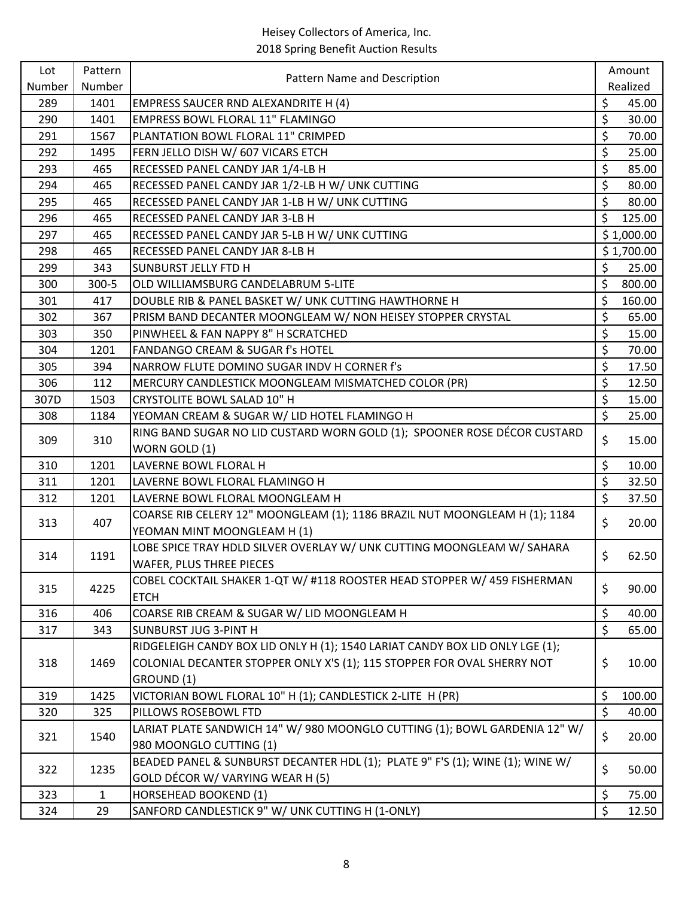| Number<br>Number<br>Realized<br>\$<br>289<br>1401<br><b>EMPRESS SAUCER RND ALEXANDRITE H (4)</b><br>45.00<br>\$<br><b>EMPRESS BOWL FLORAL 11" FLAMINGO</b><br>290<br>1401<br>30.00<br>\$<br>PLANTATION BOWL FLORAL 11" CRIMPED<br>291<br>1567<br>70.00<br>\$<br>292<br>FERN JELLO DISH W/ 607 VICARS ETCH<br>25.00<br>1495<br>\$<br>85.00<br>293<br>RECESSED PANEL CANDY JAR 1/4-LB H<br>465<br>\$<br>80.00<br>294<br>RECESSED PANEL CANDY JAR 1/2-LB H W/ UNK CUTTING<br>465<br>\$<br>295<br>80.00<br>465<br>RECESSED PANEL CANDY JAR 1-LB H W/ UNK CUTTING<br>\$<br>296<br>RECESSED PANEL CANDY JAR 3-LB H<br>125.00<br>465<br>297<br>RECESSED PANEL CANDY JAR 5-LB H W/ UNK CUTTING<br>\$1,000.00<br>465<br>\$1,700.00<br>298<br>RECESSED PANEL CANDY JAR 8-LB H<br>465<br>\$<br>299<br><b>SUNBURST JELLY FTD H</b><br>25.00<br>343<br>\$<br>800.00<br>300<br>$300 - 5$<br>OLD WILLIAMSBURG CANDELABRUM 5-LITE<br>\$<br>160.00<br>301<br>DOUBLE RIB & PANEL BASKET W/ UNK CUTTING HAWTHORNE H<br>417<br>\$<br>302<br>PRISM BAND DECANTER MOONGLEAM W/ NON HEISEY STOPPER CRYSTAL<br>65.00<br>367<br>\$<br>303<br>350<br>PINWHEEL & FAN NAPPY 8" H SCRATCHED<br>15.00<br>\$<br>304<br>FANDANGO CREAM & SUGAR f's HOTEL<br>70.00<br>1201<br>\$<br>17.50<br>305<br>394<br>NARROW FLUTE DOMINO SUGAR INDV H CORNER f's<br>\$<br>12.50<br>306<br>112<br>MERCURY CANDLESTICK MOONGLEAM MISMATCHED COLOR (PR)<br>\$<br>307D<br>15.00<br>1503<br>CRYSTOLITE BOWL SALAD 10" H<br>$\overline{\xi}$<br>YEOMAN CREAM & SUGAR W/ LID HOTEL FLAMINGO H<br>25.00<br>308<br>1184<br>RING BAND SUGAR NO LID CUSTARD WORN GOLD (1); SPOONER ROSE DÉCOR CUSTARD<br>\$<br>309<br>310<br>15.00<br>WORN GOLD (1)<br>\$<br>310<br>10.00<br>1201<br>LAVERNE BOWL FLORAL H<br>\$<br>32.50<br>311<br>1201<br>LAVERNE BOWL FLORAL FLAMINGO H<br>$\overline{\mathcal{S}}$<br>LAVERNE BOWL FLORAL MOONGLEAM H<br>37.50<br>312<br>1201<br>COARSE RIB CELERY 12" MOONGLEAM (1); 1186 BRAZIL NUT MOONGLEAM H (1); 1184<br>\$<br>407<br>20.00<br>313<br>YEOMAN MINT MOONGLEAM H (1)<br>LOBE SPICE TRAY HDLD SILVER OVERLAY W/ UNK CUTTING MOONGLEAM W/ SAHARA<br>\$<br>1191<br>62.50<br>314<br><b>WAFER, PLUS THREE PIECES</b><br>COBEL COCKTAIL SHAKER 1-QT W/ #118 ROOSTER HEAD STOPPER W/ 459 FISHERMAN<br>\$<br>90.00<br>315<br>4225<br><b>ETCH</b><br>\$<br>40.00<br>316<br>COARSE RIB CREAM & SUGAR W/ LID MOONGLEAM H<br>406<br>\$<br>317<br>SUNBURST JUG 3-PINT H<br>65.00<br>343<br>RIDGELEIGH CANDY BOX LID ONLY H (1); 1540 LARIAT CANDY BOX LID ONLY LGE (1);<br>\$<br>COLONIAL DECANTER STOPPER ONLY X'S (1); 115 STOPPER FOR OVAL SHERRY NOT<br>1469<br>318<br>10.00<br>GROUND (1)<br>\$<br>100.00<br>319<br>1425<br>VICTORIAN BOWL FLORAL 10" H (1); CANDLESTICK 2-LITE H (PR)<br>\$<br>40.00<br>320<br>325<br>PILLOWS ROSEBOWL FTD<br>LARIAT PLATE SANDWICH 14" W/ 980 MOONGLO CUTTING (1); BOWL GARDENIA 12" W/<br>\$<br>321<br>1540<br>20.00<br>980 MOONGLO CUTTING (1)<br>BEADED PANEL & SUNBURST DECANTER HDL (1); PLATE 9" F'S (1); WINE (1); WINE W/<br>\$<br>322<br>1235<br>50.00<br>GOLD DÉCOR W/ VARYING WEAR H (5)<br>\$<br>75.00<br>323<br>$\mathbf{1}$<br>HORSEHEAD BOOKEND (1) | Lot | Pattern |                                                  | Amount      |
|-------------------------------------------------------------------------------------------------------------------------------------------------------------------------------------------------------------------------------------------------------------------------------------------------------------------------------------------------------------------------------------------------------------------------------------------------------------------------------------------------------------------------------------------------------------------------------------------------------------------------------------------------------------------------------------------------------------------------------------------------------------------------------------------------------------------------------------------------------------------------------------------------------------------------------------------------------------------------------------------------------------------------------------------------------------------------------------------------------------------------------------------------------------------------------------------------------------------------------------------------------------------------------------------------------------------------------------------------------------------------------------------------------------------------------------------------------------------------------------------------------------------------------------------------------------------------------------------------------------------------------------------------------------------------------------------------------------------------------------------------------------------------------------------------------------------------------------------------------------------------------------------------------------------------------------------------------------------------------------------------------------------------------------------------------------------------------------------------------------------------------------------------------------------------------------------------------------------------------------------------------------------------------------------------------------------------------------------------------------------------------------------------------------------------------------------------------------------------------------------------------------------------------------------------------------------------------------------------------------------------------------------------------------------------------------------------------------------------------------------------------------------------------------------------------------------------------------------------------------------------------------------------------------------------------------------------------------------------------------------------------------------------------------------------------------------------------------------------------------------------------------------------------------------------------|-----|---------|--------------------------------------------------|-------------|
|                                                                                                                                                                                                                                                                                                                                                                                                                                                                                                                                                                                                                                                                                                                                                                                                                                                                                                                                                                                                                                                                                                                                                                                                                                                                                                                                                                                                                                                                                                                                                                                                                                                                                                                                                                                                                                                                                                                                                                                                                                                                                                                                                                                                                                                                                                                                                                                                                                                                                                                                                                                                                                                                                                                                                                                                                                                                                                                                                                                                                                                                                                                                                                               |     |         | Pattern Name and Description                     |             |
|                                                                                                                                                                                                                                                                                                                                                                                                                                                                                                                                                                                                                                                                                                                                                                                                                                                                                                                                                                                                                                                                                                                                                                                                                                                                                                                                                                                                                                                                                                                                                                                                                                                                                                                                                                                                                                                                                                                                                                                                                                                                                                                                                                                                                                                                                                                                                                                                                                                                                                                                                                                                                                                                                                                                                                                                                                                                                                                                                                                                                                                                                                                                                                               |     |         |                                                  |             |
|                                                                                                                                                                                                                                                                                                                                                                                                                                                                                                                                                                                                                                                                                                                                                                                                                                                                                                                                                                                                                                                                                                                                                                                                                                                                                                                                                                                                                                                                                                                                                                                                                                                                                                                                                                                                                                                                                                                                                                                                                                                                                                                                                                                                                                                                                                                                                                                                                                                                                                                                                                                                                                                                                                                                                                                                                                                                                                                                                                                                                                                                                                                                                                               |     |         |                                                  |             |
|                                                                                                                                                                                                                                                                                                                                                                                                                                                                                                                                                                                                                                                                                                                                                                                                                                                                                                                                                                                                                                                                                                                                                                                                                                                                                                                                                                                                                                                                                                                                                                                                                                                                                                                                                                                                                                                                                                                                                                                                                                                                                                                                                                                                                                                                                                                                                                                                                                                                                                                                                                                                                                                                                                                                                                                                                                                                                                                                                                                                                                                                                                                                                                               |     |         |                                                  |             |
|                                                                                                                                                                                                                                                                                                                                                                                                                                                                                                                                                                                                                                                                                                                                                                                                                                                                                                                                                                                                                                                                                                                                                                                                                                                                                                                                                                                                                                                                                                                                                                                                                                                                                                                                                                                                                                                                                                                                                                                                                                                                                                                                                                                                                                                                                                                                                                                                                                                                                                                                                                                                                                                                                                                                                                                                                                                                                                                                                                                                                                                                                                                                                                               |     |         |                                                  |             |
|                                                                                                                                                                                                                                                                                                                                                                                                                                                                                                                                                                                                                                                                                                                                                                                                                                                                                                                                                                                                                                                                                                                                                                                                                                                                                                                                                                                                                                                                                                                                                                                                                                                                                                                                                                                                                                                                                                                                                                                                                                                                                                                                                                                                                                                                                                                                                                                                                                                                                                                                                                                                                                                                                                                                                                                                                                                                                                                                                                                                                                                                                                                                                                               |     |         |                                                  |             |
|                                                                                                                                                                                                                                                                                                                                                                                                                                                                                                                                                                                                                                                                                                                                                                                                                                                                                                                                                                                                                                                                                                                                                                                                                                                                                                                                                                                                                                                                                                                                                                                                                                                                                                                                                                                                                                                                                                                                                                                                                                                                                                                                                                                                                                                                                                                                                                                                                                                                                                                                                                                                                                                                                                                                                                                                                                                                                                                                                                                                                                                                                                                                                                               |     |         |                                                  |             |
|                                                                                                                                                                                                                                                                                                                                                                                                                                                                                                                                                                                                                                                                                                                                                                                                                                                                                                                                                                                                                                                                                                                                                                                                                                                                                                                                                                                                                                                                                                                                                                                                                                                                                                                                                                                                                                                                                                                                                                                                                                                                                                                                                                                                                                                                                                                                                                                                                                                                                                                                                                                                                                                                                                                                                                                                                                                                                                                                                                                                                                                                                                                                                                               |     |         |                                                  |             |
|                                                                                                                                                                                                                                                                                                                                                                                                                                                                                                                                                                                                                                                                                                                                                                                                                                                                                                                                                                                                                                                                                                                                                                                                                                                                                                                                                                                                                                                                                                                                                                                                                                                                                                                                                                                                                                                                                                                                                                                                                                                                                                                                                                                                                                                                                                                                                                                                                                                                                                                                                                                                                                                                                                                                                                                                                                                                                                                                                                                                                                                                                                                                                                               |     |         |                                                  |             |
|                                                                                                                                                                                                                                                                                                                                                                                                                                                                                                                                                                                                                                                                                                                                                                                                                                                                                                                                                                                                                                                                                                                                                                                                                                                                                                                                                                                                                                                                                                                                                                                                                                                                                                                                                                                                                                                                                                                                                                                                                                                                                                                                                                                                                                                                                                                                                                                                                                                                                                                                                                                                                                                                                                                                                                                                                                                                                                                                                                                                                                                                                                                                                                               |     |         |                                                  |             |
|                                                                                                                                                                                                                                                                                                                                                                                                                                                                                                                                                                                                                                                                                                                                                                                                                                                                                                                                                                                                                                                                                                                                                                                                                                                                                                                                                                                                                                                                                                                                                                                                                                                                                                                                                                                                                                                                                                                                                                                                                                                                                                                                                                                                                                                                                                                                                                                                                                                                                                                                                                                                                                                                                                                                                                                                                                                                                                                                                                                                                                                                                                                                                                               |     |         |                                                  |             |
|                                                                                                                                                                                                                                                                                                                                                                                                                                                                                                                                                                                                                                                                                                                                                                                                                                                                                                                                                                                                                                                                                                                                                                                                                                                                                                                                                                                                                                                                                                                                                                                                                                                                                                                                                                                                                                                                                                                                                                                                                                                                                                                                                                                                                                                                                                                                                                                                                                                                                                                                                                                                                                                                                                                                                                                                                                                                                                                                                                                                                                                                                                                                                                               |     |         |                                                  |             |
|                                                                                                                                                                                                                                                                                                                                                                                                                                                                                                                                                                                                                                                                                                                                                                                                                                                                                                                                                                                                                                                                                                                                                                                                                                                                                                                                                                                                                                                                                                                                                                                                                                                                                                                                                                                                                                                                                                                                                                                                                                                                                                                                                                                                                                                                                                                                                                                                                                                                                                                                                                                                                                                                                                                                                                                                                                                                                                                                                                                                                                                                                                                                                                               |     |         |                                                  |             |
|                                                                                                                                                                                                                                                                                                                                                                                                                                                                                                                                                                                                                                                                                                                                                                                                                                                                                                                                                                                                                                                                                                                                                                                                                                                                                                                                                                                                                                                                                                                                                                                                                                                                                                                                                                                                                                                                                                                                                                                                                                                                                                                                                                                                                                                                                                                                                                                                                                                                                                                                                                                                                                                                                                                                                                                                                                                                                                                                                                                                                                                                                                                                                                               |     |         |                                                  |             |
|                                                                                                                                                                                                                                                                                                                                                                                                                                                                                                                                                                                                                                                                                                                                                                                                                                                                                                                                                                                                                                                                                                                                                                                                                                                                                                                                                                                                                                                                                                                                                                                                                                                                                                                                                                                                                                                                                                                                                                                                                                                                                                                                                                                                                                                                                                                                                                                                                                                                                                                                                                                                                                                                                                                                                                                                                                                                                                                                                                                                                                                                                                                                                                               |     |         |                                                  |             |
|                                                                                                                                                                                                                                                                                                                                                                                                                                                                                                                                                                                                                                                                                                                                                                                                                                                                                                                                                                                                                                                                                                                                                                                                                                                                                                                                                                                                                                                                                                                                                                                                                                                                                                                                                                                                                                                                                                                                                                                                                                                                                                                                                                                                                                                                                                                                                                                                                                                                                                                                                                                                                                                                                                                                                                                                                                                                                                                                                                                                                                                                                                                                                                               |     |         |                                                  |             |
|                                                                                                                                                                                                                                                                                                                                                                                                                                                                                                                                                                                                                                                                                                                                                                                                                                                                                                                                                                                                                                                                                                                                                                                                                                                                                                                                                                                                                                                                                                                                                                                                                                                                                                                                                                                                                                                                                                                                                                                                                                                                                                                                                                                                                                                                                                                                                                                                                                                                                                                                                                                                                                                                                                                                                                                                                                                                                                                                                                                                                                                                                                                                                                               |     |         |                                                  |             |
|                                                                                                                                                                                                                                                                                                                                                                                                                                                                                                                                                                                                                                                                                                                                                                                                                                                                                                                                                                                                                                                                                                                                                                                                                                                                                                                                                                                                                                                                                                                                                                                                                                                                                                                                                                                                                                                                                                                                                                                                                                                                                                                                                                                                                                                                                                                                                                                                                                                                                                                                                                                                                                                                                                                                                                                                                                                                                                                                                                                                                                                                                                                                                                               |     |         |                                                  |             |
|                                                                                                                                                                                                                                                                                                                                                                                                                                                                                                                                                                                                                                                                                                                                                                                                                                                                                                                                                                                                                                                                                                                                                                                                                                                                                                                                                                                                                                                                                                                                                                                                                                                                                                                                                                                                                                                                                                                                                                                                                                                                                                                                                                                                                                                                                                                                                                                                                                                                                                                                                                                                                                                                                                                                                                                                                                                                                                                                                                                                                                                                                                                                                                               |     |         |                                                  |             |
|                                                                                                                                                                                                                                                                                                                                                                                                                                                                                                                                                                                                                                                                                                                                                                                                                                                                                                                                                                                                                                                                                                                                                                                                                                                                                                                                                                                                                                                                                                                                                                                                                                                                                                                                                                                                                                                                                                                                                                                                                                                                                                                                                                                                                                                                                                                                                                                                                                                                                                                                                                                                                                                                                                                                                                                                                                                                                                                                                                                                                                                                                                                                                                               |     |         |                                                  |             |
|                                                                                                                                                                                                                                                                                                                                                                                                                                                                                                                                                                                                                                                                                                                                                                                                                                                                                                                                                                                                                                                                                                                                                                                                                                                                                                                                                                                                                                                                                                                                                                                                                                                                                                                                                                                                                                                                                                                                                                                                                                                                                                                                                                                                                                                                                                                                                                                                                                                                                                                                                                                                                                                                                                                                                                                                                                                                                                                                                                                                                                                                                                                                                                               |     |         |                                                  |             |
|                                                                                                                                                                                                                                                                                                                                                                                                                                                                                                                                                                                                                                                                                                                                                                                                                                                                                                                                                                                                                                                                                                                                                                                                                                                                                                                                                                                                                                                                                                                                                                                                                                                                                                                                                                                                                                                                                                                                                                                                                                                                                                                                                                                                                                                                                                                                                                                                                                                                                                                                                                                                                                                                                                                                                                                                                                                                                                                                                                                                                                                                                                                                                                               |     |         |                                                  |             |
|                                                                                                                                                                                                                                                                                                                                                                                                                                                                                                                                                                                                                                                                                                                                                                                                                                                                                                                                                                                                                                                                                                                                                                                                                                                                                                                                                                                                                                                                                                                                                                                                                                                                                                                                                                                                                                                                                                                                                                                                                                                                                                                                                                                                                                                                                                                                                                                                                                                                                                                                                                                                                                                                                                                                                                                                                                                                                                                                                                                                                                                                                                                                                                               |     |         |                                                  |             |
|                                                                                                                                                                                                                                                                                                                                                                                                                                                                                                                                                                                                                                                                                                                                                                                                                                                                                                                                                                                                                                                                                                                                                                                                                                                                                                                                                                                                                                                                                                                                                                                                                                                                                                                                                                                                                                                                                                                                                                                                                                                                                                                                                                                                                                                                                                                                                                                                                                                                                                                                                                                                                                                                                                                                                                                                                                                                                                                                                                                                                                                                                                                                                                               |     |         |                                                  |             |
|                                                                                                                                                                                                                                                                                                                                                                                                                                                                                                                                                                                                                                                                                                                                                                                                                                                                                                                                                                                                                                                                                                                                                                                                                                                                                                                                                                                                                                                                                                                                                                                                                                                                                                                                                                                                                                                                                                                                                                                                                                                                                                                                                                                                                                                                                                                                                                                                                                                                                                                                                                                                                                                                                                                                                                                                                                                                                                                                                                                                                                                                                                                                                                               |     |         |                                                  |             |
|                                                                                                                                                                                                                                                                                                                                                                                                                                                                                                                                                                                                                                                                                                                                                                                                                                                                                                                                                                                                                                                                                                                                                                                                                                                                                                                                                                                                                                                                                                                                                                                                                                                                                                                                                                                                                                                                                                                                                                                                                                                                                                                                                                                                                                                                                                                                                                                                                                                                                                                                                                                                                                                                                                                                                                                                                                                                                                                                                                                                                                                                                                                                                                               |     |         |                                                  |             |
|                                                                                                                                                                                                                                                                                                                                                                                                                                                                                                                                                                                                                                                                                                                                                                                                                                                                                                                                                                                                                                                                                                                                                                                                                                                                                                                                                                                                                                                                                                                                                                                                                                                                                                                                                                                                                                                                                                                                                                                                                                                                                                                                                                                                                                                                                                                                                                                                                                                                                                                                                                                                                                                                                                                                                                                                                                                                                                                                                                                                                                                                                                                                                                               |     |         |                                                  |             |
|                                                                                                                                                                                                                                                                                                                                                                                                                                                                                                                                                                                                                                                                                                                                                                                                                                                                                                                                                                                                                                                                                                                                                                                                                                                                                                                                                                                                                                                                                                                                                                                                                                                                                                                                                                                                                                                                                                                                                                                                                                                                                                                                                                                                                                                                                                                                                                                                                                                                                                                                                                                                                                                                                                                                                                                                                                                                                                                                                                                                                                                                                                                                                                               |     |         |                                                  |             |
|                                                                                                                                                                                                                                                                                                                                                                                                                                                                                                                                                                                                                                                                                                                                                                                                                                                                                                                                                                                                                                                                                                                                                                                                                                                                                                                                                                                                                                                                                                                                                                                                                                                                                                                                                                                                                                                                                                                                                                                                                                                                                                                                                                                                                                                                                                                                                                                                                                                                                                                                                                                                                                                                                                                                                                                                                                                                                                                                                                                                                                                                                                                                                                               |     |         |                                                  |             |
|                                                                                                                                                                                                                                                                                                                                                                                                                                                                                                                                                                                                                                                                                                                                                                                                                                                                                                                                                                                                                                                                                                                                                                                                                                                                                                                                                                                                                                                                                                                                                                                                                                                                                                                                                                                                                                                                                                                                                                                                                                                                                                                                                                                                                                                                                                                                                                                                                                                                                                                                                                                                                                                                                                                                                                                                                                                                                                                                                                                                                                                                                                                                                                               |     |         |                                                  |             |
|                                                                                                                                                                                                                                                                                                                                                                                                                                                                                                                                                                                                                                                                                                                                                                                                                                                                                                                                                                                                                                                                                                                                                                                                                                                                                                                                                                                                                                                                                                                                                                                                                                                                                                                                                                                                                                                                                                                                                                                                                                                                                                                                                                                                                                                                                                                                                                                                                                                                                                                                                                                                                                                                                                                                                                                                                                                                                                                                                                                                                                                                                                                                                                               |     |         |                                                  |             |
|                                                                                                                                                                                                                                                                                                                                                                                                                                                                                                                                                                                                                                                                                                                                                                                                                                                                                                                                                                                                                                                                                                                                                                                                                                                                                                                                                                                                                                                                                                                                                                                                                                                                                                                                                                                                                                                                                                                                                                                                                                                                                                                                                                                                                                                                                                                                                                                                                                                                                                                                                                                                                                                                                                                                                                                                                                                                                                                                                                                                                                                                                                                                                                               |     |         |                                                  |             |
|                                                                                                                                                                                                                                                                                                                                                                                                                                                                                                                                                                                                                                                                                                                                                                                                                                                                                                                                                                                                                                                                                                                                                                                                                                                                                                                                                                                                                                                                                                                                                                                                                                                                                                                                                                                                                                                                                                                                                                                                                                                                                                                                                                                                                                                                                                                                                                                                                                                                                                                                                                                                                                                                                                                                                                                                                                                                                                                                                                                                                                                                                                                                                                               |     |         |                                                  |             |
|                                                                                                                                                                                                                                                                                                                                                                                                                                                                                                                                                                                                                                                                                                                                                                                                                                                                                                                                                                                                                                                                                                                                                                                                                                                                                                                                                                                                                                                                                                                                                                                                                                                                                                                                                                                                                                                                                                                                                                                                                                                                                                                                                                                                                                                                                                                                                                                                                                                                                                                                                                                                                                                                                                                                                                                                                                                                                                                                                                                                                                                                                                                                                                               |     |         |                                                  |             |
|                                                                                                                                                                                                                                                                                                                                                                                                                                                                                                                                                                                                                                                                                                                                                                                                                                                                                                                                                                                                                                                                                                                                                                                                                                                                                                                                                                                                                                                                                                                                                                                                                                                                                                                                                                                                                                                                                                                                                                                                                                                                                                                                                                                                                                                                                                                                                                                                                                                                                                                                                                                                                                                                                                                                                                                                                                                                                                                                                                                                                                                                                                                                                                               |     |         |                                                  |             |
|                                                                                                                                                                                                                                                                                                                                                                                                                                                                                                                                                                                                                                                                                                                                                                                                                                                                                                                                                                                                                                                                                                                                                                                                                                                                                                                                                                                                                                                                                                                                                                                                                                                                                                                                                                                                                                                                                                                                                                                                                                                                                                                                                                                                                                                                                                                                                                                                                                                                                                                                                                                                                                                                                                                                                                                                                                                                                                                                                                                                                                                                                                                                                                               |     |         |                                                  |             |
|                                                                                                                                                                                                                                                                                                                                                                                                                                                                                                                                                                                                                                                                                                                                                                                                                                                                                                                                                                                                                                                                                                                                                                                                                                                                                                                                                                                                                                                                                                                                                                                                                                                                                                                                                                                                                                                                                                                                                                                                                                                                                                                                                                                                                                                                                                                                                                                                                                                                                                                                                                                                                                                                                                                                                                                                                                                                                                                                                                                                                                                                                                                                                                               |     |         |                                                  |             |
|                                                                                                                                                                                                                                                                                                                                                                                                                                                                                                                                                                                                                                                                                                                                                                                                                                                                                                                                                                                                                                                                                                                                                                                                                                                                                                                                                                                                                                                                                                                                                                                                                                                                                                                                                                                                                                                                                                                                                                                                                                                                                                                                                                                                                                                                                                                                                                                                                                                                                                                                                                                                                                                                                                                                                                                                                                                                                                                                                                                                                                                                                                                                                                               |     |         |                                                  |             |
|                                                                                                                                                                                                                                                                                                                                                                                                                                                                                                                                                                                                                                                                                                                                                                                                                                                                                                                                                                                                                                                                                                                                                                                                                                                                                                                                                                                                                                                                                                                                                                                                                                                                                                                                                                                                                                                                                                                                                                                                                                                                                                                                                                                                                                                                                                                                                                                                                                                                                                                                                                                                                                                                                                                                                                                                                                                                                                                                                                                                                                                                                                                                                                               |     |         |                                                  |             |
|                                                                                                                                                                                                                                                                                                                                                                                                                                                                                                                                                                                                                                                                                                                                                                                                                                                                                                                                                                                                                                                                                                                                                                                                                                                                                                                                                                                                                                                                                                                                                                                                                                                                                                                                                                                                                                                                                                                                                                                                                                                                                                                                                                                                                                                                                                                                                                                                                                                                                                                                                                                                                                                                                                                                                                                                                                                                                                                                                                                                                                                                                                                                                                               |     |         |                                                  |             |
|                                                                                                                                                                                                                                                                                                                                                                                                                                                                                                                                                                                                                                                                                                                                                                                                                                                                                                                                                                                                                                                                                                                                                                                                                                                                                                                                                                                                                                                                                                                                                                                                                                                                                                                                                                                                                                                                                                                                                                                                                                                                                                                                                                                                                                                                                                                                                                                                                                                                                                                                                                                                                                                                                                                                                                                                                                                                                                                                                                                                                                                                                                                                                                               | 324 | 29      | SANFORD CANDLESTICK 9" W/ UNK CUTTING H (1-ONLY) | \$<br>12.50 |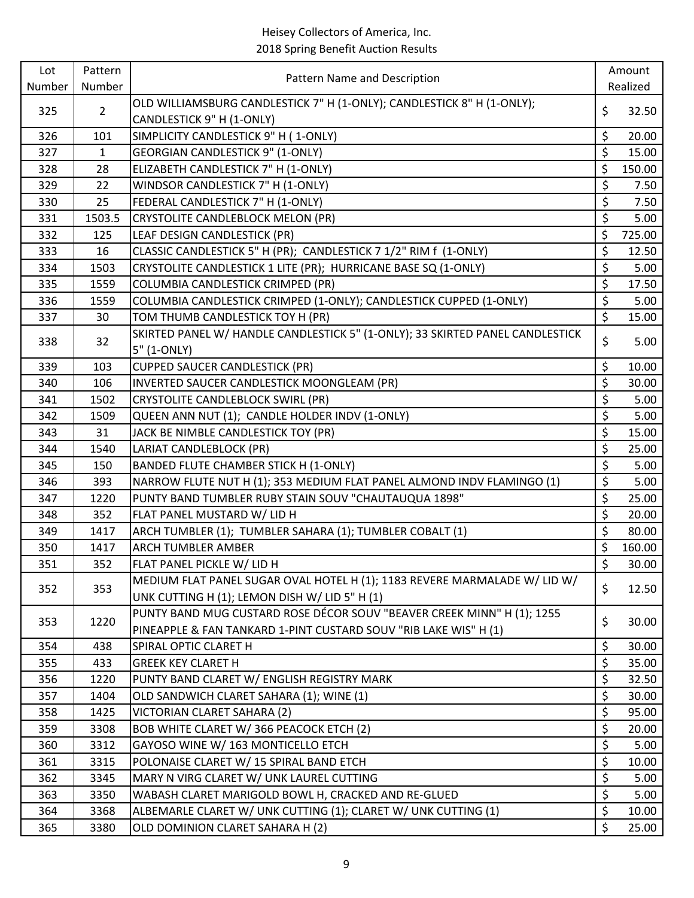| Number<br>Number<br>Realized<br>OLD WILLIAMSBURG CANDLESTICK 7" H (1-ONLY); CANDLESTICK 8" H (1-ONLY);<br>\$<br>$\overline{2}$<br>325<br>32.50<br>CANDLESTICK 9" H (1-ONLY)<br>\$<br>326<br>SIMPLICITY CANDLESTICK 9" H (1-ONLY)<br>101<br>20.00<br>$\overline{\xi}$<br><b>GEORGIAN CANDLESTICK 9" (1-ONLY)</b><br>15.00<br>327<br>$\mathbf{1}$<br>\$<br>150.00<br>328<br>28<br>ELIZABETH CANDLESTICK 7" H (1-ONLY)<br>\$<br>329<br>22<br>WINDSOR CANDLESTICK 7" H (1-ONLY)<br>7.50<br>\$<br>25<br>FEDERAL CANDLESTICK 7" H (1-ONLY)<br>330<br>7.50<br>\$<br>331<br>1503.5<br>CRYSTOLITE CANDLEBLOCK MELON (PR)<br>5.00<br>\$<br>332<br>LEAF DESIGN CANDLESTICK (PR)<br>725.00<br>125<br>\$<br>CLASSIC CANDLESTICK 5" H (PR); CANDLESTICK 7 1/2" RIM f (1-ONLY)<br>333<br>12.50<br>16<br>\$<br>334<br>1503<br>CRYSTOLITE CANDLESTICK 1 LITE (PR); HURRICANE BASE SQ (1-ONLY)<br>5.00<br>\$<br>COLUMBIA CANDLESTICK CRIMPED (PR)<br>17.50<br>335<br>1559<br>\$<br>336<br>1559<br>COLUMBIA CANDLESTICK CRIMPED (1-ONLY); CANDLESTICK CUPPED (1-ONLY)<br>5.00<br>\$<br>TOM THUMB CANDLESTICK TOY H (PR)<br>337<br>30<br>15.00<br>SKIRTED PANEL W/ HANDLE CANDLESTICK 5" (1-ONLY); 33 SKIRTED PANEL CANDLESTICK<br>\$<br>338<br>32<br>5.00<br>5" (1-ONLY)<br>\$<br>339<br>103<br><b>CUPPED SAUCER CANDLESTICK (PR)</b><br>10.00<br>\$<br>30.00<br>340<br>106<br>INVERTED SAUCER CANDLESTICK MOONGLEAM (PR)<br>\$<br>341<br>1502<br>CRYSTOLITE CANDLEBLOCK SWIRL (PR)<br>5.00<br>\$<br>QUEEN ANN NUT (1); CANDLE HOLDER INDV (1-ONLY)<br>342<br>5.00<br>1509<br>\$<br>JACK BE NIMBLE CANDLESTICK TOY (PR)<br>343<br>31<br>15.00<br>\$<br>344<br>1540<br>LARIAT CANDLEBLOCK (PR)<br>25.00<br>\$<br>345<br>150<br>BANDED FLUTE CHAMBER STICK H (1-ONLY)<br>5.00<br>\$<br>5.00<br>393<br>NARROW FLUTE NUT H (1); 353 MEDIUM FLAT PANEL ALMOND INDV FLAMINGO (1)<br>346<br>\$<br>25.00<br>347<br>1220<br>PUNTY BAND TUMBLER RUBY STAIN SOUV "CHAUTAUQUA 1898"<br>\$<br>348<br>352<br>FLAT PANEL MUSTARD W/ LID H<br>20.00<br>\$<br>349<br>1417<br>ARCH TUMBLER (1); TUMBLER SAHARA (1); TUMBLER COBALT (1)<br>80.00<br>\$<br>350<br><b>ARCH TUMBLER AMBER</b><br>160.00<br>1417<br>\$<br>351<br>352<br>30.00<br>FLAT PANEL PICKLE W/ LID H<br>MEDIUM FLAT PANEL SUGAR OVAL HOTEL H (1); 1183 REVERE MARMALADE W/ LID W/<br>\$<br>353<br>12.50<br>352<br>UNK CUTTING H (1); LEMON DISH W/ LID 5" H (1)<br>PUNTY BAND MUG CUSTARD ROSE DÉCOR SOUV "BEAVER CREEK MINN" H (1); 1255<br>\$<br>353<br>1220<br>30.00<br>PINEAPPLE & FAN TANKARD 1-PINT CUSTARD SOUV "RIB LAKE WIS" H (1)<br>\$<br>354<br>30.00<br>438<br>SPIRAL OPTIC CLARET H<br>\$<br>355<br>433<br><b>GREEK KEY CLARET H</b><br>35.00<br>\$<br>32.50<br>PUNTY BAND CLARET W/ ENGLISH REGISTRY MARK<br>356<br>1220<br>\$<br>30.00<br>357<br>1404<br>OLD SANDWICH CLARET SAHARA (1); WINE (1)<br>\$<br>358<br>1425<br>VICTORIAN CLARET SAHARA (2)<br>95.00<br>\$<br>359<br>3308<br>BOB WHITE CLARET W/366 PEACOCK ETCH (2)<br>20.00<br>\$<br>360<br>GAYOSO WINE W/ 163 MONTICELLO ETCH<br>5.00<br>3312<br>\$<br>3315<br>POLONAISE CLARET W/ 15 SPIRAL BAND ETCH<br>361<br>10.00<br>\$<br>MARY N VIRG CLARET W/ UNK LAUREL CUTTING<br>5.00<br>362<br>3345<br>\$<br>363<br>3350<br>WABASH CLARET MARIGOLD BOWL H, CRACKED AND RE-GLUED<br>5.00<br>$\overline{\mathcal{S}}$<br>ALBEMARLE CLARET W/ UNK CUTTING (1); CLARET W/ UNK CUTTING (1)<br>10.00<br>364<br>3368 | Lot | Pattern | Pattern Name and Description     | Amount      |
|---------------------------------------------------------------------------------------------------------------------------------------------------------------------------------------------------------------------------------------------------------------------------------------------------------------------------------------------------------------------------------------------------------------------------------------------------------------------------------------------------------------------------------------------------------------------------------------------------------------------------------------------------------------------------------------------------------------------------------------------------------------------------------------------------------------------------------------------------------------------------------------------------------------------------------------------------------------------------------------------------------------------------------------------------------------------------------------------------------------------------------------------------------------------------------------------------------------------------------------------------------------------------------------------------------------------------------------------------------------------------------------------------------------------------------------------------------------------------------------------------------------------------------------------------------------------------------------------------------------------------------------------------------------------------------------------------------------------------------------------------------------------------------------------------------------------------------------------------------------------------------------------------------------------------------------------------------------------------------------------------------------------------------------------------------------------------------------------------------------------------------------------------------------------------------------------------------------------------------------------------------------------------------------------------------------------------------------------------------------------------------------------------------------------------------------------------------------------------------------------------------------------------------------------------------------------------------------------------------------------------------------------------------------------------------------------------------------------------------------------------------------------------------------------------------------------------------------------------------------------------------------------------------------------------------------------------------------------------------------------------------------------------------------------------------------------------------------------------------------------------------------------------------------------------------------------------------------------------------------------------------------------------------------------------------------------------------------------------------------------------------------------------------------------|-----|---------|----------------------------------|-------------|
|                                                                                                                                                                                                                                                                                                                                                                                                                                                                                                                                                                                                                                                                                                                                                                                                                                                                                                                                                                                                                                                                                                                                                                                                                                                                                                                                                                                                                                                                                                                                                                                                                                                                                                                                                                                                                                                                                                                                                                                                                                                                                                                                                                                                                                                                                                                                                                                                                                                                                                                                                                                                                                                                                                                                                                                                                                                                                                                                                                                                                                                                                                                                                                                                                                                                                                                                                                                                                     |     |         |                                  |             |
|                                                                                                                                                                                                                                                                                                                                                                                                                                                                                                                                                                                                                                                                                                                                                                                                                                                                                                                                                                                                                                                                                                                                                                                                                                                                                                                                                                                                                                                                                                                                                                                                                                                                                                                                                                                                                                                                                                                                                                                                                                                                                                                                                                                                                                                                                                                                                                                                                                                                                                                                                                                                                                                                                                                                                                                                                                                                                                                                                                                                                                                                                                                                                                                                                                                                                                                                                                                                                     |     |         |                                  |             |
|                                                                                                                                                                                                                                                                                                                                                                                                                                                                                                                                                                                                                                                                                                                                                                                                                                                                                                                                                                                                                                                                                                                                                                                                                                                                                                                                                                                                                                                                                                                                                                                                                                                                                                                                                                                                                                                                                                                                                                                                                                                                                                                                                                                                                                                                                                                                                                                                                                                                                                                                                                                                                                                                                                                                                                                                                                                                                                                                                                                                                                                                                                                                                                                                                                                                                                                                                                                                                     |     |         |                                  |             |
|                                                                                                                                                                                                                                                                                                                                                                                                                                                                                                                                                                                                                                                                                                                                                                                                                                                                                                                                                                                                                                                                                                                                                                                                                                                                                                                                                                                                                                                                                                                                                                                                                                                                                                                                                                                                                                                                                                                                                                                                                                                                                                                                                                                                                                                                                                                                                                                                                                                                                                                                                                                                                                                                                                                                                                                                                                                                                                                                                                                                                                                                                                                                                                                                                                                                                                                                                                                                                     |     |         |                                  |             |
|                                                                                                                                                                                                                                                                                                                                                                                                                                                                                                                                                                                                                                                                                                                                                                                                                                                                                                                                                                                                                                                                                                                                                                                                                                                                                                                                                                                                                                                                                                                                                                                                                                                                                                                                                                                                                                                                                                                                                                                                                                                                                                                                                                                                                                                                                                                                                                                                                                                                                                                                                                                                                                                                                                                                                                                                                                                                                                                                                                                                                                                                                                                                                                                                                                                                                                                                                                                                                     |     |         |                                  |             |
|                                                                                                                                                                                                                                                                                                                                                                                                                                                                                                                                                                                                                                                                                                                                                                                                                                                                                                                                                                                                                                                                                                                                                                                                                                                                                                                                                                                                                                                                                                                                                                                                                                                                                                                                                                                                                                                                                                                                                                                                                                                                                                                                                                                                                                                                                                                                                                                                                                                                                                                                                                                                                                                                                                                                                                                                                                                                                                                                                                                                                                                                                                                                                                                                                                                                                                                                                                                                                     |     |         |                                  |             |
|                                                                                                                                                                                                                                                                                                                                                                                                                                                                                                                                                                                                                                                                                                                                                                                                                                                                                                                                                                                                                                                                                                                                                                                                                                                                                                                                                                                                                                                                                                                                                                                                                                                                                                                                                                                                                                                                                                                                                                                                                                                                                                                                                                                                                                                                                                                                                                                                                                                                                                                                                                                                                                                                                                                                                                                                                                                                                                                                                                                                                                                                                                                                                                                                                                                                                                                                                                                                                     |     |         |                                  |             |
|                                                                                                                                                                                                                                                                                                                                                                                                                                                                                                                                                                                                                                                                                                                                                                                                                                                                                                                                                                                                                                                                                                                                                                                                                                                                                                                                                                                                                                                                                                                                                                                                                                                                                                                                                                                                                                                                                                                                                                                                                                                                                                                                                                                                                                                                                                                                                                                                                                                                                                                                                                                                                                                                                                                                                                                                                                                                                                                                                                                                                                                                                                                                                                                                                                                                                                                                                                                                                     |     |         |                                  |             |
|                                                                                                                                                                                                                                                                                                                                                                                                                                                                                                                                                                                                                                                                                                                                                                                                                                                                                                                                                                                                                                                                                                                                                                                                                                                                                                                                                                                                                                                                                                                                                                                                                                                                                                                                                                                                                                                                                                                                                                                                                                                                                                                                                                                                                                                                                                                                                                                                                                                                                                                                                                                                                                                                                                                                                                                                                                                                                                                                                                                                                                                                                                                                                                                                                                                                                                                                                                                                                     |     |         |                                  |             |
|                                                                                                                                                                                                                                                                                                                                                                                                                                                                                                                                                                                                                                                                                                                                                                                                                                                                                                                                                                                                                                                                                                                                                                                                                                                                                                                                                                                                                                                                                                                                                                                                                                                                                                                                                                                                                                                                                                                                                                                                                                                                                                                                                                                                                                                                                                                                                                                                                                                                                                                                                                                                                                                                                                                                                                                                                                                                                                                                                                                                                                                                                                                                                                                                                                                                                                                                                                                                                     |     |         |                                  |             |
|                                                                                                                                                                                                                                                                                                                                                                                                                                                                                                                                                                                                                                                                                                                                                                                                                                                                                                                                                                                                                                                                                                                                                                                                                                                                                                                                                                                                                                                                                                                                                                                                                                                                                                                                                                                                                                                                                                                                                                                                                                                                                                                                                                                                                                                                                                                                                                                                                                                                                                                                                                                                                                                                                                                                                                                                                                                                                                                                                                                                                                                                                                                                                                                                                                                                                                                                                                                                                     |     |         |                                  |             |
|                                                                                                                                                                                                                                                                                                                                                                                                                                                                                                                                                                                                                                                                                                                                                                                                                                                                                                                                                                                                                                                                                                                                                                                                                                                                                                                                                                                                                                                                                                                                                                                                                                                                                                                                                                                                                                                                                                                                                                                                                                                                                                                                                                                                                                                                                                                                                                                                                                                                                                                                                                                                                                                                                                                                                                                                                                                                                                                                                                                                                                                                                                                                                                                                                                                                                                                                                                                                                     |     |         |                                  |             |
|                                                                                                                                                                                                                                                                                                                                                                                                                                                                                                                                                                                                                                                                                                                                                                                                                                                                                                                                                                                                                                                                                                                                                                                                                                                                                                                                                                                                                                                                                                                                                                                                                                                                                                                                                                                                                                                                                                                                                                                                                                                                                                                                                                                                                                                                                                                                                                                                                                                                                                                                                                                                                                                                                                                                                                                                                                                                                                                                                                                                                                                                                                                                                                                                                                                                                                                                                                                                                     |     |         |                                  |             |
|                                                                                                                                                                                                                                                                                                                                                                                                                                                                                                                                                                                                                                                                                                                                                                                                                                                                                                                                                                                                                                                                                                                                                                                                                                                                                                                                                                                                                                                                                                                                                                                                                                                                                                                                                                                                                                                                                                                                                                                                                                                                                                                                                                                                                                                                                                                                                                                                                                                                                                                                                                                                                                                                                                                                                                                                                                                                                                                                                                                                                                                                                                                                                                                                                                                                                                                                                                                                                     |     |         |                                  |             |
|                                                                                                                                                                                                                                                                                                                                                                                                                                                                                                                                                                                                                                                                                                                                                                                                                                                                                                                                                                                                                                                                                                                                                                                                                                                                                                                                                                                                                                                                                                                                                                                                                                                                                                                                                                                                                                                                                                                                                                                                                                                                                                                                                                                                                                                                                                                                                                                                                                                                                                                                                                                                                                                                                                                                                                                                                                                                                                                                                                                                                                                                                                                                                                                                                                                                                                                                                                                                                     |     |         |                                  |             |
|                                                                                                                                                                                                                                                                                                                                                                                                                                                                                                                                                                                                                                                                                                                                                                                                                                                                                                                                                                                                                                                                                                                                                                                                                                                                                                                                                                                                                                                                                                                                                                                                                                                                                                                                                                                                                                                                                                                                                                                                                                                                                                                                                                                                                                                                                                                                                                                                                                                                                                                                                                                                                                                                                                                                                                                                                                                                                                                                                                                                                                                                                                                                                                                                                                                                                                                                                                                                                     |     |         |                                  |             |
|                                                                                                                                                                                                                                                                                                                                                                                                                                                                                                                                                                                                                                                                                                                                                                                                                                                                                                                                                                                                                                                                                                                                                                                                                                                                                                                                                                                                                                                                                                                                                                                                                                                                                                                                                                                                                                                                                                                                                                                                                                                                                                                                                                                                                                                                                                                                                                                                                                                                                                                                                                                                                                                                                                                                                                                                                                                                                                                                                                                                                                                                                                                                                                                                                                                                                                                                                                                                                     |     |         |                                  |             |
|                                                                                                                                                                                                                                                                                                                                                                                                                                                                                                                                                                                                                                                                                                                                                                                                                                                                                                                                                                                                                                                                                                                                                                                                                                                                                                                                                                                                                                                                                                                                                                                                                                                                                                                                                                                                                                                                                                                                                                                                                                                                                                                                                                                                                                                                                                                                                                                                                                                                                                                                                                                                                                                                                                                                                                                                                                                                                                                                                                                                                                                                                                                                                                                                                                                                                                                                                                                                                     |     |         |                                  |             |
|                                                                                                                                                                                                                                                                                                                                                                                                                                                                                                                                                                                                                                                                                                                                                                                                                                                                                                                                                                                                                                                                                                                                                                                                                                                                                                                                                                                                                                                                                                                                                                                                                                                                                                                                                                                                                                                                                                                                                                                                                                                                                                                                                                                                                                                                                                                                                                                                                                                                                                                                                                                                                                                                                                                                                                                                                                                                                                                                                                                                                                                                                                                                                                                                                                                                                                                                                                                                                     |     |         |                                  |             |
|                                                                                                                                                                                                                                                                                                                                                                                                                                                                                                                                                                                                                                                                                                                                                                                                                                                                                                                                                                                                                                                                                                                                                                                                                                                                                                                                                                                                                                                                                                                                                                                                                                                                                                                                                                                                                                                                                                                                                                                                                                                                                                                                                                                                                                                                                                                                                                                                                                                                                                                                                                                                                                                                                                                                                                                                                                                                                                                                                                                                                                                                                                                                                                                                                                                                                                                                                                                                                     |     |         |                                  |             |
|                                                                                                                                                                                                                                                                                                                                                                                                                                                                                                                                                                                                                                                                                                                                                                                                                                                                                                                                                                                                                                                                                                                                                                                                                                                                                                                                                                                                                                                                                                                                                                                                                                                                                                                                                                                                                                                                                                                                                                                                                                                                                                                                                                                                                                                                                                                                                                                                                                                                                                                                                                                                                                                                                                                                                                                                                                                                                                                                                                                                                                                                                                                                                                                                                                                                                                                                                                                                                     |     |         |                                  |             |
|                                                                                                                                                                                                                                                                                                                                                                                                                                                                                                                                                                                                                                                                                                                                                                                                                                                                                                                                                                                                                                                                                                                                                                                                                                                                                                                                                                                                                                                                                                                                                                                                                                                                                                                                                                                                                                                                                                                                                                                                                                                                                                                                                                                                                                                                                                                                                                                                                                                                                                                                                                                                                                                                                                                                                                                                                                                                                                                                                                                                                                                                                                                                                                                                                                                                                                                                                                                                                     |     |         |                                  |             |
|                                                                                                                                                                                                                                                                                                                                                                                                                                                                                                                                                                                                                                                                                                                                                                                                                                                                                                                                                                                                                                                                                                                                                                                                                                                                                                                                                                                                                                                                                                                                                                                                                                                                                                                                                                                                                                                                                                                                                                                                                                                                                                                                                                                                                                                                                                                                                                                                                                                                                                                                                                                                                                                                                                                                                                                                                                                                                                                                                                                                                                                                                                                                                                                                                                                                                                                                                                                                                     |     |         |                                  |             |
|                                                                                                                                                                                                                                                                                                                                                                                                                                                                                                                                                                                                                                                                                                                                                                                                                                                                                                                                                                                                                                                                                                                                                                                                                                                                                                                                                                                                                                                                                                                                                                                                                                                                                                                                                                                                                                                                                                                                                                                                                                                                                                                                                                                                                                                                                                                                                                                                                                                                                                                                                                                                                                                                                                                                                                                                                                                                                                                                                                                                                                                                                                                                                                                                                                                                                                                                                                                                                     |     |         |                                  |             |
|                                                                                                                                                                                                                                                                                                                                                                                                                                                                                                                                                                                                                                                                                                                                                                                                                                                                                                                                                                                                                                                                                                                                                                                                                                                                                                                                                                                                                                                                                                                                                                                                                                                                                                                                                                                                                                                                                                                                                                                                                                                                                                                                                                                                                                                                                                                                                                                                                                                                                                                                                                                                                                                                                                                                                                                                                                                                                                                                                                                                                                                                                                                                                                                                                                                                                                                                                                                                                     |     |         |                                  |             |
|                                                                                                                                                                                                                                                                                                                                                                                                                                                                                                                                                                                                                                                                                                                                                                                                                                                                                                                                                                                                                                                                                                                                                                                                                                                                                                                                                                                                                                                                                                                                                                                                                                                                                                                                                                                                                                                                                                                                                                                                                                                                                                                                                                                                                                                                                                                                                                                                                                                                                                                                                                                                                                                                                                                                                                                                                                                                                                                                                                                                                                                                                                                                                                                                                                                                                                                                                                                                                     |     |         |                                  |             |
|                                                                                                                                                                                                                                                                                                                                                                                                                                                                                                                                                                                                                                                                                                                                                                                                                                                                                                                                                                                                                                                                                                                                                                                                                                                                                                                                                                                                                                                                                                                                                                                                                                                                                                                                                                                                                                                                                                                                                                                                                                                                                                                                                                                                                                                                                                                                                                                                                                                                                                                                                                                                                                                                                                                                                                                                                                                                                                                                                                                                                                                                                                                                                                                                                                                                                                                                                                                                                     |     |         |                                  |             |
|                                                                                                                                                                                                                                                                                                                                                                                                                                                                                                                                                                                                                                                                                                                                                                                                                                                                                                                                                                                                                                                                                                                                                                                                                                                                                                                                                                                                                                                                                                                                                                                                                                                                                                                                                                                                                                                                                                                                                                                                                                                                                                                                                                                                                                                                                                                                                                                                                                                                                                                                                                                                                                                                                                                                                                                                                                                                                                                                                                                                                                                                                                                                                                                                                                                                                                                                                                                                                     |     |         |                                  |             |
|                                                                                                                                                                                                                                                                                                                                                                                                                                                                                                                                                                                                                                                                                                                                                                                                                                                                                                                                                                                                                                                                                                                                                                                                                                                                                                                                                                                                                                                                                                                                                                                                                                                                                                                                                                                                                                                                                                                                                                                                                                                                                                                                                                                                                                                                                                                                                                                                                                                                                                                                                                                                                                                                                                                                                                                                                                                                                                                                                                                                                                                                                                                                                                                                                                                                                                                                                                                                                     |     |         |                                  |             |
|                                                                                                                                                                                                                                                                                                                                                                                                                                                                                                                                                                                                                                                                                                                                                                                                                                                                                                                                                                                                                                                                                                                                                                                                                                                                                                                                                                                                                                                                                                                                                                                                                                                                                                                                                                                                                                                                                                                                                                                                                                                                                                                                                                                                                                                                                                                                                                                                                                                                                                                                                                                                                                                                                                                                                                                                                                                                                                                                                                                                                                                                                                                                                                                                                                                                                                                                                                                                                     |     |         |                                  |             |
|                                                                                                                                                                                                                                                                                                                                                                                                                                                                                                                                                                                                                                                                                                                                                                                                                                                                                                                                                                                                                                                                                                                                                                                                                                                                                                                                                                                                                                                                                                                                                                                                                                                                                                                                                                                                                                                                                                                                                                                                                                                                                                                                                                                                                                                                                                                                                                                                                                                                                                                                                                                                                                                                                                                                                                                                                                                                                                                                                                                                                                                                                                                                                                                                                                                                                                                                                                                                                     |     |         |                                  |             |
|                                                                                                                                                                                                                                                                                                                                                                                                                                                                                                                                                                                                                                                                                                                                                                                                                                                                                                                                                                                                                                                                                                                                                                                                                                                                                                                                                                                                                                                                                                                                                                                                                                                                                                                                                                                                                                                                                                                                                                                                                                                                                                                                                                                                                                                                                                                                                                                                                                                                                                                                                                                                                                                                                                                                                                                                                                                                                                                                                                                                                                                                                                                                                                                                                                                                                                                                                                                                                     |     |         |                                  |             |
|                                                                                                                                                                                                                                                                                                                                                                                                                                                                                                                                                                                                                                                                                                                                                                                                                                                                                                                                                                                                                                                                                                                                                                                                                                                                                                                                                                                                                                                                                                                                                                                                                                                                                                                                                                                                                                                                                                                                                                                                                                                                                                                                                                                                                                                                                                                                                                                                                                                                                                                                                                                                                                                                                                                                                                                                                                                                                                                                                                                                                                                                                                                                                                                                                                                                                                                                                                                                                     |     |         |                                  |             |
|                                                                                                                                                                                                                                                                                                                                                                                                                                                                                                                                                                                                                                                                                                                                                                                                                                                                                                                                                                                                                                                                                                                                                                                                                                                                                                                                                                                                                                                                                                                                                                                                                                                                                                                                                                                                                                                                                                                                                                                                                                                                                                                                                                                                                                                                                                                                                                                                                                                                                                                                                                                                                                                                                                                                                                                                                                                                                                                                                                                                                                                                                                                                                                                                                                                                                                                                                                                                                     |     |         |                                  |             |
|                                                                                                                                                                                                                                                                                                                                                                                                                                                                                                                                                                                                                                                                                                                                                                                                                                                                                                                                                                                                                                                                                                                                                                                                                                                                                                                                                                                                                                                                                                                                                                                                                                                                                                                                                                                                                                                                                                                                                                                                                                                                                                                                                                                                                                                                                                                                                                                                                                                                                                                                                                                                                                                                                                                                                                                                                                                                                                                                                                                                                                                                                                                                                                                                                                                                                                                                                                                                                     |     |         |                                  |             |
|                                                                                                                                                                                                                                                                                                                                                                                                                                                                                                                                                                                                                                                                                                                                                                                                                                                                                                                                                                                                                                                                                                                                                                                                                                                                                                                                                                                                                                                                                                                                                                                                                                                                                                                                                                                                                                                                                                                                                                                                                                                                                                                                                                                                                                                                                                                                                                                                                                                                                                                                                                                                                                                                                                                                                                                                                                                                                                                                                                                                                                                                                                                                                                                                                                                                                                                                                                                                                     |     |         |                                  |             |
|                                                                                                                                                                                                                                                                                                                                                                                                                                                                                                                                                                                                                                                                                                                                                                                                                                                                                                                                                                                                                                                                                                                                                                                                                                                                                                                                                                                                                                                                                                                                                                                                                                                                                                                                                                                                                                                                                                                                                                                                                                                                                                                                                                                                                                                                                                                                                                                                                                                                                                                                                                                                                                                                                                                                                                                                                                                                                                                                                                                                                                                                                                                                                                                                                                                                                                                                                                                                                     |     |         |                                  |             |
|                                                                                                                                                                                                                                                                                                                                                                                                                                                                                                                                                                                                                                                                                                                                                                                                                                                                                                                                                                                                                                                                                                                                                                                                                                                                                                                                                                                                                                                                                                                                                                                                                                                                                                                                                                                                                                                                                                                                                                                                                                                                                                                                                                                                                                                                                                                                                                                                                                                                                                                                                                                                                                                                                                                                                                                                                                                                                                                                                                                                                                                                                                                                                                                                                                                                                                                                                                                                                     |     |         |                                  |             |
|                                                                                                                                                                                                                                                                                                                                                                                                                                                                                                                                                                                                                                                                                                                                                                                                                                                                                                                                                                                                                                                                                                                                                                                                                                                                                                                                                                                                                                                                                                                                                                                                                                                                                                                                                                                                                                                                                                                                                                                                                                                                                                                                                                                                                                                                                                                                                                                                                                                                                                                                                                                                                                                                                                                                                                                                                                                                                                                                                                                                                                                                                                                                                                                                                                                                                                                                                                                                                     |     |         |                                  |             |
|                                                                                                                                                                                                                                                                                                                                                                                                                                                                                                                                                                                                                                                                                                                                                                                                                                                                                                                                                                                                                                                                                                                                                                                                                                                                                                                                                                                                                                                                                                                                                                                                                                                                                                                                                                                                                                                                                                                                                                                                                                                                                                                                                                                                                                                                                                                                                                                                                                                                                                                                                                                                                                                                                                                                                                                                                                                                                                                                                                                                                                                                                                                                                                                                                                                                                                                                                                                                                     |     |         |                                  |             |
|                                                                                                                                                                                                                                                                                                                                                                                                                                                                                                                                                                                                                                                                                                                                                                                                                                                                                                                                                                                                                                                                                                                                                                                                                                                                                                                                                                                                                                                                                                                                                                                                                                                                                                                                                                                                                                                                                                                                                                                                                                                                                                                                                                                                                                                                                                                                                                                                                                                                                                                                                                                                                                                                                                                                                                                                                                                                                                                                                                                                                                                                                                                                                                                                                                                                                                                                                                                                                     |     |         |                                  |             |
|                                                                                                                                                                                                                                                                                                                                                                                                                                                                                                                                                                                                                                                                                                                                                                                                                                                                                                                                                                                                                                                                                                                                                                                                                                                                                                                                                                                                                                                                                                                                                                                                                                                                                                                                                                                                                                                                                                                                                                                                                                                                                                                                                                                                                                                                                                                                                                                                                                                                                                                                                                                                                                                                                                                                                                                                                                                                                                                                                                                                                                                                                                                                                                                                                                                                                                                                                                                                                     |     |         |                                  |             |
|                                                                                                                                                                                                                                                                                                                                                                                                                                                                                                                                                                                                                                                                                                                                                                                                                                                                                                                                                                                                                                                                                                                                                                                                                                                                                                                                                                                                                                                                                                                                                                                                                                                                                                                                                                                                                                                                                                                                                                                                                                                                                                                                                                                                                                                                                                                                                                                                                                                                                                                                                                                                                                                                                                                                                                                                                                                                                                                                                                                                                                                                                                                                                                                                                                                                                                                                                                                                                     |     |         |                                  |             |
|                                                                                                                                                                                                                                                                                                                                                                                                                                                                                                                                                                                                                                                                                                                                                                                                                                                                                                                                                                                                                                                                                                                                                                                                                                                                                                                                                                                                                                                                                                                                                                                                                                                                                                                                                                                                                                                                                                                                                                                                                                                                                                                                                                                                                                                                                                                                                                                                                                                                                                                                                                                                                                                                                                                                                                                                                                                                                                                                                                                                                                                                                                                                                                                                                                                                                                                                                                                                                     |     |         |                                  |             |
|                                                                                                                                                                                                                                                                                                                                                                                                                                                                                                                                                                                                                                                                                                                                                                                                                                                                                                                                                                                                                                                                                                                                                                                                                                                                                                                                                                                                                                                                                                                                                                                                                                                                                                                                                                                                                                                                                                                                                                                                                                                                                                                                                                                                                                                                                                                                                                                                                                                                                                                                                                                                                                                                                                                                                                                                                                                                                                                                                                                                                                                                                                                                                                                                                                                                                                                                                                                                                     |     |         |                                  |             |
|                                                                                                                                                                                                                                                                                                                                                                                                                                                                                                                                                                                                                                                                                                                                                                                                                                                                                                                                                                                                                                                                                                                                                                                                                                                                                                                                                                                                                                                                                                                                                                                                                                                                                                                                                                                                                                                                                                                                                                                                                                                                                                                                                                                                                                                                                                                                                                                                                                                                                                                                                                                                                                                                                                                                                                                                                                                                                                                                                                                                                                                                                                                                                                                                                                                                                                                                                                                                                     | 365 | 3380    | OLD DOMINION CLARET SAHARA H (2) | \$<br>25.00 |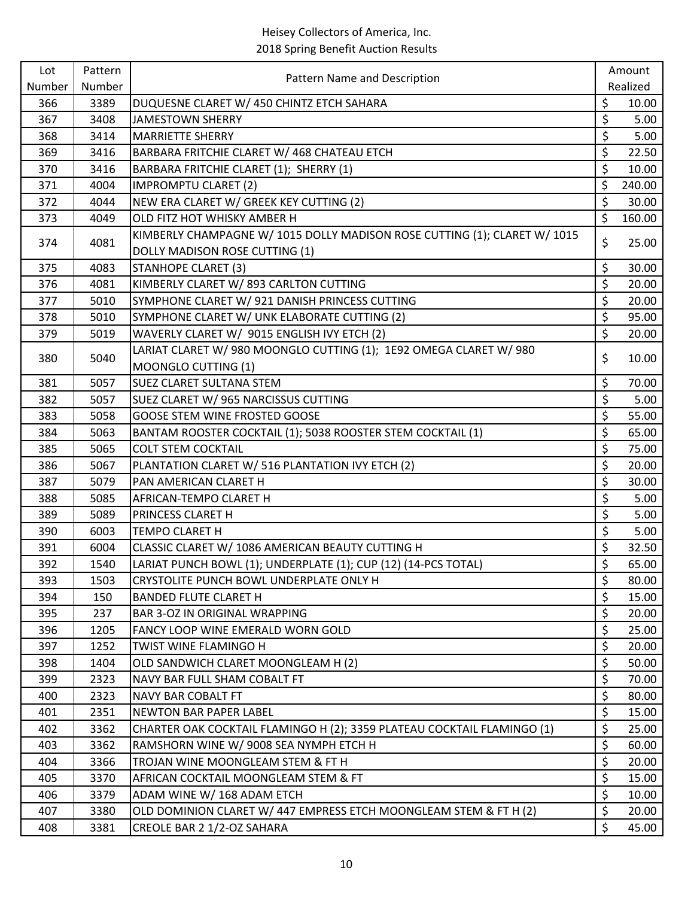| Lot    | Pattern | Pattern Name and Description                                              | Amount       |
|--------|---------|---------------------------------------------------------------------------|--------------|
| Number | Number  |                                                                           | Realized     |
| 366    | 3389    | DUQUESNE CLARET W/ 450 CHINTZ ETCH SAHARA                                 | \$<br>10.00  |
| 367    | 3408    | <b>JAMESTOWN SHERRY</b>                                                   | \$<br>5.00   |
| 368    | 3414    | <b>MARRIETTE SHERRY</b>                                                   | \$<br>5.00   |
| 369    | 3416    | BARBARA FRITCHIE CLARET W/ 468 CHATEAU ETCH                               | \$<br>22.50  |
| 370    | 3416    | BARBARA FRITCHIE CLARET (1); SHERRY (1)                                   | \$<br>10.00  |
| 371    | 4004    | <b>IMPROMPTU CLARET (2)</b>                                               | \$<br>240.00 |
| 372    | 4044    | NEW ERA CLARET W/ GREEK KEY CUTTING (2)                                   | \$<br>30.00  |
| 373    | 4049    | OLD FITZ HOT WHISKY AMBER H                                               | \$<br>160.00 |
| 374    | 4081    | KIMBERLY CHAMPAGNE W/ 1015 DOLLY MADISON ROSE CUTTING (1); CLARET W/ 1015 | \$<br>25.00  |
|        |         | DOLLY MADISON ROSE CUTTING (1)                                            |              |
| 375    | 4083    | <b>STANHOPE CLARET (3)</b>                                                | \$<br>30.00  |
| 376    | 4081    | KIMBERLY CLARET W/893 CARLTON CUTTING                                     | \$<br>20.00  |
| 377    | 5010    | SYMPHONE CLARET W/ 921 DANISH PRINCESS CUTTING                            | \$<br>20.00  |
| 378    | 5010    | SYMPHONE CLARET W/ UNK ELABORATE CUTTING (2)                              | \$<br>95.00  |
| 379    | 5019    | WAVERLY CLARET W/ 9015 ENGLISH IVY ETCH (2)                               | \$<br>20.00  |
| 380    | 5040    | LARIAT CLARET W/980 MOONGLO CUTTING (1); 1E92 OMEGA CLARET W/980          | \$<br>10.00  |
|        |         | MOONGLO CUTTING (1)                                                       |              |
| 381    | 5057    | SUEZ CLARET SULTANA STEM                                                  | \$<br>70.00  |
| 382    | 5057    | SUEZ CLARET W/965 NARCISSUS CUTTING                                       | \$<br>5.00   |
| 383    | 5058    | <b>GOOSE STEM WINE FROSTED GOOSE</b>                                      | \$<br>55.00  |
| 384    | 5063    | BANTAM ROOSTER COCKTAIL (1); 5038 ROOSTER STEM COCKTAIL (1)               | \$<br>65.00  |
| 385    | 5065    | <b>COLT STEM COCKTAIL</b>                                                 | \$<br>75.00  |
| 386    | 5067    | PLANTATION CLARET W/ 516 PLANTATION IVY ETCH (2)                          | \$<br>20.00  |
| 387    | 5079    | PAN AMERICAN CLARET H                                                     | \$<br>30.00  |
| 388    | 5085    | AFRICAN-TEMPO CLARET H                                                    | \$<br>5.00   |
| 389    | 5089    | PRINCESS CLARET H                                                         | \$<br>5.00   |
| 390    | 6003    | TEMPO CLARET H                                                            | \$<br>5.00   |
| 391    | 6004    | CLASSIC CLARET W/ 1086 AMERICAN BEAUTY CUTTING H                          | \$<br>32.50  |
| 392    | 1540    | LARIAT PUNCH BOWL (1); UNDERPLATE (1); CUP (12) (14-PCS TOTAL)            | \$<br>65.00  |
| 393    | 1503    | CRYSTOLITE PUNCH BOWL UNDERPLATE ONLY H                                   | \$<br>80.00  |
| 394    | 150     | <b>BANDED FLUTE CLARET H</b>                                              | \$<br>15.00  |
| 395    | 237     | <b>BAR 3-OZ IN ORIGINAL WRAPPING</b>                                      | \$<br>20.00  |
| 396    | 1205    | FANCY LOOP WINE EMERALD WORN GOLD                                         | \$<br>25.00  |
| 397    | 1252    | TWIST WINE FLAMINGO H                                                     | \$<br>20.00  |
| 398    | 1404    | OLD SANDWICH CLARET MOONGLEAM H (2)                                       | \$<br>50.00  |
| 399    | 2323    | NAVY BAR FULL SHAM COBALT FT                                              | \$<br>70.00  |
| 400    | 2323    | NAVY BAR COBALT FT                                                        | \$<br>80.00  |
| 401    | 2351    | <b>NEWTON BAR PAPER LABEL</b>                                             | \$<br>15.00  |
| 402    | 3362    | CHARTER OAK COCKTAIL FLAMINGO H (2); 3359 PLATEAU COCKTAIL FLAMINGO (1)   | \$<br>25.00  |
| 403    | 3362    | RAMSHORN WINE W/ 9008 SEA NYMPH ETCH H                                    | \$<br>60.00  |
| 404    | 3366    | TROJAN WINE MOONGLEAM STEM & FT H                                         | \$<br>20.00  |
| 405    | 3370    | AFRICAN COCKTAIL MOONGLEAM STEM & FT                                      | \$<br>15.00  |
| 406    | 3379    | ADAM WINE W/ 168 ADAM ETCH                                                | \$<br>10.00  |
| 407    | 3380    | OLD DOMINION CLARET W/ 447 EMPRESS ETCH MOONGLEAM STEM & FT H (2)         | \$<br>20.00  |
| 408    | 3381    | CREOLE BAR 2 1/2-OZ SAHARA                                                | \$<br>45.00  |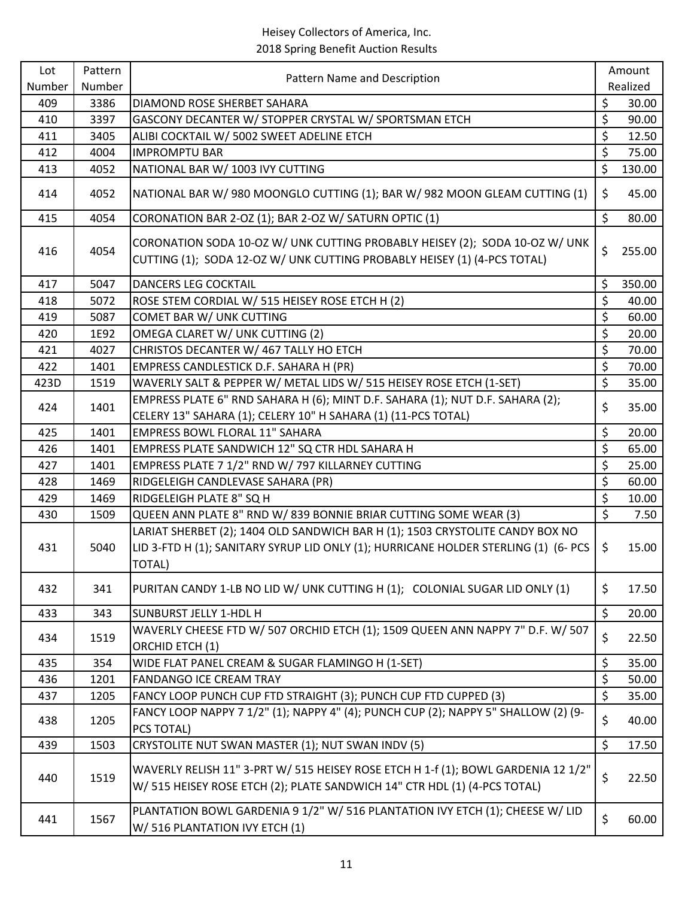| Lot    | Pattern | Pattern Name and Description                                                                                                                                                   |                  | Amount   |
|--------|---------|--------------------------------------------------------------------------------------------------------------------------------------------------------------------------------|------------------|----------|
| Number | Number  |                                                                                                                                                                                |                  | Realized |
| 409    | 3386    | DIAMOND ROSE SHERBET SAHARA                                                                                                                                                    | \$               | 30.00    |
| 410    | 3397    | GASCONY DECANTER W/ STOPPER CRYSTAL W/ SPORTSMAN ETCH                                                                                                                          | \$               | 90.00    |
| 411    | 3405    | ALIBI COCKTAIL W/ 5002 SWEET ADELINE ETCH                                                                                                                                      | \$               | 12.50    |
| 412    | 4004    | <b>IMPROMPTU BAR</b>                                                                                                                                                           | \$               | 75.00    |
| 413    | 4052    | NATIONAL BAR W/ 1003 IVY CUTTING                                                                                                                                               | \$               | 130.00   |
| 414    | 4052    | NATIONAL BAR W/ 980 MOONGLO CUTTING (1); BAR W/ 982 MOON GLEAM CUTTING (1)                                                                                                     | \$               | 45.00    |
| 415    | 4054    | CORONATION BAR 2-OZ (1); BAR 2-OZ W/ SATURN OPTIC (1)                                                                                                                          | \$               | 80.00    |
| 416    | 4054    | CORONATION SODA 10-OZ W/ UNK CUTTING PROBABLY HEISEY (2); SODA 10-OZ W/ UNK<br>CUTTING (1); SODA 12-OZ W/ UNK CUTTING PROBABLY HEISEY (1) (4-PCS TOTAL)                        | \$               | 255.00   |
| 417    | 5047    | DANCERS LEG COCKTAIL                                                                                                                                                           | \$               | 350.00   |
| 418    | 5072    | ROSE STEM CORDIAL W/ 515 HEISEY ROSE ETCH H (2)                                                                                                                                | \$               | 40.00    |
| 419    | 5087    | COMET BAR W/ UNK CUTTING                                                                                                                                                       | \$               | 60.00    |
| 420    | 1E92    | OMEGA CLARET W/ UNK CUTTING (2)                                                                                                                                                | \$               | 20.00    |
| 421    | 4027    | CHRISTOS DECANTER W/ 467 TALLY HO ETCH                                                                                                                                         | \$               | 70.00    |
| 422    | 1401    | EMPRESS CANDLESTICK D.F. SAHARA H (PR)                                                                                                                                         | \$               | 70.00    |
| 423D   | 1519    | WAVERLY SALT & PEPPER W/ METAL LIDS W/ 515 HEISEY ROSE ETCH (1-SET)                                                                                                            | \$               | 35.00    |
| 424    | 1401    | EMPRESS PLATE 6" RND SAHARA H (6); MINT D.F. SAHARA (1); NUT D.F. SAHARA (2);                                                                                                  | \$               | 35.00    |
|        |         | CELERY 13" SAHARA (1); CELERY 10" H SAHARA (1) (11-PCS TOTAL)                                                                                                                  |                  |          |
| 425    | 1401    | <b>EMPRESS BOWL FLORAL 11" SAHARA</b>                                                                                                                                          | \$               | 20.00    |
| 426    | 1401    | EMPRESS PLATE SANDWICH 12" SQ CTR HDL SAHARA H                                                                                                                                 | \$               | 65.00    |
| 427    | 1401    | EMPRESS PLATE 7 1/2" RND W/ 797 KILLARNEY CUTTING                                                                                                                              | \$               | 25.00    |
| 428    | 1469    | RIDGELEIGH CANDLEVASE SAHARA (PR)                                                                                                                                              | \$               | 60.00    |
| 429    | 1469    | RIDGELEIGH PLATE 8" SQ H                                                                                                                                                       | $\overline{\xi}$ | 10.00    |
| 430    | 1509    | QUEEN ANN PLATE 8" RND W/ 839 BONNIE BRIAR CUTTING SOME WEAR (3)                                                                                                               | \$               | 7.50     |
| 431    | 5040    | LARIAT SHERBET (2); 1404 OLD SANDWICH BAR H (1); 1503 CRYSTOLITE CANDY BOX NO<br>LID 3-FTD H (1); SANITARY SYRUP LID ONLY (1); HURRICANE HOLDER STERLING (1) (6- PCS<br>TOTAL) | \$               | 15.00    |
| 432    | 341     | PURITAN CANDY 1-LB NO LID W/ UNK CUTTING H (1); COLONIAL SUGAR LID ONLY (1)                                                                                                    | \$               | 17.50    |
| 433    | 343     | <b>SUNBURST JELLY 1-HDL H</b>                                                                                                                                                  | \$               | 20.00    |
| 434    | 1519    | WAVERLY CHEESE FTD W/ 507 ORCHID ETCH (1); 1509 QUEEN ANN NAPPY 7" D.F. W/ 507<br>ORCHID ETCH (1)                                                                              | \$               | 22.50    |
| 435    | 354     | WIDE FLAT PANEL CREAM & SUGAR FLAMINGO H (1-SET)                                                                                                                               | \$               | 35.00    |
| 436    | 1201    | FANDANGO ICE CREAM TRAY                                                                                                                                                        | \$               | 50.00    |
| 437    | 1205    | FANCY LOOP PUNCH CUP FTD STRAIGHT (3); PUNCH CUP FTD CUPPED (3)                                                                                                                | \$               | 35.00    |
| 438    | 1205    | FANCY LOOP NAPPY 7 1/2" (1); NAPPY 4" (4); PUNCH CUP (2); NAPPY 5" SHALLOW (2) (9-<br>PCS TOTAL)                                                                               | \$               | 40.00    |
| 439    | 1503    | CRYSTOLITE NUT SWAN MASTER (1); NUT SWAN INDV (5)                                                                                                                              | \$               | 17.50    |
| 440    | 1519    | WAVERLY RELISH 11" 3-PRT W/ 515 HEISEY ROSE ETCH H 1-f (1); BOWL GARDENIA 12 1/2"<br>W/ 515 HEISEY ROSE ETCH (2); PLATE SANDWICH 14" CTR HDL (1) (4-PCS TOTAL)                 | \$               | 22.50    |
| 441    | 1567    | PLANTATION BOWL GARDENIA 9 1/2" W/ 516 PLANTATION IVY ETCH (1); CHEESE W/ LID<br>W/ 516 PLANTATION IVY ETCH (1)                                                                | \$               | 60.00    |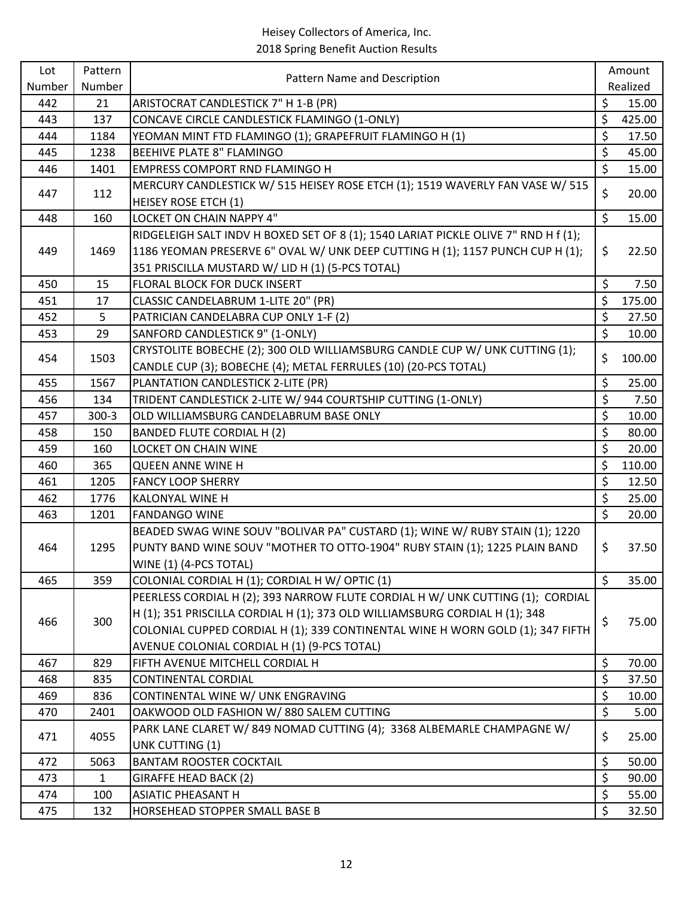| Lot    | Pattern      | Pattern Name and Description                                                        |                  | Amount   |
|--------|--------------|-------------------------------------------------------------------------------------|------------------|----------|
| Number | Number       |                                                                                     |                  | Realized |
| 442    | 21           | ARISTOCRAT CANDLESTICK 7" H 1-B (PR)                                                | \$               | 15.00    |
| 443    | 137          | CONCAVE CIRCLE CANDLESTICK FLAMINGO (1-ONLY)                                        | \$               | 425.00   |
| 444    | 1184         | YEOMAN MINT FTD FLAMINGO (1); GRAPEFRUIT FLAMINGO H (1)                             | \$               | 17.50    |
| 445    | 1238         | <b>BEEHIVE PLATE 8" FLAMINGO</b>                                                    | \$               | 45.00    |
| 446    | 1401         | <b>EMPRESS COMPORT RND FLAMINGO H</b>                                               | \$               | 15.00    |
| 447    | 112          | MERCURY CANDLESTICK W/ 515 HEISEY ROSE ETCH (1); 1519 WAVERLY FAN VASE W/ 515       | \$               | 20.00    |
|        |              | <b>HEISEY ROSE ETCH (1)</b>                                                         |                  |          |
| 448    | 160          | LOCKET ON CHAIN NAPPY 4"                                                            | \$               | 15.00    |
|        |              | RIDGELEIGH SALT INDV H BOXED SET OF 8 (1); 1540 LARIAT PICKLE OLIVE 7" RND H f (1); |                  |          |
| 449    | 1469         | 1186 YEOMAN PRESERVE 6" OVAL W/ UNK DEEP CUTTING H (1); 1157 PUNCH CUP H (1);       | \$               | 22.50    |
|        |              | 351 PRISCILLA MUSTARD W/ LID H (1) (5-PCS TOTAL)                                    |                  |          |
| 450    | 15           | FLORAL BLOCK FOR DUCK INSERT                                                        | \$               | 7.50     |
| 451    | 17           | CLASSIC CANDELABRUM 1-LITE 20" (PR)                                                 | \$               | 175.00   |
| 452    | 5            | PATRICIAN CANDELABRA CUP ONLY 1-F (2)                                               | \$               | 27.50    |
| 453    | 29           | SANFORD CANDLESTICK 9" (1-ONLY)                                                     | $\overline{\xi}$ | 10.00    |
| 454    | 1503         | CRYSTOLITE BOBECHE (2); 300 OLD WILLIAMSBURG CANDLE CUP W/ UNK CUTTING (1);         | \$               | 100.00   |
|        |              | CANDLE CUP (3); BOBECHE (4); METAL FERRULES (10) (20-PCS TOTAL)                     |                  |          |
| 455    | 1567         | PLANTATION CANDLESTICK 2-LITE (PR)                                                  | \$               | 25.00    |
| 456    | 134          | TRIDENT CANDLESTICK 2-LITE W/ 944 COURTSHIP CUTTING (1-ONLY)                        | \$               | 7.50     |
| 457    | $300-3$      | OLD WILLIAMSBURG CANDELABRUM BASE ONLY                                              | \$               | 10.00    |
| 458    | 150          | <b>BANDED FLUTE CORDIAL H (2)</b>                                                   | \$               | 80.00    |
| 459    | 160          | <b>LOCKET ON CHAIN WINE</b>                                                         | \$               | 20.00    |
| 460    | 365          | <b>QUEEN ANNE WINE H</b>                                                            | \$               | 110.00   |
| 461    | 1205         | <b>FANCY LOOP SHERRY</b>                                                            | \$               | 12.50    |
| 462    | 1776         | KALONYAL WINE H                                                                     | \$               | 25.00    |
| 463    | 1201         | <b>FANDANGO WINE</b>                                                                | \$               | 20.00    |
|        |              | BEADED SWAG WINE SOUV "BOLIVAR PA" CUSTARD (1); WINE W/ RUBY STAIN (1); 1220        |                  |          |
| 464    | 1295         | PUNTY BAND WINE SOUV "MOTHER TO OTTO-1904" RUBY STAIN (1); 1225 PLAIN BAND          | \$               | 37.50    |
|        |              | WINE (1) (4-PCS TOTAL)                                                              |                  |          |
| 465    | 359          | COLONIAL CORDIAL H (1); CORDIAL H W/ OPTIC (1)                                      | $\zeta$          | 35.00    |
|        |              | PEERLESS CORDIAL H (2); 393 NARROW FLUTE CORDIAL H W/ UNK CUTTING (1); CORDIAL      |                  |          |
| 466    | 300          | H (1); 351 PRISCILLA CORDIAL H (1); 373 OLD WILLIAMSBURG CORDIAL H (1); 348         | \$               | 75.00    |
|        |              | COLONIAL CUPPED CORDIAL H (1); 339 CONTINENTAL WINE H WORN GOLD (1); 347 FIFTH      |                  |          |
|        |              | AVENUE COLONIAL CORDIAL H (1) (9-PCS TOTAL)                                         |                  |          |
| 467    | 829          | FIFTH AVENUE MITCHELL CORDIAL H                                                     | \$               | 70.00    |
| 468    | 835          | <b>CONTINENTAL CORDIAL</b>                                                          | \$               | 37.50    |
| 469    | 836          | CONTINENTAL WINE W/ UNK ENGRAVING                                                   | \$               | 10.00    |
| 470    | 2401         | OAKWOOD OLD FASHION W/880 SALEM CUTTING                                             | \$               | 5.00     |
| 471    | 4055         | PARK LANE CLARET W/ 849 NOMAD CUTTING (4); 3368 ALBEMARLE CHAMPAGNE W/              | \$               | 25.00    |
|        |              | UNK CUTTING (1)                                                                     |                  |          |
| 472    | 5063         | <b>BANTAM ROOSTER COCKTAIL</b>                                                      | \$               | 50.00    |
| 473    | $\mathbf{1}$ | GIRAFFE HEAD BACK (2)                                                               | \$               | 90.00    |
| 474    | 100          | <b>ASIATIC PHEASANT H</b>                                                           | \$               | 55.00    |
| 475    | 132          | HORSEHEAD STOPPER SMALL BASE B                                                      | \$               | 32.50    |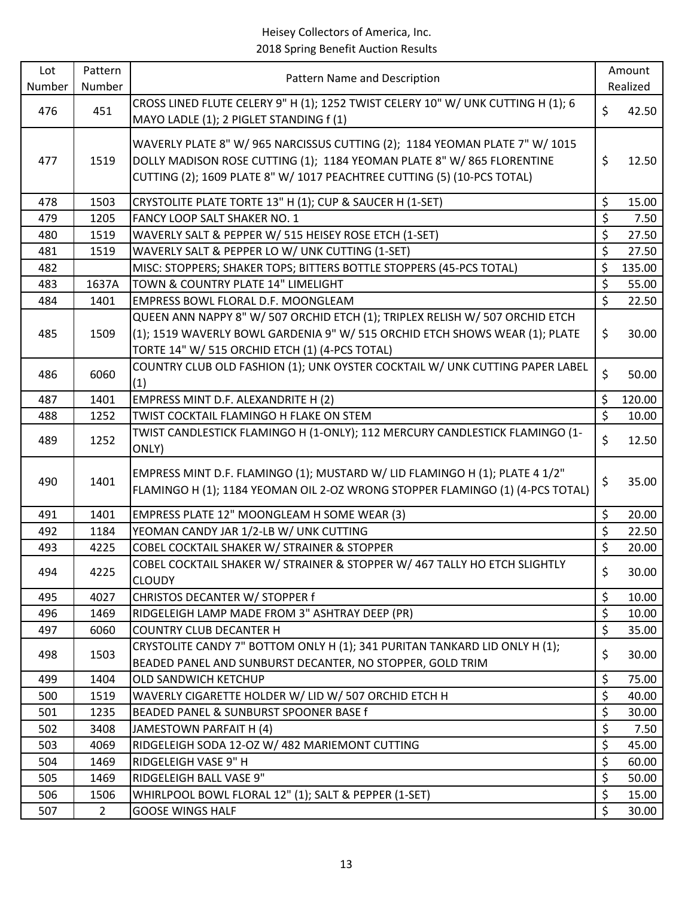| Lot    | Pattern        | Pattern Name and Description                                                                                                                                                                                                     |                  | Amount   |
|--------|----------------|----------------------------------------------------------------------------------------------------------------------------------------------------------------------------------------------------------------------------------|------------------|----------|
| Number | Number         |                                                                                                                                                                                                                                  |                  | Realized |
| 476    | 451            | CROSS LINED FLUTE CELERY 9" H (1); 1252 TWIST CELERY 10" W/ UNK CUTTING H (1); 6<br>MAYO LADLE (1); 2 PIGLET STANDING f (1)                                                                                                      | \$               | 42.50    |
| 477    | 1519           | WAVERLY PLATE 8" W/ 965 NARCISSUS CUTTING (2); 1184 YEOMAN PLATE 7" W/ 1015<br>DOLLY MADISON ROSE CUTTING (1); 1184 YEOMAN PLATE 8" W/ 865 FLORENTINE<br>CUTTING (2); 1609 PLATE 8" W/ 1017 PEACHTREE CUTTING (5) (10-PCS TOTAL) | \$               | 12.50    |
| 478    | 1503           | CRYSTOLITE PLATE TORTE 13" H (1); CUP & SAUCER H (1-SET)                                                                                                                                                                         | $\zeta$          | 15.00    |
| 479    | 1205           | FANCY LOOP SALT SHAKER NO. 1                                                                                                                                                                                                     | \$               | 7.50     |
| 480    | 1519           | WAVERLY SALT & PEPPER W/ 515 HEISEY ROSE ETCH (1-SET)                                                                                                                                                                            | \$               | 27.50    |
| 481    | 1519           | WAVERLY SALT & PEPPER LO W/ UNK CUTTING (1-SET)                                                                                                                                                                                  | \$               | 27.50    |
| 482    |                | MISC: STOPPERS; SHAKER TOPS; BITTERS BOTTLE STOPPERS (45-PCS TOTAL)                                                                                                                                                              | \$               | 135.00   |
| 483    | 1637A          | TOWN & COUNTRY PLATE 14" LIMELIGHT                                                                                                                                                                                               | $\zeta$          | 55.00    |
| 484    | 1401           | EMPRESS BOWL FLORAL D.F. MOONGLEAM                                                                                                                                                                                               | \$               | 22.50    |
| 485    | 1509           | QUEEN ANN NAPPY 8" W/ 507 ORCHID ETCH (1); TRIPLEX RELISH W/ 507 ORCHID ETCH<br>(1); 1519 WAVERLY BOWL GARDENIA 9" W/ 515 ORCHID ETCH SHOWS WEAR (1); PLATE<br>TORTE 14" W/ 515 ORCHID ETCH (1) (4-PCS TOTAL)                    | \$               | 30.00    |
| 486    | 6060           | COUNTRY CLUB OLD FASHION (1); UNK OYSTER COCKTAIL W/ UNK CUTTING PAPER LABEL<br>(1)                                                                                                                                              | \$               | 50.00    |
| 487    | 1401           | EMPRESS MINT D.F. ALEXANDRITE H (2)                                                                                                                                                                                              | \$               | 120.00   |
| 488    | 1252           | TWIST COCKTAIL FLAMINGO H FLAKE ON STEM                                                                                                                                                                                          | $\overline{\xi}$ | 10.00    |
| 489    | 1252           | TWIST CANDLESTICK FLAMINGO H (1-ONLY); 112 MERCURY CANDLESTICK FLAMINGO (1-<br>ONLY)                                                                                                                                             | \$               | 12.50    |
| 490    | 1401           | EMPRESS MINT D.F. FLAMINGO (1); MUSTARD W/ LID FLAMINGO H (1); PLATE 4 1/2"<br>FLAMINGO H (1); 1184 YEOMAN OIL 2-OZ WRONG STOPPER FLAMINGO (1) (4-PCS TOTAL)                                                                     | \$               | 35.00    |
| 491    | 1401           | EMPRESS PLATE 12" MOONGLEAM H SOME WEAR (3)                                                                                                                                                                                      | \$               | 20.00    |
| 492    | 1184           | YEOMAN CANDY JAR 1/2-LB W/ UNK CUTTING                                                                                                                                                                                           | \$               | 22.50    |
| 493    | 4225           | COBEL COCKTAIL SHAKER W/ STRAINER & STOPPER                                                                                                                                                                                      | \$               | 20.00    |
| 494    | 4225           | COBEL COCKTAIL SHAKER W/ STRAINER & STOPPER W/ 467 TALLY HO ETCH SLIGHTLY<br><b>CLOUDY</b>                                                                                                                                       | \$               | 30.00    |
| 495    | 4027           | CHRISTOS DECANTER W/ STOPPER f                                                                                                                                                                                                   | \$               | 10.00    |
| 496    | 1469           | RIDGELEIGH LAMP MADE FROM 3" ASHTRAY DEEP (PR)                                                                                                                                                                                   | \$               | 10.00    |
| 497    | 6060           | <b>COUNTRY CLUB DECANTER H</b>                                                                                                                                                                                                   | \$               | 35.00    |
| 498    | 1503           | CRYSTOLITE CANDY 7" BOTTOM ONLY H (1); 341 PURITAN TANKARD LID ONLY H (1);<br>BEADED PANEL AND SUNBURST DECANTER, NO STOPPER, GOLD TRIM                                                                                          | \$               | 30.00    |
| 499    | 1404           | OLD SANDWICH KETCHUP                                                                                                                                                                                                             | \$               | 75.00    |
| 500    | 1519           | WAVERLY CIGARETTE HOLDER W/ LID W/ 507 ORCHID ETCH H                                                                                                                                                                             | \$               | 40.00    |
| 501    | 1235           | BEADED PANEL & SUNBURST SPOONER BASE f                                                                                                                                                                                           | \$               | 30.00    |
| 502    | 3408           | JAMESTOWN PARFAIT H (4)                                                                                                                                                                                                          | \$               | 7.50     |
| 503    | 4069           | RIDGELEIGH SODA 12-OZ W/ 482 MARIEMONT CUTTING                                                                                                                                                                                   | $\zeta$          | 45.00    |
| 504    | 1469           | RIDGELEIGH VASE 9" H                                                                                                                                                                                                             | \$               | 60.00    |
| 505    | 1469           | RIDGELEIGH BALL VASE 9"                                                                                                                                                                                                          | \$               | 50.00    |
| 506    | 1506           | WHIRLPOOL BOWL FLORAL 12" (1); SALT & PEPPER (1-SET)                                                                                                                                                                             | \$               | 15.00    |
| 507    | $\overline{2}$ | <b>GOOSE WINGS HALF</b>                                                                                                                                                                                                          | \$               | 30.00    |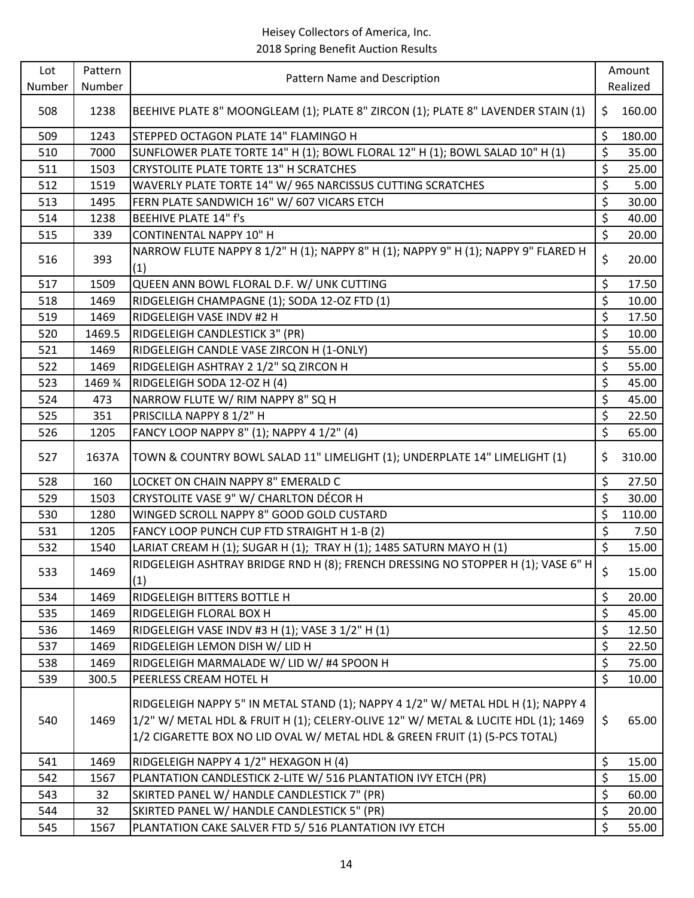| Lot    | Pattern | Pattern Name and Description                                                                                                                                                                                                                        |                  | Amount   |
|--------|---------|-----------------------------------------------------------------------------------------------------------------------------------------------------------------------------------------------------------------------------------------------------|------------------|----------|
| Number | Number  |                                                                                                                                                                                                                                                     |                  | Realized |
| 508    | 1238    | BEEHIVE PLATE 8" MOONGLEAM (1); PLATE 8" ZIRCON (1); PLATE 8" LAVENDER STAIN (1)                                                                                                                                                                    | \$               | 160.00   |
| 509    | 1243    | STEPPED OCTAGON PLATE 14" FLAMINGO H                                                                                                                                                                                                                | \$               | 180.00   |
| 510    | 7000    | SUNFLOWER PLATE TORTE 14" H (1); BOWL FLORAL 12" H (1); BOWL SALAD 10" H (1)                                                                                                                                                                        | \$               | 35.00    |
| 511    | 1503    | CRYSTOLITE PLATE TORTE 13" H SCRATCHES                                                                                                                                                                                                              | \$               | 25.00    |
| 512    | 1519    | WAVERLY PLATE TORTE 14" W/ 965 NARCISSUS CUTTING SCRATCHES                                                                                                                                                                                          | \$               | 5.00     |
| 513    | 1495    | FERN PLATE SANDWICH 16" W/ 607 VICARS ETCH                                                                                                                                                                                                          | \$               | 30.00    |
| 514    | 1238    | <b>BEEHIVE PLATE 14" f's</b>                                                                                                                                                                                                                        | $\overline{\xi}$ | 40.00    |
| 515    | 339     | <b>CONTINENTAL NAPPY 10" H</b>                                                                                                                                                                                                                      | \$               | 20.00    |
| 516    | 393     | NARROW FLUTE NAPPY 8 1/2" H (1); NAPPY 8" H (1); NAPPY 9" H (1); NAPPY 9" FLARED H<br>(1)                                                                                                                                                           | \$               | 20.00    |
| 517    | 1509    | QUEEN ANN BOWL FLORAL D.F. W/ UNK CUTTING                                                                                                                                                                                                           | \$               | 17.50    |
| 518    | 1469    | RIDGELEIGH CHAMPAGNE (1); SODA 12-OZ FTD (1)                                                                                                                                                                                                        | \$               | 10.00    |
| 519    | 1469    | RIDGELEIGH VASE INDV #2 H                                                                                                                                                                                                                           | \$               | 17.50    |
| 520    | 1469.5  | RIDGELEIGH CANDLESTICK 3" (PR)                                                                                                                                                                                                                      | \$               | 10.00    |
| 521    | 1469    | RIDGELEIGH CANDLE VASE ZIRCON H (1-ONLY)                                                                                                                                                                                                            | \$               | 55.00    |
| 522    | 1469    | RIDGELEIGH ASHTRAY 2 1/2" SQ ZIRCON H                                                                                                                                                                                                               | \$               | 55.00    |
| 523    | 1469 %  | RIDGELEIGH SODA 12-OZ H (4)                                                                                                                                                                                                                         | \$               | 45.00    |
| 524    | 473     | NARROW FLUTE W/ RIM NAPPY 8" SQ H                                                                                                                                                                                                                   | \$               | 45.00    |
| 525    | 351     | PRISCILLA NAPPY 8 1/2" H                                                                                                                                                                                                                            | $\overline{\xi}$ | 22.50    |
| 526    | 1205    | FANCY LOOP NAPPY 8" (1); NAPPY 4 1/2" (4)                                                                                                                                                                                                           | \$               | 65.00    |
| 527    | 1637A   | TOWN & COUNTRY BOWL SALAD 11" LIMELIGHT (1); UNDERPLATE 14" LIMELIGHT (1)                                                                                                                                                                           | \$               | 310.00   |
| 528    | 160     | LOCKET ON CHAIN NAPPY 8" EMERALD C                                                                                                                                                                                                                  | \$               | 27.50    |
| 529    | 1503    | CRYSTOLITE VASE 9" W/ CHARLTON DÉCOR H                                                                                                                                                                                                              | \$               | 30.00    |
| 530    | 1280    | WINGED SCROLL NAPPY 8" GOOD GOLD CUSTARD                                                                                                                                                                                                            | \$               | 110.00   |
| 531    | 1205    | FANCY LOOP PUNCH CUP FTD STRAIGHT H 1-B (2)                                                                                                                                                                                                         | \$               | 7.50     |
| 532    | 1540    | LARIAT CREAM H (1); SUGAR H (1); TRAY H (1); 1485 SATURN MAYO H (1)                                                                                                                                                                                 | \$               | 15.00    |
| 533    | 1469    | RIDGELEIGH ASHTRAY BRIDGE RND H (8); FRENCH DRESSING NO STOPPER H (1); VASE 6" H<br>(1)                                                                                                                                                             | \$               | 15.00    |
| 534    | 1469    | RIDGELEIGH BITTERS BOTTLE H                                                                                                                                                                                                                         | \$               | 20.00    |
| 535    | 1469    | RIDGELEIGH FLORAL BOX H                                                                                                                                                                                                                             | \$               | 45.00    |
| 536    | 1469    | RIDGELEIGH VASE INDV #3 H (1); VASE 3 1/2" H (1)                                                                                                                                                                                                    | \$               | 12.50    |
| 537    | 1469    | RIDGELEIGH LEMON DISH W/ LID H                                                                                                                                                                                                                      | $\overline{\xi}$ | 22.50    |
| 538    | 1469    | RIDGELEIGH MARMALADE W/ LID W/ #4 SPOON H                                                                                                                                                                                                           | \$               | 75.00    |
| 539    | 300.5   | PEERLESS CREAM HOTEL H                                                                                                                                                                                                                              | \$               | 10.00    |
| 540    | 1469    | RIDGELEIGH NAPPY 5" IN METAL STAND (1); NAPPY 4 1/2" W/ METAL HDL H (1); NAPPY 4<br>1/2" W/ METAL HDL & FRUIT H (1); CELERY-OLIVE 12" W/ METAL & LUCITE HDL (1); 1469<br>1/2 CIGARETTE BOX NO LID OVAL W/ METAL HDL & GREEN FRUIT (1) (5-PCS TOTAL) | \$               | 65.00    |
| 541    | 1469    | RIDGELEIGH NAPPY 4 1/2" HEXAGON H (4)                                                                                                                                                                                                               | \$               | 15.00    |
| 542    | 1567    | PLANTATION CANDLESTICK 2-LITE W/ 516 PLANTATION IVY ETCH (PR)                                                                                                                                                                                       | \$               | 15.00    |
| 543    | 32      | SKIRTED PANEL W/ HANDLE CANDLESTICK 7" (PR)                                                                                                                                                                                                         | \$               | 60.00    |
| 544    | 32      | SKIRTED PANEL W/ HANDLE CANDLESTICK 5" (PR)                                                                                                                                                                                                         | \$               | 20.00    |
| 545    | 1567    | PLANTATION CAKE SALVER FTD 5/516 PLANTATION IVY ETCH                                                                                                                                                                                                | \$               | 55.00    |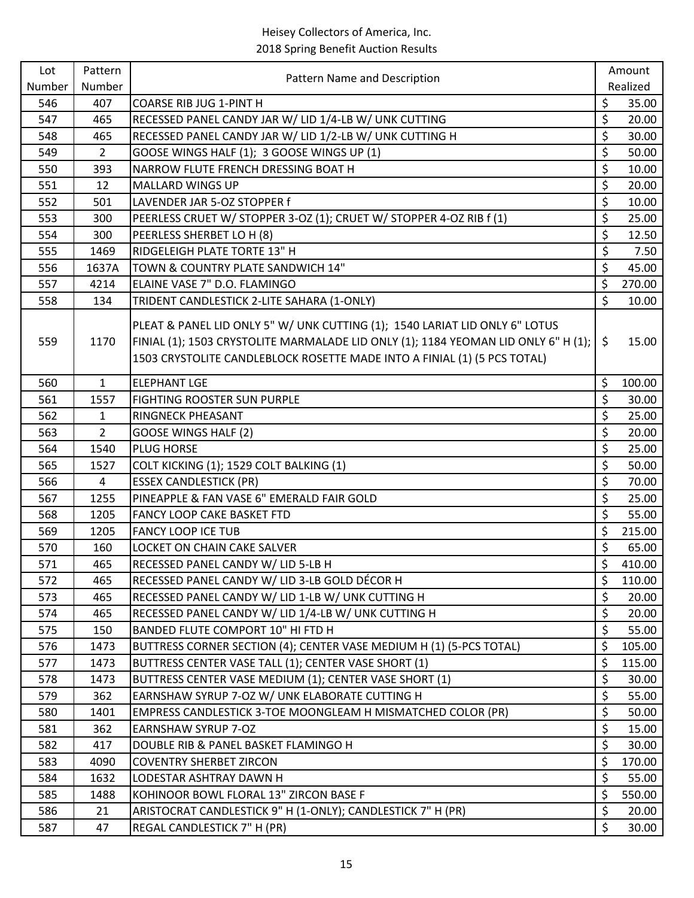| Lot    | Pattern                 | Pattern Name and Description                                                                                                                                                                                                                  | Amount       |
|--------|-------------------------|-----------------------------------------------------------------------------------------------------------------------------------------------------------------------------------------------------------------------------------------------|--------------|
| Number | Number                  |                                                                                                                                                                                                                                               | Realized     |
| 546    | 407                     | <b>COARSE RIB JUG 1-PINT H</b>                                                                                                                                                                                                                | \$<br>35.00  |
| 547    | 465                     | RECESSED PANEL CANDY JAR W/ LID 1/4-LB W/ UNK CUTTING                                                                                                                                                                                         | \$<br>20.00  |
| 548    | 465                     | RECESSED PANEL CANDY JAR W/ LID 1/2-LB W/ UNK CUTTING H                                                                                                                                                                                       | \$<br>30.00  |
| 549    | $\overline{2}$          | GOOSE WINGS HALF (1); 3 GOOSE WINGS UP (1)                                                                                                                                                                                                    | \$<br>50.00  |
| 550    | 393                     | NARROW FLUTE FRENCH DRESSING BOAT H                                                                                                                                                                                                           | \$<br>10.00  |
| 551    | 12                      | <b>MALLARD WINGS UP</b>                                                                                                                                                                                                                       | \$<br>20.00  |
| 552    | 501                     | LAVENDER JAR 5-OZ STOPPER f                                                                                                                                                                                                                   | \$<br>10.00  |
| 553    | 300                     | PEERLESS CRUET W/ STOPPER 3-OZ (1); CRUET W/ STOPPER 4-OZ RIB f (1)                                                                                                                                                                           | \$<br>25.00  |
| 554    | 300                     | PEERLESS SHERBET LO H (8)                                                                                                                                                                                                                     | \$<br>12.50  |
| 555    | 1469                    | RIDGELEIGH PLATE TORTE 13" H                                                                                                                                                                                                                  | \$<br>7.50   |
| 556    | 1637A                   | TOWN & COUNTRY PLATE SANDWICH 14"                                                                                                                                                                                                             | \$<br>45.00  |
| 557    | 4214                    | ELAINE VASE 7" D.O. FLAMINGO                                                                                                                                                                                                                  | \$<br>270.00 |
| 558    | 134                     | TRIDENT CANDLESTICK 2-LITE SAHARA (1-ONLY)                                                                                                                                                                                                    | \$<br>10.00  |
| 559    | 1170                    | PLEAT & PANEL LID ONLY 5" W/ UNK CUTTING (1); 1540 LARIAT LID ONLY 6" LOTUS<br>FINIAL (1); 1503 CRYSTOLITE MARMALADE LID ONLY (1); 1184 YEOMAN LID ONLY 6" H (1);<br>1503 CRYSTOLITE CANDLEBLOCK ROSETTE MADE INTO A FINIAL (1) (5 PCS TOTAL) | \$<br>15.00  |
| 560    | $\mathbf{1}$            | <b>ELEPHANT LGE</b>                                                                                                                                                                                                                           | \$<br>100.00 |
| 561    | 1557                    | FIGHTING ROOSTER SUN PURPLE                                                                                                                                                                                                                   | \$<br>30.00  |
| 562    | $\mathbf{1}$            | RINGNECK PHEASANT                                                                                                                                                                                                                             | \$<br>25.00  |
| 563    | $\overline{2}$          | <b>GOOSE WINGS HALF (2)</b>                                                                                                                                                                                                                   | \$<br>20.00  |
| 564    | 1540                    | PLUG HORSE                                                                                                                                                                                                                                    | \$<br>25.00  |
| 565    | 1527                    | COLT KICKING (1); 1529 COLT BALKING (1)                                                                                                                                                                                                       | \$<br>50.00  |
| 566    | $\overline{\mathbf{4}}$ | <b>ESSEX CANDLESTICK (PR)</b>                                                                                                                                                                                                                 | \$<br>70.00  |
| 567    | 1255                    | PINEAPPLE & FAN VASE 6" EMERALD FAIR GOLD                                                                                                                                                                                                     | \$<br>25.00  |
| 568    | 1205                    | FANCY LOOP CAKE BASKET FTD                                                                                                                                                                                                                    | \$<br>55.00  |
| 569    | 1205                    | <b>FANCY LOOP ICE TUB</b>                                                                                                                                                                                                                     | \$<br>215.00 |
| 570    | 160                     | LOCKET ON CHAIN CAKE SALVER                                                                                                                                                                                                                   | \$<br>65.00  |
| 571    | 465                     | RECESSED PANEL CANDY W/ LID 5-LB H                                                                                                                                                                                                            | \$<br>410.00 |
| 572    | 465                     | RECESSED PANEL CANDY W/ LID 3-LB GOLD DÉCOR H                                                                                                                                                                                                 | \$<br>110.00 |
| 573    | 465                     | RECESSED PANEL CANDY W/ LID 1-LB W/ UNK CUTTING H                                                                                                                                                                                             | \$<br>20.00  |
| 574    | 465                     | RECESSED PANEL CANDY W/ LID 1/4-LB W/ UNK CUTTING H                                                                                                                                                                                           | \$<br>20.00  |
| 575    | 150                     | BANDED FLUTE COMPORT 10" HI FTD H                                                                                                                                                                                                             | \$<br>55.00  |
| 576    | 1473                    | BUTTRESS CORNER SECTION (4); CENTER VASE MEDIUM H (1) (5-PCS TOTAL)                                                                                                                                                                           | \$<br>105.00 |
| 577    | 1473                    | BUTTRESS CENTER VASE TALL (1); CENTER VASE SHORT (1)                                                                                                                                                                                          | \$<br>115.00 |
| 578    | 1473                    | BUTTRESS CENTER VASE MEDIUM (1); CENTER VASE SHORT (1)                                                                                                                                                                                        | \$<br>30.00  |
| 579    | 362                     | EARNSHAW SYRUP 7-OZ W/ UNK ELABORATE CUTTING H                                                                                                                                                                                                | \$<br>55.00  |
| 580    | 1401                    | EMPRESS CANDLESTICK 3-TOE MOONGLEAM H MISMATCHED COLOR (PR)                                                                                                                                                                                   | \$<br>50.00  |
| 581    | 362                     | <b>EARNSHAW SYRUP 7-OZ</b>                                                                                                                                                                                                                    | \$<br>15.00  |
| 582    | 417                     | DOUBLE RIB & PANEL BASKET FLAMINGO H                                                                                                                                                                                                          | \$<br>30.00  |
| 583    | 4090                    | <b>COVENTRY SHERBET ZIRCON</b>                                                                                                                                                                                                                | \$<br>170.00 |
| 584    | 1632                    | LODESTAR ASHTRAY DAWN H                                                                                                                                                                                                                       | \$<br>55.00  |
| 585    | 1488                    | KOHINOOR BOWL FLORAL 13" ZIRCON BASE F                                                                                                                                                                                                        | \$<br>550.00 |
| 586    | 21                      | ARISTOCRAT CANDLESTICK 9" H (1-ONLY); CANDLESTICK 7" H (PR)                                                                                                                                                                                   | \$<br>20.00  |
| 587    | 47                      | REGAL CANDLESTICK 7" H (PR)                                                                                                                                                                                                                   | \$<br>30.00  |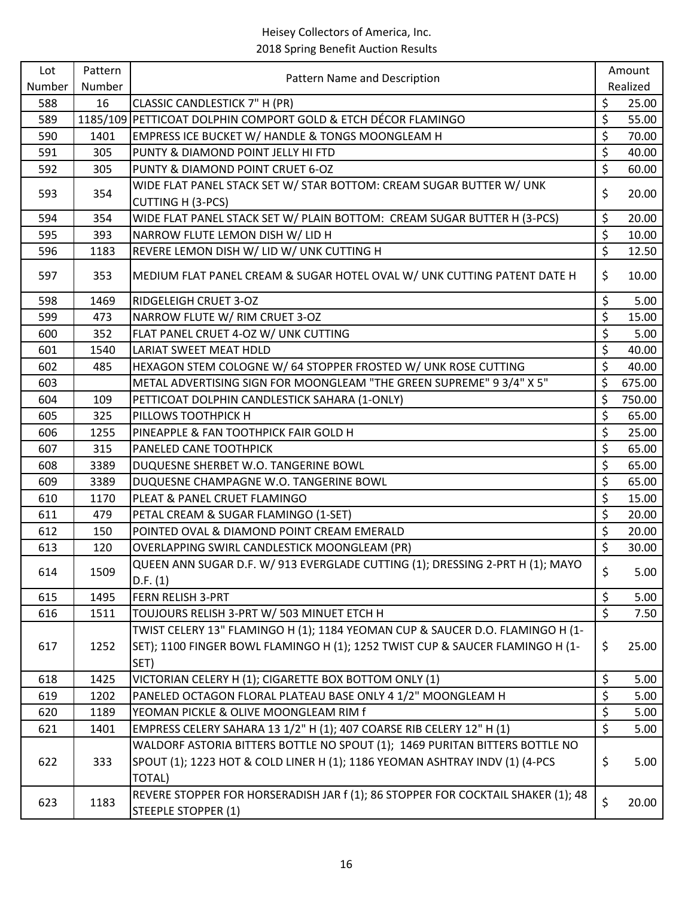| Lot    | Pattern | Pattern Name and Description                                                                                                                                         |                          | Amount   |
|--------|---------|----------------------------------------------------------------------------------------------------------------------------------------------------------------------|--------------------------|----------|
| Number | Number  |                                                                                                                                                                      |                          | Realized |
| 588    | 16      | CLASSIC CANDLESTICK 7" H (PR)                                                                                                                                        | \$                       | 25.00    |
| 589    |         | 1185/109 PETTICOAT DOLPHIN COMPORT GOLD & ETCH DÉCOR FLAMINGO                                                                                                        | \$                       | 55.00    |
| 590    | 1401    | EMPRESS ICE BUCKET W/ HANDLE & TONGS MOONGLEAM H                                                                                                                     | \$                       | 70.00    |
| 591    | 305     | PUNTY & DIAMOND POINT JELLY HI FTD                                                                                                                                   | \$                       | 40.00    |
| 592    | 305     | PUNTY & DIAMOND POINT CRUET 6-OZ                                                                                                                                     | \$                       | 60.00    |
| 593    | 354     | WIDE FLAT PANEL STACK SET W/ STAR BOTTOM: CREAM SUGAR BUTTER W/ UNK<br><b>CUTTING H (3-PCS)</b>                                                                      | \$                       | 20.00    |
| 594    | 354     | WIDE FLAT PANEL STACK SET W/ PLAIN BOTTOM: CREAM SUGAR BUTTER H (3-PCS)                                                                                              | \$                       | 20.00    |
| 595    | 393     | NARROW FLUTE LEMON DISH W/ LID H                                                                                                                                     | \$                       | 10.00    |
| 596    | 1183    | REVERE LEMON DISH W/ LID W/ UNK CUTTING H                                                                                                                            | $\overline{\mathcal{L}}$ | 12.50    |
| 597    | 353     | MEDIUM FLAT PANEL CREAM & SUGAR HOTEL OVAL W/ UNK CUTTING PATENT DATE H                                                                                              | \$                       | 10.00    |
| 598    | 1469    | RIDGELEIGH CRUET 3-OZ                                                                                                                                                | \$                       | 5.00     |
| 599    | 473     | NARROW FLUTE W/ RIM CRUET 3-OZ                                                                                                                                       | \$                       | 15.00    |
| 600    | 352     | FLAT PANEL CRUET 4-OZ W/ UNK CUTTING                                                                                                                                 | \$                       | 5.00     |
| 601    | 1540    | LARIAT SWEET MEAT HDLD                                                                                                                                               | \$                       | 40.00    |
| 602    | 485     | HEXAGON STEM COLOGNE W/ 64 STOPPER FROSTED W/ UNK ROSE CUTTING                                                                                                       | \$                       | 40.00    |
| 603    |         | METAL ADVERTISING SIGN FOR MOONGLEAM "THE GREEN SUPREME" 9 3/4" X 5"                                                                                                 | \$                       | 675.00   |
| 604    | 109     | PETTICOAT DOLPHIN CANDLESTICK SAHARA (1-ONLY)                                                                                                                        | \$                       | 750.00   |
| 605    | 325     | PILLOWS TOOTHPICK H                                                                                                                                                  | \$                       | 65.00    |
| 606    | 1255    | PINEAPPLE & FAN TOOTHPICK FAIR GOLD H                                                                                                                                | \$                       | 25.00    |
| 607    | 315     | PANELED CANE TOOTHPICK                                                                                                                                               | \$                       | 65.00    |
| 608    | 3389    | DUQUESNE SHERBET W.O. TANGERINE BOWL                                                                                                                                 | \$                       | 65.00    |
| 609    | 3389    | DUQUESNE CHAMPAGNE W.O. TANGERINE BOWL                                                                                                                               | \$                       | 65.00    |
| 610    | 1170    | PLEAT & PANEL CRUET FLAMINGO                                                                                                                                         | $\overline{\xi}$         | 15.00    |
| 611    | 479     | PETAL CREAM & SUGAR FLAMINGO (1-SET)                                                                                                                                 | \$                       | 20.00    |
| 612    | 150     | POINTED OVAL & DIAMOND POINT CREAM EMERALD                                                                                                                           | \$                       | 20.00    |
| 613    | 120     | OVERLAPPING SWIRL CANDLESTICK MOONGLEAM (PR)                                                                                                                         | \$                       | 30.00    |
| 614    | 1509    | QUEEN ANN SUGAR D.F. W/ 913 EVERGLADE CUTTING (1); DRESSING 2-PRT H (1); MAYO<br>D.F. (1)                                                                            | \$                       | 5.00     |
| 615    | 1495    | FERN RELISH 3-PRT                                                                                                                                                    | \$                       | 5.00     |
| 616    | 1511    | TOUJOURS RELISH 3-PRT W/ 503 MINUET ETCH H                                                                                                                           | $\overline{\xi}$         | 7.50     |
|        |         | TWIST CELERY 13" FLAMINGO H (1); 1184 YEOMAN CUP & SAUCER D.O. FLAMINGO H (1-                                                                                        |                          |          |
| 617    | 1252    | SET); 1100 FINGER BOWL FLAMINGO H (1); 1252 TWIST CUP & SAUCER FLAMINGO H (1-                                                                                        | \$                       | 25.00    |
|        |         | SET)                                                                                                                                                                 |                          |          |
| 618    | 1425    | VICTORIAN CELERY H (1); CIGARETTE BOX BOTTOM ONLY (1)                                                                                                                | \$                       | 5.00     |
| 619    | 1202    | PANELED OCTAGON FLORAL PLATEAU BASE ONLY 4 1/2" MOONGLEAM H                                                                                                          | $\overline{\xi}$         | 5.00     |
| 620    | 1189    | YEOMAN PICKLE & OLIVE MOONGLEAM RIM f                                                                                                                                | \$                       | 5.00     |
| 621    | 1401    | EMPRESS CELERY SAHARA 13 1/2" H (1); 407 COARSE RIB CELERY 12" H (1)                                                                                                 | \$                       | 5.00     |
| 622    | 333     | WALDORF ASTORIA BITTERS BOTTLE NO SPOUT (1); 1469 PURITAN BITTERS BOTTLE NO<br>SPOUT (1); 1223 HOT & COLD LINER H (1); 1186 YEOMAN ASHTRAY INDV (1) (4-PCS<br>TOTAL) | \$                       | 5.00     |
| 623    | 1183    | REVERE STOPPER FOR HORSERADISH JAR f (1); 86 STOPPER FOR COCKTAIL SHAKER (1); 48<br><b>STEEPLE STOPPER (1)</b>                                                       | \$                       | 20.00    |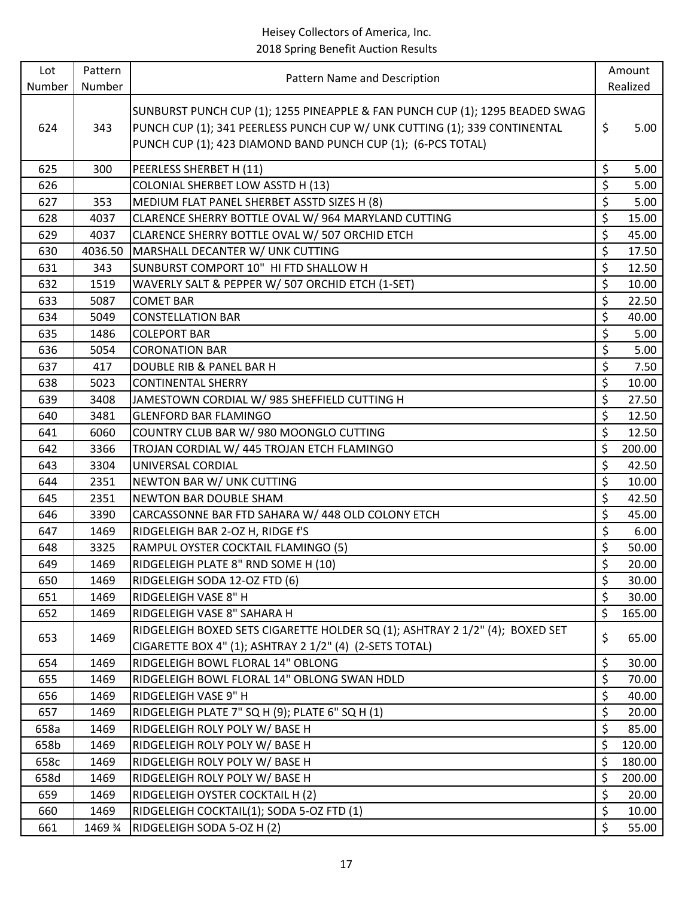| Lot    | Pattern | Pattern Name and Description                                                                                                                                                                                              |                                 | Amount   |
|--------|---------|---------------------------------------------------------------------------------------------------------------------------------------------------------------------------------------------------------------------------|---------------------------------|----------|
| Number | Number  |                                                                                                                                                                                                                           |                                 | Realized |
| 624    | 343     | SUNBURST PUNCH CUP (1); 1255 PINEAPPLE & FAN PUNCH CUP (1); 1295 BEADED SWAG<br>PUNCH CUP (1); 341 PEERLESS PUNCH CUP W/ UNK CUTTING (1); 339 CONTINENTAL<br>PUNCH CUP (1); 423 DIAMOND BAND PUNCH CUP (1); (6-PCS TOTAL) | \$                              | 5.00     |
| 625    | 300     | PEERLESS SHERBET H (11)                                                                                                                                                                                                   | \$                              | 5.00     |
| 626    |         | COLONIAL SHERBET LOW ASSTD H (13)                                                                                                                                                                                         | \$                              | 5.00     |
| 627    | 353     | MEDIUM FLAT PANEL SHERBET ASSTD SIZES H (8)                                                                                                                                                                               | \$                              | 5.00     |
| 628    | 4037    | CLARENCE SHERRY BOTTLE OVAL W/ 964 MARYLAND CUTTING                                                                                                                                                                       | \$                              | 15.00    |
| 629    | 4037    | CLARENCE SHERRY BOTTLE OVAL W/ 507 ORCHID ETCH                                                                                                                                                                            | \$                              | 45.00    |
| 630    | 4036.50 | MARSHALL DECANTER W/ UNK CUTTING                                                                                                                                                                                          | \$                              | 17.50    |
| 631    | 343     | SUNBURST COMPORT 10" HI FTD SHALLOW H                                                                                                                                                                                     | \$                              | 12.50    |
| 632    | 1519    | WAVERLY SALT & PEPPER W/ 507 ORCHID ETCH (1-SET)                                                                                                                                                                          | \$                              | 10.00    |
| 633    | 5087    | <b>COMET BAR</b>                                                                                                                                                                                                          | \$                              | 22.50    |
| 634    | 5049    | <b>CONSTELLATION BAR</b>                                                                                                                                                                                                  | \$                              | 40.00    |
| 635    | 1486    | <b>COLEPORT BAR</b>                                                                                                                                                                                                       | $\overline{\boldsymbol{\zeta}}$ | 5.00     |
| 636    | 5054    | <b>CORONATION BAR</b>                                                                                                                                                                                                     | \$                              | 5.00     |
| 637    | 417     | DOUBLE RIB & PANEL BAR H                                                                                                                                                                                                  | \$                              | 7.50     |
| 638    | 5023    | <b>CONTINENTAL SHERRY</b>                                                                                                                                                                                                 | \$                              | 10.00    |
| 639    | 3408    | JAMESTOWN CORDIAL W/ 985 SHEFFIELD CUTTING H                                                                                                                                                                              | \$                              | 27.50    |
| 640    | 3481    | <b>GLENFORD BAR FLAMINGO</b>                                                                                                                                                                                              | \$                              | 12.50    |
| 641    | 6060    | COUNTRY CLUB BAR W/ 980 MOONGLO CUTTING                                                                                                                                                                                   | \$                              | 12.50    |
| 642    | 3366    | TROJAN CORDIAL W/ 445 TROJAN ETCH FLAMINGO                                                                                                                                                                                | \$                              | 200.00   |
| 643    | 3304    | UNIVERSAL CORDIAL                                                                                                                                                                                                         | \$                              | 42.50    |
| 644    | 2351    | NEWTON BAR W/ UNK CUTTING                                                                                                                                                                                                 | \$                              | 10.00    |
| 645    | 2351    | NEWTON BAR DOUBLE SHAM                                                                                                                                                                                                    | \$                              | 42.50    |
| 646    | 3390    | CARCASSONNE BAR FTD SAHARA W/ 448 OLD COLONY ETCH                                                                                                                                                                         | \$                              | 45.00    |
| 647    | 1469    | RIDGELEIGH BAR 2-OZ H, RIDGE f'S                                                                                                                                                                                          | \$                              | 6.00     |
| 648    | 3325    | RAMPUL OYSTER COCKTAIL FLAMINGO (5)                                                                                                                                                                                       | \$                              | 50.00    |
| 649    | 1469    | RIDGELEIGH PLATE 8" RND SOME H (10)                                                                                                                                                                                       | \$                              | 20.00    |
| 650    | 1469    | RIDGELEIGH SODA 12-OZ FTD (6)                                                                                                                                                                                             | \$                              | 30.00    |
| 651    | 1469    | RIDGELEIGH VASE 8" H                                                                                                                                                                                                      | \$                              | 30.00    |
| 652    | 1469    | RIDGELEIGH VASE 8" SAHARA H                                                                                                                                                                                               | \$                              | 165.00   |
| 653    | 1469    | RIDGELEIGH BOXED SETS CIGARETTE HOLDER SQ (1); ASHTRAY 2 1/2" (4); BOXED SET<br>CIGARETTE BOX 4" (1); ASHTRAY 2 1/2" (4) (2-SETS TOTAL)                                                                                   | \$                              | 65.00    |
| 654    | 1469    | RIDGELEIGH BOWL FLORAL 14" OBLONG                                                                                                                                                                                         | \$                              | 30.00    |
| 655    | 1469    | RIDGELEIGH BOWL FLORAL 14" OBLONG SWAN HDLD                                                                                                                                                                               | \$                              | 70.00    |
| 656    | 1469    | RIDGELEIGH VASE 9" H                                                                                                                                                                                                      | \$                              | 40.00    |
| 657    | 1469    | RIDGELEIGH PLATE 7" SQ H (9); PLATE 6" SQ H (1)                                                                                                                                                                           | \$                              | 20.00    |
| 658a   | 1469    | RIDGELEIGH ROLY POLY W/ BASE H                                                                                                                                                                                            | \$                              | 85.00    |
| 658b   | 1469    | RIDGELEIGH ROLY POLY W/ BASE H                                                                                                                                                                                            | \$                              | 120.00   |
| 658c   | 1469    | RIDGELEIGH ROLY POLY W/ BASE H                                                                                                                                                                                            | \$                              | 180.00   |
| 658d   | 1469    | RIDGELEIGH ROLY POLY W/ BASE H                                                                                                                                                                                            | \$                              | 200.00   |
| 659    | 1469    | RIDGELEIGH OYSTER COCKTAIL H (2)                                                                                                                                                                                          | \$                              | 20.00    |
| 660    | 1469    | RIDGELEIGH COCKTAIL(1); SODA 5-OZ FTD (1)                                                                                                                                                                                 | \$                              | 10.00    |
| 661    | 1469 %  | RIDGELEIGH SODA 5-OZ H (2)                                                                                                                                                                                                | \$                              | 55.00    |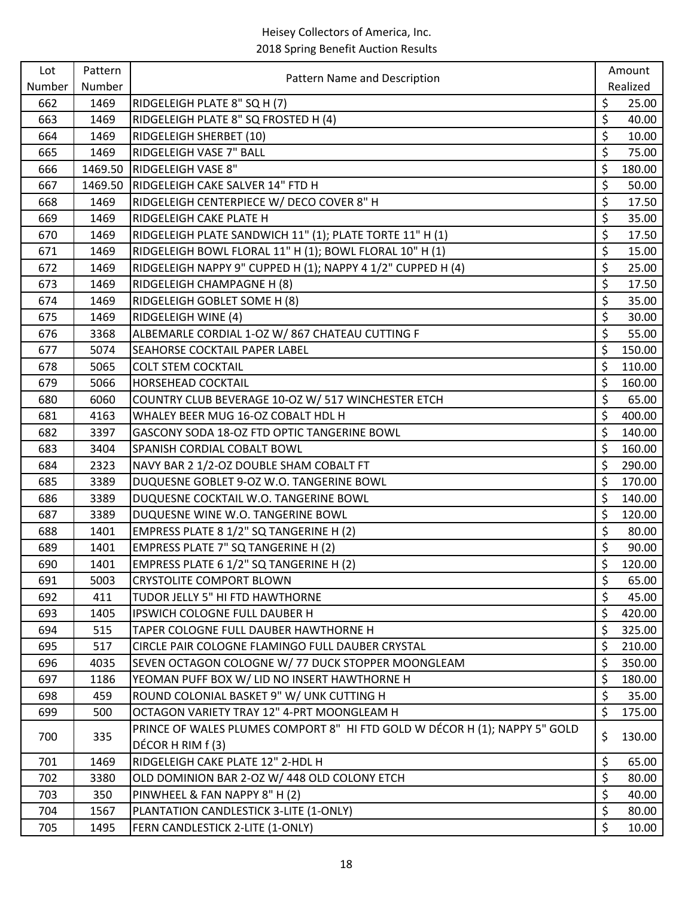| Lot    | Pattern | Pattern Name and Description                                               |         | Amount   |
|--------|---------|----------------------------------------------------------------------------|---------|----------|
| Number | Number  |                                                                            |         | Realized |
| 662    | 1469    | RIDGELEIGH PLATE 8" SQ H (7)                                               | \$      | 25.00    |
| 663    | 1469    | RIDGELEIGH PLATE 8" SQ FROSTED H (4)                                       | \$      | 40.00    |
| 664    | 1469    | RIDGELEIGH SHERBET (10)                                                    | \$      | 10.00    |
| 665    | 1469    | RIDGELEIGH VASE 7" BALL                                                    | \$      | 75.00    |
| 666    | 1469.50 | <b>RIDGELEIGH VASE 8"</b>                                                  | \$      | 180.00   |
| 667    | 1469.50 | RIDGELEIGH CAKE SALVER 14" FTD H                                           | \$      | 50.00    |
| 668    | 1469    | RIDGELEIGH CENTERPIECE W/ DECO COVER 8" H                                  | \$      | 17.50    |
| 669    | 1469    | RIDGELEIGH CAKE PLATE H                                                    | \$      | 35.00    |
| 670    | 1469    | RIDGELEIGH PLATE SANDWICH 11" (1); PLATE TORTE 11" H (1)                   | \$      | 17.50    |
| 671    | 1469    | RIDGELEIGH BOWL FLORAL 11" H (1); BOWL FLORAL 10" H (1)                    | \$      | 15.00    |
| 672    | 1469    | RIDGELEIGH NAPPY 9" CUPPED H (1); NAPPY 4 1/2" CUPPED H (4)                | \$      | 25.00    |
| 673    | 1469    | RIDGELEIGH CHAMPAGNE H (8)                                                 | \$      | 17.50    |
| 674    | 1469    | RIDGELEIGH GOBLET SOME H (8)                                               | \$      | 35.00    |
| 675    | 1469    | RIDGELEIGH WINE (4)                                                        | \$      | 30.00    |
| 676    | 3368    | ALBEMARLE CORDIAL 1-OZ W/867 CHATEAU CUTTING F                             | \$      | 55.00    |
| 677    | 5074    | SEAHORSE COCKTAIL PAPER LABEL                                              | \$      | 150.00   |
| 678    | 5065    | <b>COLT STEM COCKTAIL</b>                                                  | \$      | 110.00   |
| 679    | 5066    | <b>HORSEHEAD COCKTAIL</b>                                                  | \$      | 160.00   |
| 680    | 6060    | COUNTRY CLUB BEVERAGE 10-OZ W/ 517 WINCHESTER ETCH                         | \$      | 65.00    |
| 681    | 4163    | WHALEY BEER MUG 16-OZ COBALT HDL H                                         | \$      | 400.00   |
| 682    | 3397    | GASCONY SODA 18-OZ FTD OPTIC TANGERINE BOWL                                | \$      | 140.00   |
| 683    | 3404    | SPANISH CORDIAL COBALT BOWL                                                | \$      | 160.00   |
| 684    | 2323    | NAVY BAR 2 1/2-OZ DOUBLE SHAM COBALT FT                                    | \$      | 290.00   |
| 685    | 3389    | DUQUESNE GOBLET 9-OZ W.O. TANGERINE BOWL                                   | \$      | 170.00   |
| 686    | 3389    | DUQUESNE COCKTAIL W.O. TANGERINE BOWL                                      | $\zeta$ | 140.00   |
| 687    | 3389    | DUQUESNE WINE W.O. TANGERINE BOWL                                          | \$      | 120.00   |
| 688    | 1401    | EMPRESS PLATE 8 1/2" SQ TANGERINE H (2)                                    | \$      | 80.00    |
| 689    | 1401    | EMPRESS PLATE 7" SQ TANGERINE H (2)                                        | \$      | 90.00    |
| 690    | 1401    | EMPRESS PLATE 6 1/2" SQ TANGERINE H (2)                                    | \$      | 120.00   |
| 691    | 5003    | <b>CRYSTOLITE COMPORT BLOWN</b>                                            | \$      | 65.00    |
| 692    | 411     | TUDOR JELLY 5" HI FTD HAWTHORNE                                            | \$      | 45.00    |
| 693    | 1405    | IPSWICH COLOGNE FULL DAUBER H                                              | \$      | 420.00   |
| 694    | 515     | TAPER COLOGNE FULL DAUBER HAWTHORNE H                                      | \$      | 325.00   |
| 695    | 517     | CIRCLE PAIR COLOGNE FLAMINGO FULL DAUBER CRYSTAL                           | \$      | 210.00   |
| 696    | 4035    | SEVEN OCTAGON COLOGNE W/ 77 DUCK STOPPER MOONGLEAM                         | \$      | 350.00   |
| 697    | 1186    | YEOMAN PUFF BOX W/ LID NO INSERT HAWTHORNE H                               | \$      | 180.00   |
| 698    | 459     | ROUND COLONIAL BASKET 9" W/ UNK CUTTING H                                  | \$      | 35.00    |
| 699    | 500     | OCTAGON VARIETY TRAY 12" 4-PRT MOONGLEAM H                                 | $\zeta$ | 175.00   |
| 700    | 335     | PRINCE OF WALES PLUMES COMPORT 8" HI FTD GOLD W DÉCOR H (1); NAPPY 5" GOLD | \$      | 130.00   |
|        |         | DÉCOR H RIM f (3)                                                          |         |          |
| 701    | 1469    | RIDGELEIGH CAKE PLATE 12" 2-HDL H                                          | \$      | 65.00    |
| 702    | 3380    | OLD DOMINION BAR 2-OZ W/ 448 OLD COLONY ETCH                               | \$      | 80.00    |
| 703    | 350     | PINWHEEL & FAN NAPPY 8" H (2)                                              | \$      | 40.00    |
| 704    | 1567    | PLANTATION CANDLESTICK 3-LITE (1-ONLY)                                     | \$      | 80.00    |
| 705    | 1495    | FERN CANDLESTICK 2-LITE (1-ONLY)                                           | \$      | 10.00    |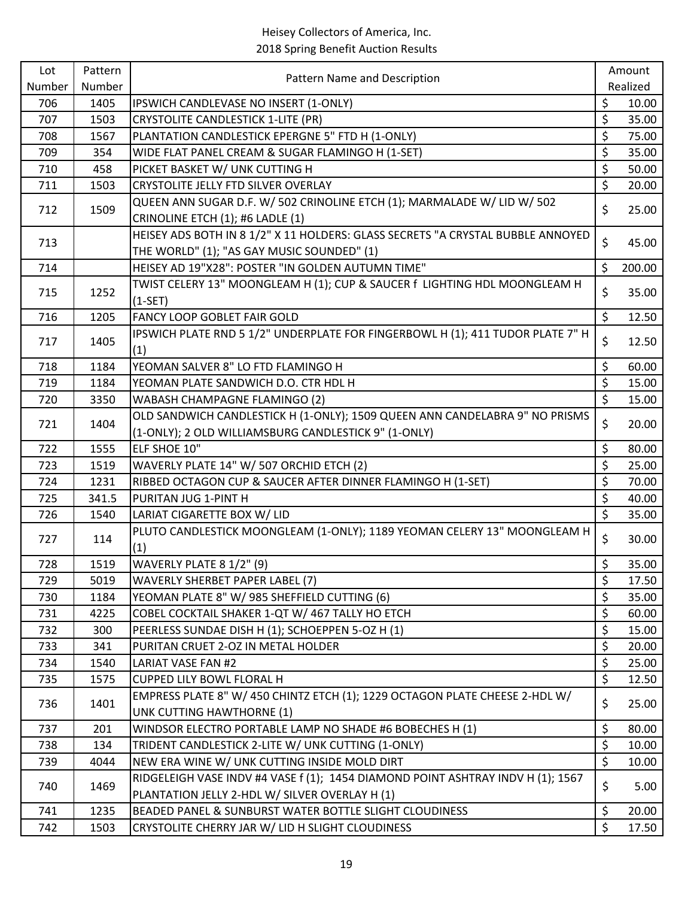| Lot    | Pattern |                                                                                                                                   |                  | Amount   |
|--------|---------|-----------------------------------------------------------------------------------------------------------------------------------|------------------|----------|
| Number | Number  | Pattern Name and Description                                                                                                      |                  | Realized |
| 706    | 1405    | IPSWICH CANDLEVASE NO INSERT (1-ONLY)                                                                                             | \$               | 10.00    |
| 707    | 1503    | <b>CRYSTOLITE CANDLESTICK 1-LITE (PR)</b>                                                                                         | \$               | 35.00    |
| 708    | 1567    | PLANTATION CANDLESTICK EPERGNE 5" FTD H (1-ONLY)                                                                                  | \$               | 75.00    |
| 709    | 354     | WIDE FLAT PANEL CREAM & SUGAR FLAMINGO H (1-SET)                                                                                  | \$               | 35.00    |
| 710    | 458     | PICKET BASKET W/ UNK CUTTING H                                                                                                    | \$               | 50.00    |
| 711    | 1503    | CRYSTOLITE JELLY FTD SILVER OVERLAY                                                                                               | \$               | 20.00    |
| 712    | 1509    | QUEEN ANN SUGAR D.F. W/ 502 CRINOLINE ETCH (1); MARMALADE W/ LID W/ 502                                                           | \$               | 25.00    |
|        |         | CRINOLINE ETCH (1); #6 LADLE (1)                                                                                                  |                  |          |
| 713    |         | HEISEY ADS BOTH IN 8 1/2" X 11 HOLDERS: GLASS SECRETS "A CRYSTAL BUBBLE ANNOYED                                                   | \$               | 45.00    |
|        |         | THE WORLD" (1); "AS GAY MUSIC SOUNDED" (1)                                                                                        |                  |          |
| 714    |         | HEISEY AD 19"X28": POSTER "IN GOLDEN AUTUMN TIME"                                                                                 | \$               | 200.00   |
| 715    | 1252    | TWIST CELERY 13" MOONGLEAM H (1); CUP & SAUCER f LIGHTING HDL MOONGLEAM H                                                         | \$               | 35.00    |
|        |         | $(1-SET)$                                                                                                                         |                  |          |
| 716    | 1205    | FANCY LOOP GOBLET FAIR GOLD                                                                                                       | \$               | 12.50    |
| 717    | 1405    | IPSWICH PLATE RND 5 1/2" UNDERPLATE FOR FINGERBOWL H (1); 411 TUDOR PLATE 7" H                                                    | \$               | 12.50    |
|        |         | (1)                                                                                                                               |                  |          |
| 718    | 1184    | YEOMAN SALVER 8" LO FTD FLAMINGO H                                                                                                | \$               | 60.00    |
| 719    | 1184    | YEOMAN PLATE SANDWICH D.O. CTR HDL H                                                                                              | \$               | 15.00    |
| 720    | 3350    | WABASH CHAMPAGNE FLAMINGO (2)                                                                                                     | \$               | 15.00    |
| 721    | 1404    | OLD SANDWICH CANDLESTICK H (1-ONLY); 1509 QUEEN ANN CANDELABRA 9" NO PRISMS                                                       | \$               | 20.00    |
|        |         | (1-ONLY); 2 OLD WILLIAMSBURG CANDLESTICK 9" (1-ONLY)                                                                              |                  |          |
| 722    | 1555    | ELF SHOE 10"                                                                                                                      | \$               | 80.00    |
| 723    | 1519    | WAVERLY PLATE 14" W/ 507 ORCHID ETCH (2)                                                                                          | \$               | 25.00    |
| 724    | 1231    | RIBBED OCTAGON CUP & SAUCER AFTER DINNER FLAMINGO H (1-SET)                                                                       | \$               | 70.00    |
| 725    | 341.5   | PURITAN JUG 1-PINT H                                                                                                              | $\overline{\xi}$ | 40.00    |
| 726    | 1540    | LARIAT CIGARETTE BOX W/ LID                                                                                                       | \$               | 35.00    |
| 727    | 114     | PLUTO CANDLESTICK MOONGLEAM (1-ONLY); 1189 YEOMAN CELERY 13" MOONGLEAM H<br>(1)                                                   | \$               | 30.00    |
| 728    | 1519    | WAVERLY PLATE 8 1/2" (9)                                                                                                          | \$               | 35.00    |
| 729    | 5019    | WAVERLY SHERBET PAPER LABEL (7)                                                                                                   | \$               | 17.50    |
| 730    | 1184    | YEOMAN PLATE 8" W/985 SHEFFIELD CUTTING (6)                                                                                       | \$               | 35.00    |
| 731    | 4225    | COBEL COCKTAIL SHAKER 1-QT W/ 467 TALLY HO ETCH                                                                                   | \$               | 60.00    |
| 732    | 300     | PEERLESS SUNDAE DISH H (1); SCHOEPPEN 5-OZ H (1)                                                                                  | \$               | 15.00    |
| 733    | 341     | PURITAN CRUET 2-OZ IN METAL HOLDER                                                                                                | \$               | 20.00    |
| 734    | 1540    | LARIAT VASE FAN #2                                                                                                                | \$               | 25.00    |
| 735    | 1575    | <b>CUPPED LILY BOWL FLORAL H</b>                                                                                                  | \$               | 12.50    |
|        |         | EMPRESS PLATE 8" W/ 450 CHINTZ ETCH (1); 1229 OCTAGON PLATE CHEESE 2-HDL W/                                                       |                  |          |
| 736    | 1401    | <b>UNK CUTTING HAWTHORNE (1)</b>                                                                                                  | \$               | 25.00    |
| 737    | 201     | WINDSOR ELECTRO PORTABLE LAMP NO SHADE #6 BOBECHES H (1)                                                                          | \$               | 80.00    |
| 738    | 134     | TRIDENT CANDLESTICK 2-LITE W/ UNK CUTTING (1-ONLY)                                                                                | \$               | 10.00    |
| 739    | 4044    | NEW ERA WINE W/ UNK CUTTING INSIDE MOLD DIRT                                                                                      | \$               | 10.00    |
| 740    | 1469    | RIDGELEIGH VASE INDV #4 VASE f (1); 1454 DIAMOND POINT ASHTRAY INDV H (1); 1567<br>PLANTATION JELLY 2-HDL W/ SILVER OVERLAY H (1) | \$               | 5.00     |
| 741    | 1235    | BEADED PANEL & SUNBURST WATER BOTTLE SLIGHT CLOUDINESS                                                                            | \$               | 20.00    |
| 742    | 1503    | CRYSTOLITE CHERRY JAR W/ LID H SLIGHT CLOUDINESS                                                                                  | \$               | 17.50    |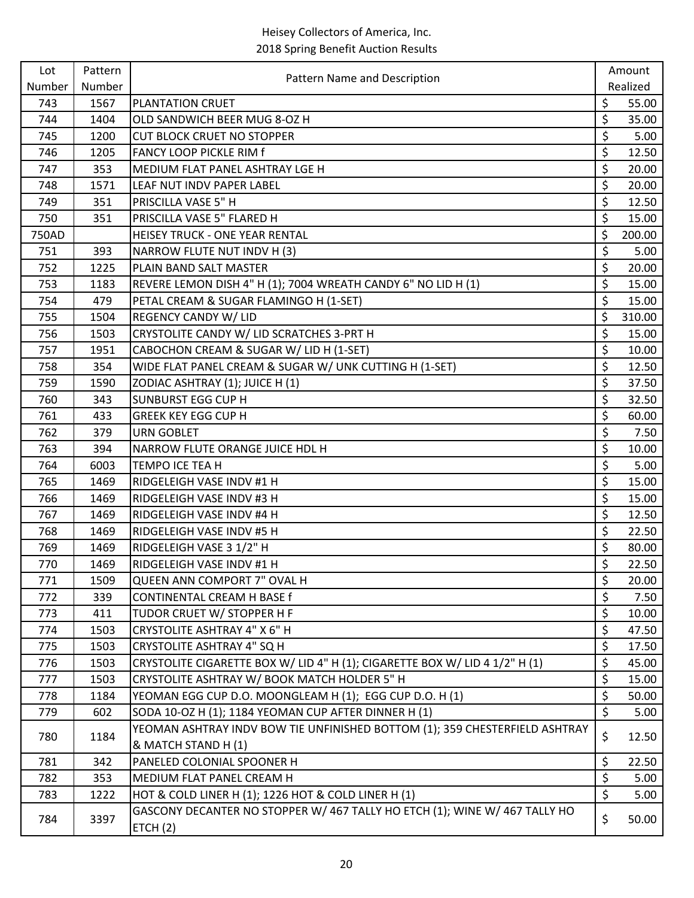| Lot    | Pattern | Pattern Name and Description                                                |                  | Amount   |
|--------|---------|-----------------------------------------------------------------------------|------------------|----------|
| Number | Number  |                                                                             |                  | Realized |
| 743    | 1567    | PLANTATION CRUET                                                            | \$               | 55.00    |
| 744    | 1404    | OLD SANDWICH BEER MUG 8-OZ H                                                | \$               | 35.00    |
| 745    | 1200    | <b>CUT BLOCK CRUET NO STOPPER</b>                                           | \$               | 5.00     |
| 746    | 1205    | <b>FANCY LOOP PICKLE RIM f</b>                                              | \$               | 12.50    |
| 747    | 353     | MEDIUM FLAT PANEL ASHTRAY LGE H                                             | \$               | 20.00    |
| 748    | 1571    | LEAF NUT INDV PAPER LABEL                                                   | \$               | 20.00    |
| 749    | 351     | PRISCILLA VASE 5" H                                                         | \$               | 12.50    |
| 750    | 351     | PRISCILLA VASE 5" FLARED H                                                  | \$               | 15.00    |
| 750AD  |         | HEISEY TRUCK - ONE YEAR RENTAL                                              | \$               | 200.00   |
| 751    | 393     | NARROW FLUTE NUT INDV H (3)                                                 | \$               | 5.00     |
| 752    | 1225    | PLAIN BAND SALT MASTER                                                      | \$               | 20.00    |
| 753    | 1183    | REVERE LEMON DISH 4" H (1); 7004 WREATH CANDY 6" NO LID H (1)               | \$               | 15.00    |
| 754    | 479     | PETAL CREAM & SUGAR FLAMINGO H (1-SET)                                      | \$               | 15.00    |
| 755    | 1504    | <b>REGENCY CANDY W/ LID</b>                                                 | \$               | 310.00   |
| 756    | 1503    | CRYSTOLITE CANDY W/ LID SCRATCHES 3-PRT H                                   | \$               | 15.00    |
| 757    | 1951    | CABOCHON CREAM & SUGAR W/ LID H (1-SET)                                     | \$               | 10.00    |
| 758    | 354     | WIDE FLAT PANEL CREAM & SUGAR W/ UNK CUTTING H (1-SET)                      | \$               | 12.50    |
| 759    | 1590    | ZODIAC ASHTRAY (1); JUICE H (1)                                             | \$               | 37.50    |
| 760    | 343     | <b>SUNBURST EGG CUP H</b>                                                   | \$               | 32.50    |
| 761    | 433     | <b>GREEK KEY EGG CUP H</b>                                                  | \$               | 60.00    |
| 762    | 379     | <b>URN GOBLET</b>                                                           | \$               | 7.50     |
| 763    | 394     | NARROW FLUTE ORANGE JUICE HDL H                                             | \$               | 10.00    |
| 764    | 6003    | TEMPO ICE TEA H                                                             | \$               | 5.00     |
| 765    | 1469    | RIDGELEIGH VASE INDV #1 H                                                   | \$               | 15.00    |
| 766    | 1469    | RIDGELEIGH VASE INDV #3 H                                                   | \$               | 15.00    |
| 767    | 1469    | RIDGELEIGH VASE INDV #4 H                                                   | \$               | 12.50    |
| 768    | 1469    | RIDGELEIGH VASE INDV #5 H                                                   | \$               | 22.50    |
| 769    | 1469    | RIDGELEIGH VASE 3 1/2" H                                                    | \$               | 80.00    |
| 770    | 1469    | RIDGELEIGH VASE INDV #1 H                                                   | \$               | 22.50    |
| 771    | 1509    | <b>QUEEN ANN COMPORT 7" OVAL H</b>                                          | \$               | 20.00    |
| 772    | 339     | CONTINENTAL CREAM H BASE f                                                  | \$               | 7.50     |
| 773    | 411     | TUDOR CRUET W/ STOPPER H F                                                  | \$               | 10.00    |
| 774    | 1503    | CRYSTOLITE ASHTRAY 4" X 6" H                                                | \$               | 47.50    |
| 775    | 1503    | CRYSTOLITE ASHTRAY 4" SQ H                                                  | \$               | 17.50    |
| 776    | 1503    | CRYSTOLITE CIGARETTE BOX W/ LID 4" H (1); CIGARETTE BOX W/ LID 4 1/2" H (1) | \$               | 45.00    |
| 777    | 1503    | CRYSTOLITE ASHTRAY W/ BOOK MATCH HOLDER 5" H                                | \$               | 15.00    |
| 778    | 1184    | YEOMAN EGG CUP D.O. MOONGLEAM H (1); EGG CUP D.O. H (1)                     | \$               | 50.00    |
| 779    | 602     | SODA 10-OZ H (1); 1184 YEOMAN CUP AFTER DINNER H (1)                        | \$               | 5.00     |
|        |         | YEOMAN ASHTRAY INDV BOW TIE UNFINISHED BOTTOM (1); 359 CHESTERFIELD ASHTRAY |                  |          |
| 780    | 1184    | & MATCH STAND H (1)                                                         | \$               | 12.50    |
| 781    | 342     | PANELED COLONIAL SPOONER H                                                  | \$               | 22.50    |
| 782    | 353     | MEDIUM FLAT PANEL CREAM H                                                   | \$               | 5.00     |
| 783    | 1222    | HOT & COLD LINER H (1); 1226 HOT & COLD LINER H (1)                         | $\overline{\xi}$ | 5.00     |
| 784    | 3397    | GASCONY DECANTER NO STOPPER W/ 467 TALLY HO ETCH (1); WINE W/ 467 TALLY HO  | \$               | 50.00    |
|        |         | ETCH(2)                                                                     |                  |          |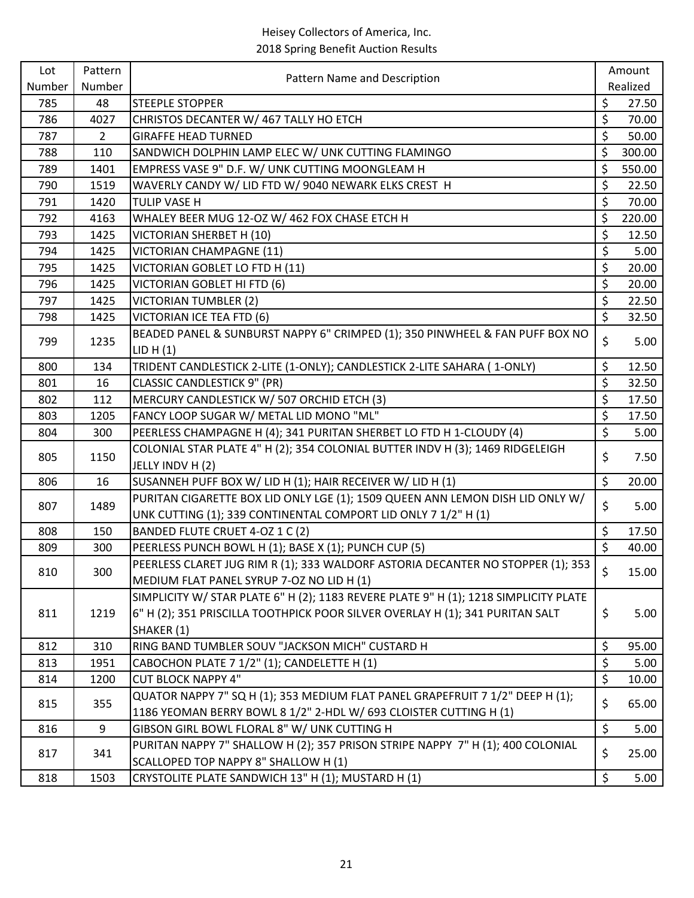| Lot    | Pattern        | Pattern Name and Description                                                         |                  | Amount   |  |
|--------|----------------|--------------------------------------------------------------------------------------|------------------|----------|--|
| Number | Number         |                                                                                      |                  | Realized |  |
| 785    | 48             | <b>STEEPLE STOPPER</b>                                                               | \$               | 27.50    |  |
| 786    | 4027           | CHRISTOS DECANTER W/ 467 TALLY HO ETCH                                               | \$               | 70.00    |  |
| 787    | $\overline{2}$ | <b>GIRAFFE HEAD TURNED</b>                                                           | \$               | 50.00    |  |
| 788    | 110            | SANDWICH DOLPHIN LAMP ELEC W/ UNK CUTTING FLAMINGO                                   | \$               | 300.00   |  |
| 789    | 1401           | EMPRESS VASE 9" D.F. W/ UNK CUTTING MOONGLEAM H                                      | \$               | 550.00   |  |
| 790    | 1519           | WAVERLY CANDY W/ LID FTD W/ 9040 NEWARK ELKS CREST H                                 | \$               | 22.50    |  |
| 791    | 1420           | <b>TULIP VASE H</b>                                                                  | \$               | 70.00    |  |
| 792    | 4163           | WHALEY BEER MUG 12-OZ W/ 462 FOX CHASE ETCH H                                        | \$               | 220.00   |  |
| 793    | 1425           | VICTORIAN SHERBET H (10)                                                             | \$               | 12.50    |  |
| 794    | 1425           | VICTORIAN CHAMPAGNE (11)                                                             | \$               | 5.00     |  |
| 795    | 1425           | VICTORIAN GOBLET LO FTD H (11)                                                       | \$               | 20.00    |  |
| 796    | 1425           | VICTORIAN GOBLET HI FTD (6)                                                          | \$               | 20.00    |  |
| 797    | 1425           | <b>VICTORIAN TUMBLER (2)</b>                                                         | $\overline{\xi}$ | 22.50    |  |
| 798    | 1425           | <b>VICTORIAN ICE TEA FTD (6)</b>                                                     | $\zeta$          | 32.50    |  |
|        |                | BEADED PANEL & SUNBURST NAPPY 6" CRIMPED (1); 350 PINWHEEL & FAN PUFF BOX NO         |                  |          |  |
| 799    | 1235           | LID H(1)                                                                             | \$               | 5.00     |  |
| 800    | 134            | TRIDENT CANDLESTICK 2-LITE (1-ONLY); CANDLESTICK 2-LITE SAHARA (1-ONLY)              | \$               | 12.50    |  |
| 801    | 16             | <b>CLASSIC CANDLESTICK 9" (PR)</b>                                                   | \$               | 32.50    |  |
| 802    | 112            | MERCURY CANDLESTICK W/ 507 ORCHID ETCH (3)                                           | \$               | 17.50    |  |
| 803    | 1205           | FANCY LOOP SUGAR W/ METAL LID MONO "ML"                                              | \$               | 17.50    |  |
| 804    | 300            | PEERLESS CHAMPAGNE H (4); 341 PURITAN SHERBET LO FTD H 1-CLOUDY (4)                  | $\overline{\xi}$ | 5.00     |  |
|        |                | COLONIAL STAR PLATE 4" H (2); 354 COLONIAL BUTTER INDV H (3); 1469 RIDGELEIGH        |                  |          |  |
| 805    | 1150           | JELLY INDV H (2)                                                                     | \$<br>\$<br>\$   | 7.50     |  |
| 806    | 16             | SUSANNEH PUFF BOX W/ LID H (1); HAIR RECEIVER W/ LID H (1)                           |                  | 20.00    |  |
|        |                | PURITAN CIGARETTE BOX LID ONLY LGE (1); 1509 QUEEN ANN LEMON DISH LID ONLY W/        |                  |          |  |
| 807    | 1489           | UNK CUTTING (1); 339 CONTINENTAL COMPORT LID ONLY 7 1/2" H (1)                       |                  | 5.00     |  |
| 808    | 150            | BANDED FLUTE CRUET 4-OZ 1 C (2)                                                      | \$               | 17.50    |  |
| 809    | 300            | PEERLESS PUNCH BOWL H (1); BASE X (1); PUNCH CUP (5)                                 | $\zeta$          | 40.00    |  |
|        |                | PEERLESS CLARET JUG RIM R (1); 333 WALDORF ASTORIA DECANTER NO STOPPER (1); 353      |                  |          |  |
| 810    | 300            | MEDIUM FLAT PANEL SYRUP 7-OZ NO LID H (1)                                            | \$               | 15.00    |  |
|        |                | SIMPLICITY W/ STAR PLATE 6" H (2); 1183 REVERE PLATE 9" H (1); 1218 SIMPLICITY PLATE |                  |          |  |
| 811    | 1219           | 6" H (2); 351 PRISCILLA TOOTHPICK POOR SILVER OVERLAY H (1); 341 PURITAN SALT        | \$               | 5.00     |  |
|        |                | SHAKER (1)                                                                           |                  |          |  |
| 812    | 310            | RING BAND TUMBLER SOUV "JACKSON MICH" CUSTARD H                                      | \$               | 95.00    |  |
| 813    | 1951           | CABOCHON PLATE 7 1/2" (1); CANDELETTE H (1)                                          | \$               | 5.00     |  |
| 814    | 1200           | <b>CUT BLOCK NAPPY 4"</b>                                                            | \$               | 10.00    |  |
|        |                | QUATOR NAPPY 7" SQ H (1); 353 MEDIUM FLAT PANEL GRAPEFRUIT 7 1/2" DEEP H (1);        |                  |          |  |
| 815    | 355            | 1186 YEOMAN BERRY BOWL 8 1/2" 2-HDL W/ 693 CLOISTER CUTTING H (1)                    | \$               | 65.00    |  |
| 816    | 9              | GIBSON GIRL BOWL FLORAL 8" W/ UNK CUTTING H                                          | \$               | 5.00     |  |
|        |                | PURITAN NAPPY 7" SHALLOW H (2); 357 PRISON STRIPE NAPPY 7" H (1); 400 COLONIAL       |                  |          |  |
| 817    | 341            | SCALLOPED TOP NAPPY 8" SHALLOW H (1)                                                 | \$               | 25.00    |  |
| 818    | 1503           | CRYSTOLITE PLATE SANDWICH 13" H (1); MUSTARD H (1)                                   | \$               | 5.00     |  |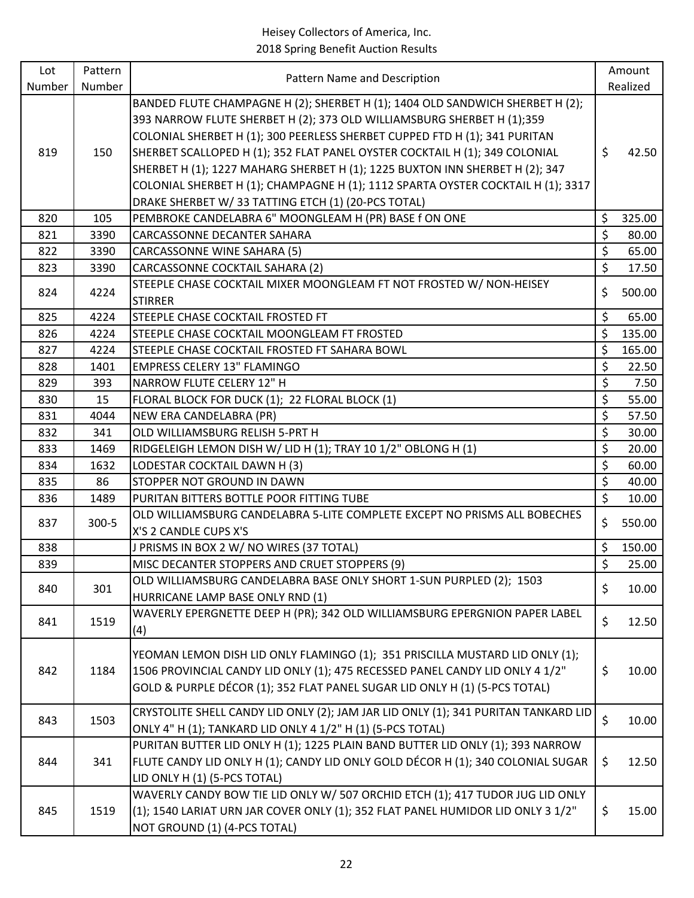| Lot    | Pattern   | Pattern Name and Description                                                                                                                                                                                                                                                                                                                                                                                                                                                                                                                   |                    | Amount   |
|--------|-----------|------------------------------------------------------------------------------------------------------------------------------------------------------------------------------------------------------------------------------------------------------------------------------------------------------------------------------------------------------------------------------------------------------------------------------------------------------------------------------------------------------------------------------------------------|--------------------|----------|
| Number | Number    |                                                                                                                                                                                                                                                                                                                                                                                                                                                                                                                                                |                    | Realized |
| 819    | 150       | BANDED FLUTE CHAMPAGNE H (2); SHERBET H (1); 1404 OLD SANDWICH SHERBET H (2);<br>393 NARROW FLUTE SHERBET H (2); 373 OLD WILLIAMSBURG SHERBET H (1);359<br>COLONIAL SHERBET H (1); 300 PEERLESS SHERBET CUPPED FTD H (1); 341 PURITAN<br>SHERBET SCALLOPED H (1); 352 FLAT PANEL OYSTER COCKTAIL H (1); 349 COLONIAL<br>SHERBET H (1); 1227 MAHARG SHERBET H (1); 1225 BUXTON INN SHERBET H (2); 347<br>COLONIAL SHERBET H (1); CHAMPAGNE H (1); 1112 SPARTA OYSTER COCKTAIL H (1); 3317<br>DRAKE SHERBET W/33 TATTING ETCH (1) (20-PCS TOTAL) | \$                 | 42.50    |
| 820    | 105       | PEMBROKE CANDELABRA 6" MOONGLEAM H (PR) BASE f ON ONE                                                                                                                                                                                                                                                                                                                                                                                                                                                                                          | \$                 | 325.00   |
| 821    | 3390      | CARCASSONNE DECANTER SAHARA                                                                                                                                                                                                                                                                                                                                                                                                                                                                                                                    | \$                 | 80.00    |
| 822    | 3390      | CARCASSONNE WINE SAHARA (5)                                                                                                                                                                                                                                                                                                                                                                                                                                                                                                                    | $\overline{\xi}$   | 65.00    |
| 823    | 3390      | CARCASSONNE COCKTAIL SAHARA (2)                                                                                                                                                                                                                                                                                                                                                                                                                                                                                                                | \$                 | 17.50    |
| 824    | 4224      | STEEPLE CHASE COCKTAIL MIXER MOONGLEAM FT NOT FROSTED W/ NON-HEISEY<br><b>STIRRER</b>                                                                                                                                                                                                                                                                                                                                                                                                                                                          | \$                 | 500.00   |
| 825    | 4224      | STEEPLE CHASE COCKTAIL FROSTED FT                                                                                                                                                                                                                                                                                                                                                                                                                                                                                                              | \$                 | 65.00    |
| 826    | 4224      | STEEPLE CHASE COCKTAIL MOONGLEAM FT FROSTED                                                                                                                                                                                                                                                                                                                                                                                                                                                                                                    | \$                 | 135.00   |
| 827    | 4224      | STEEPLE CHASE COCKTAIL FROSTED FT SAHARA BOWL                                                                                                                                                                                                                                                                                                                                                                                                                                                                                                  | \$                 | 165.00   |
| 828    | 1401      | <b>EMPRESS CELERY 13" FLAMINGO</b>                                                                                                                                                                                                                                                                                                                                                                                                                                                                                                             | \$                 | 22.50    |
| 829    | 393       | NARROW FLUTE CELERY 12" H                                                                                                                                                                                                                                                                                                                                                                                                                                                                                                                      | \$                 | 7.50     |
| 830    | 15        | FLORAL BLOCK FOR DUCK (1); 22 FLORAL BLOCK (1)                                                                                                                                                                                                                                                                                                                                                                                                                                                                                                 | \$                 | 55.00    |
| 831    | 4044      | NEW ERA CANDELABRA (PR)                                                                                                                                                                                                                                                                                                                                                                                                                                                                                                                        | \$                 | 57.50    |
| 832    | 341       | OLD WILLIAMSBURG RELISH 5-PRT H                                                                                                                                                                                                                                                                                                                                                                                                                                                                                                                | \$                 | 30.00    |
| 833    | 1469      | RIDGELEIGH LEMON DISH W/ LID H (1); TRAY 10 1/2" OBLONG H (1)                                                                                                                                                                                                                                                                                                                                                                                                                                                                                  | \$                 | 20.00    |
| 834    | 1632      | LODESTAR COCKTAIL DAWN H (3)                                                                                                                                                                                                                                                                                                                                                                                                                                                                                                                   | $\zeta$            | 60.00    |
| 835    | 86        | STOPPER NOT GROUND IN DAWN                                                                                                                                                                                                                                                                                                                                                                                                                                                                                                                     | $\overline{\xi}$   | 40.00    |
| 836    | 1489      | PURITAN BITTERS BOTTLE POOR FITTING TUBE                                                                                                                                                                                                                                                                                                                                                                                                                                                                                                       | \$                 | 10.00    |
| 837    | $300 - 5$ | OLD WILLIAMSBURG CANDELABRA 5-LITE COMPLETE EXCEPT NO PRISMS ALL BOBECHES<br>X'S 2 CANDLE CUPS X'S                                                                                                                                                                                                                                                                                                                                                                                                                                             | \$                 | 550.00   |
| 838    |           | J PRISMS IN BOX 2 W/ NO WIRES (37 TOTAL)                                                                                                                                                                                                                                                                                                                                                                                                                                                                                                       | \$                 | 150.00   |
| 839    |           | MISC DECANTER STOPPERS AND CRUET STOPPERS (9)                                                                                                                                                                                                                                                                                                                                                                                                                                                                                                  | $\mathsf{\dot{S}}$ | 25.00    |
| 840    | 301       | OLD WILLIAMSBURG CANDELABRA BASE ONLY SHORT 1-SUN PURPLED (2); 1503<br>HURRICANE LAMP BASE ONLY RND (1)                                                                                                                                                                                                                                                                                                                                                                                                                                        | \$                 | 10.00    |
| 841    | 1519      | WAVERLY EPERGNETTE DEEP H (PR); 342 OLD WILLIAMSBURG EPERGNION PAPER LABEL<br>(4)                                                                                                                                                                                                                                                                                                                                                                                                                                                              | \$                 | 12.50    |
| 842    | 1184      | YEOMAN LEMON DISH LID ONLY FLAMINGO (1); 351 PRISCILLA MUSTARD LID ONLY (1);<br>1506 PROVINCIAL CANDY LID ONLY (1); 475 RECESSED PANEL CANDY LID ONLY 4 1/2"<br>GOLD & PURPLE DÉCOR (1); 352 FLAT PANEL SUGAR LID ONLY H (1) (5-PCS TOTAL)                                                                                                                                                                                                                                                                                                     | \$                 | 10.00    |
| 843    | 1503      | CRYSTOLITE SHELL CANDY LID ONLY (2); JAM JAR LID ONLY (1); 341 PURITAN TANKARD LID<br>ONLY 4" H (1); TANKARD LID ONLY 4 1/2" H (1) (5-PCS TOTAL)                                                                                                                                                                                                                                                                                                                                                                                               | $\zeta$            | 10.00    |
| 844    | 341       | PURITAN BUTTER LID ONLY H (1); 1225 PLAIN BAND BUTTER LID ONLY (1); 393 NARROW<br>FLUTE CANDY LID ONLY H (1); CANDY LID ONLY GOLD DÉCOR H (1); 340 COLONIAL SUGAR<br>LID ONLY H (1) (5-PCS TOTAL)                                                                                                                                                                                                                                                                                                                                              | \$                 | 12.50    |
| 845    | 1519      | WAVERLY CANDY BOW TIE LID ONLY W/ 507 ORCHID ETCH (1); 417 TUDOR JUG LID ONLY<br>(1); 1540 LARIAT URN JAR COVER ONLY (1); 352 FLAT PANEL HUMIDOR LID ONLY 3 1/2"<br>NOT GROUND (1) (4-PCS TOTAL)                                                                                                                                                                                                                                                                                                                                               | \$                 | 15.00    |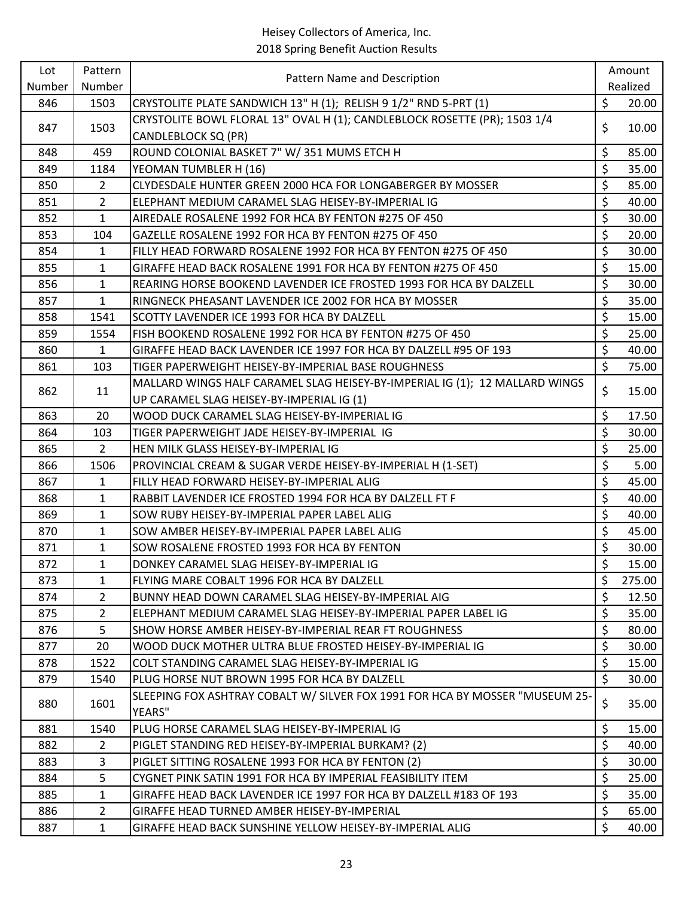| Lot    | Pattern        |                                                                                                         | Amount       |
|--------|----------------|---------------------------------------------------------------------------------------------------------|--------------|
| Number | Number         | Pattern Name and Description                                                                            | Realized     |
| 846    | 1503           | CRYSTOLITE PLATE SANDWICH 13" H (1); RELISH 9 1/2" RND 5-PRT (1)                                        | \$<br>20.00  |
| 847    | 1503           | CRYSTOLITE BOWL FLORAL 13" OVAL H (1); CANDLEBLOCK ROSETTE (PR); 1503 1/4<br><b>CANDLEBLOCK SQ (PR)</b> | \$<br>10.00  |
| 848    | 459            | ROUND COLONIAL BASKET 7" W/ 351 MUMS ETCH H                                                             | \$<br>85.00  |
| 849    | 1184           | YEOMAN TUMBLER H (16)                                                                                   | \$<br>35.00  |
| 850    | $\overline{2}$ | CLYDESDALE HUNTER GREEN 2000 HCA FOR LONGABERGER BY MOSSER                                              | \$<br>85.00  |
| 851    | $\overline{2}$ | ELEPHANT MEDIUM CARAMEL SLAG HEISEY-BY-IMPERIAL IG                                                      | \$<br>40.00  |
| 852    | $\mathbf{1}$   | AIREDALE ROSALENE 1992 FOR HCA BY FENTON #275 OF 450                                                    | \$<br>30.00  |
| 853    | 104            | GAZELLE ROSALENE 1992 FOR HCA BY FENTON #275 OF 450                                                     | \$<br>20.00  |
| 854    | 1              | FILLY HEAD FORWARD ROSALENE 1992 FOR HCA BY FENTON #275 OF 450                                          | \$<br>30.00  |
| 855    | 1              | GIRAFFE HEAD BACK ROSALENE 1991 FOR HCA BY FENTON #275 OF 450                                           | \$<br>15.00  |
| 856    | $\mathbf{1}$   | REARING HORSE BOOKEND LAVENDER ICE FROSTED 1993 FOR HCA BY DALZELL                                      | \$<br>30.00  |
| 857    | $\mathbf{1}$   | RINGNECK PHEASANT LAVENDER ICE 2002 FOR HCA BY MOSSER                                                   | \$<br>35.00  |
| 858    | 1541           | SCOTTY LAVENDER ICE 1993 FOR HCA BY DALZELL                                                             | \$<br>15.00  |
| 859    | 1554           | FISH BOOKEND ROSALENE 1992 FOR HCA BY FENTON #275 OF 450                                                | \$<br>25.00  |
| 860    | 1              | GIRAFFE HEAD BACK LAVENDER ICE 1997 FOR HCA BY DALZELL #95 OF 193                                       | \$<br>40.00  |
| 861    | 103            | TIGER PAPERWEIGHT HEISEY-BY-IMPERIAL BASE ROUGHNESS                                                     | \$<br>75.00  |
|        |                | MALLARD WINGS HALF CARAMEL SLAG HEISEY-BY-IMPERIAL IG (1); 12 MALLARD WINGS                             | \$           |
| 862    | 11             | UP CARAMEL SLAG HEISEY-BY-IMPERIAL IG (1)                                                               | 15.00        |
| 863    | 20             | WOOD DUCK CARAMEL SLAG HEISEY-BY-IMPERIAL IG                                                            | \$<br>17.50  |
| 864    | 103            | TIGER PAPERWEIGHT JADE HEISEY-BY-IMPERIAL IG                                                            | \$<br>30.00  |
| 865    | $\overline{2}$ | HEN MILK GLASS HEISEY-BY-IMPERIAL IG                                                                    | \$<br>25.00  |
| 866    | 1506           | PROVINCIAL CREAM & SUGAR VERDE HEISEY-BY-IMPERIAL H (1-SET)                                             | \$<br>5.00   |
| 867    | $\mathbf{1}$   | FILLY HEAD FORWARD HEISEY-BY-IMPERIAL ALIG                                                              | \$<br>45.00  |
| 868    | $\mathbf{1}$   | RABBIT LAVENDER ICE FROSTED 1994 FOR HCA BY DALZELL FT F                                                | \$<br>40.00  |
| 869    | $\mathbf{1}$   | SOW RUBY HEISEY-BY-IMPERIAL PAPER LABEL ALIG                                                            | \$<br>40.00  |
| 870    | $\mathbf{1}$   | SOW AMBER HEISEY-BY-IMPERIAL PAPER LABEL ALIG                                                           | \$<br>45.00  |
| 871    | $\mathbf{1}$   | SOW ROSALENE FROSTED 1993 FOR HCA BY FENTON                                                             | \$<br>30.00  |
| 872    | $\mathbf{1}$   | DONKEY CARAMEL SLAG HEISEY-BY-IMPERIAL IG                                                               | \$<br>15.00  |
| 873    | 1              | FLYING MARE COBALT 1996 FOR HCA BY DALZELL                                                              | \$<br>275.00 |
| 874    | $\overline{2}$ | BUNNY HEAD DOWN CARAMEL SLAG HEISEY-BY-IMPERIAL AIG                                                     | \$<br>12.50  |
| 875    | $\overline{2}$ | ELEPHANT MEDIUM CARAMEL SLAG HEISEY-BY-IMPERIAL PAPER LABEL IG                                          | \$<br>35.00  |
| 876    | 5              | SHOW HORSE AMBER HEISEY-BY-IMPERIAL REAR FT ROUGHNESS                                                   | \$<br>80.00  |
| 877    | 20             | WOOD DUCK MOTHER ULTRA BLUE FROSTED HEISEY-BY-IMPERIAL IG                                               | \$<br>30.00  |
| 878    | 1522           | COLT STANDING CARAMEL SLAG HEISEY-BY-IMPERIAL IG                                                        | \$<br>15.00  |
| 879    | 1540           | PLUG HORSE NUT BROWN 1995 FOR HCA BY DALZELL                                                            | \$<br>30.00  |
| 880    | 1601           | SLEEPING FOX ASHTRAY COBALT W/ SILVER FOX 1991 FOR HCA BY MOSSER "MUSEUM 25-<br>YEARS"                  | \$<br>35.00  |
| 881    | 1540           | PLUG HORSE CARAMEL SLAG HEISEY-BY-IMPERIAL IG                                                           | \$<br>15.00  |
| 882    | $\overline{2}$ | PIGLET STANDING RED HEISEY-BY-IMPERIAL BURKAM? (2)                                                      | \$<br>40.00  |
| 883    | 3              | PIGLET SITTING ROSALENE 1993 FOR HCA BY FENTON (2)                                                      | \$<br>30.00  |
| 884    | 5              | CYGNET PINK SATIN 1991 FOR HCA BY IMPERIAL FEASIBILITY ITEM                                             | \$<br>25.00  |
| 885    | 1              | GIRAFFE HEAD BACK LAVENDER ICE 1997 FOR HCA BY DALZELL #183 OF 193                                      | \$<br>35.00  |
| 886    | $\overline{2}$ | GIRAFFE HEAD TURNED AMBER HEISEY-BY-IMPERIAL                                                            | \$<br>65.00  |
| 887    | $\mathbf{1}$   | GIRAFFE HEAD BACK SUNSHINE YELLOW HEISEY-BY-IMPERIAL ALIG                                               | \$<br>40.00  |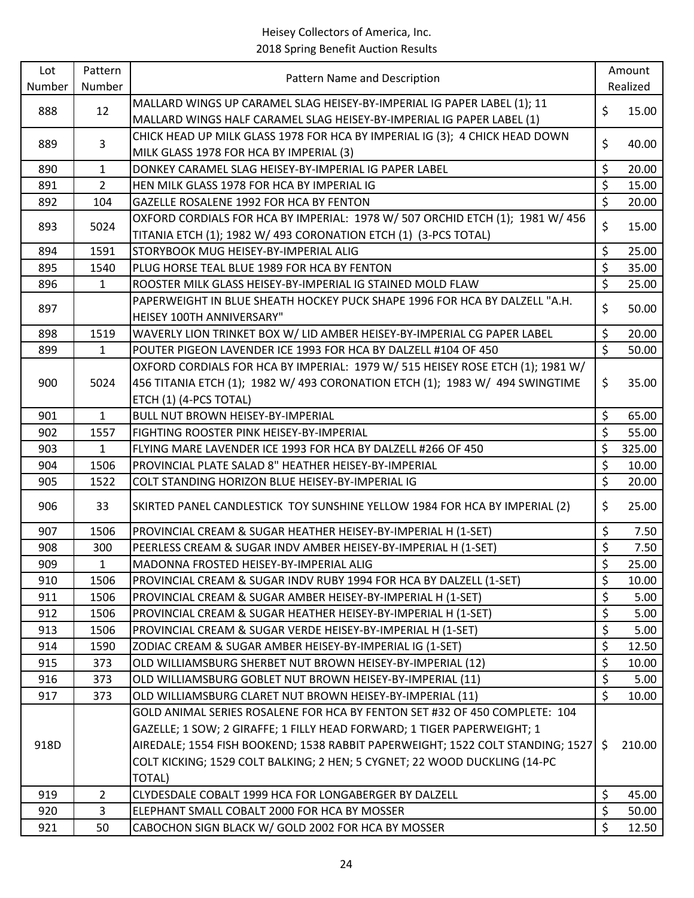| Lot    | Pattern        | Pattern Name and Description                                                                                                                     |                         | Amount   |
|--------|----------------|--------------------------------------------------------------------------------------------------------------------------------------------------|-------------------------|----------|
| Number | Number         |                                                                                                                                                  |                         | Realized |
| 888    | 12             | MALLARD WINGS UP CARAMEL SLAG HEISEY-BY-IMPERIAL IG PAPER LABEL (1); 11<br>MALLARD WINGS HALF CARAMEL SLAG HEISEY-BY-IMPERIAL IG PAPER LABEL (1) | \$                      | 15.00    |
|        |                | CHICK HEAD UP MILK GLASS 1978 FOR HCA BY IMPERIAL IG (3); 4 CHICK HEAD DOWN                                                                      |                         |          |
| 889    | 3              | MILK GLASS 1978 FOR HCA BY IMPERIAL (3)                                                                                                          | \$                      | 40.00    |
| 890    | $\mathbf{1}$   | DONKEY CARAMEL SLAG HEISEY-BY-IMPERIAL IG PAPER LABEL                                                                                            | \$                      | 20.00    |
| 891    | $\overline{2}$ | HEN MILK GLASS 1978 FOR HCA BY IMPERIAL IG                                                                                                       | \$                      | 15.00    |
| 892    | 104            | GAZELLE ROSALENE 1992 FOR HCA BY FENTON                                                                                                          | $\zeta$                 | 20.00    |
| 893    | 5024           | OXFORD CORDIALS FOR HCA BY IMPERIAL: 1978 W/ 507 ORCHID ETCH (1); 1981 W/ 456                                                                    | \$                      | 15.00    |
|        |                | TITANIA ETCH (1); 1982 W/ 493 CORONATION ETCH (1) (3-PCS TOTAL)                                                                                  |                         |          |
| 894    | 1591           | STORYBOOK MUG HEISEY-BY-IMPERIAL ALIG                                                                                                            | \$                      | 25.00    |
| 895    | 1540           | PLUG HORSE TEAL BLUE 1989 FOR HCA BY FENTON                                                                                                      | \$                      | 35.00    |
| 896    | $\mathbf{1}$   | ROOSTER MILK GLASS HEISEY-BY-IMPERIAL IG STAINED MOLD FLAW                                                                                       | \$                      | 25.00    |
| 897    |                | PAPERWEIGHT IN BLUE SHEATH HOCKEY PUCK SHAPE 1996 FOR HCA BY DALZELL "A.H.<br>HEISEY 100TH ANNIVERSARY"                                          | \$                      | 50.00    |
| 898    | 1519           | WAVERLY LION TRINKET BOX W/ LID AMBER HEISEY-BY-IMPERIAL CG PAPER LABEL                                                                          | \$                      | 20.00    |
| 899    | $\mathbf{1}$   | POUTER PIGEON LAVENDER ICE 1993 FOR HCA BY DALZELL #104 OF 450                                                                                   | $\zeta$                 | 50.00    |
|        |                | OXFORD CORDIALS FOR HCA BY IMPERIAL: 1979 W/ 515 HEISEY ROSE ETCH (1); 1981 W/                                                                   |                         |          |
| 900    | 5024           | 456 TITANIA ETCH (1); 1982 W/ 493 CORONATION ETCH (1); 1983 W/ 494 SWINGTIME                                                                     | \$                      | 35.00    |
|        |                | ETCH (1) (4-PCS TOTAL)                                                                                                                           |                         |          |
| 901    | $\mathbf{1}$   | BULL NUT BROWN HEISEY-BY-IMPERIAL                                                                                                                | \$                      | 65.00    |
| 902    | 1557           | FIGHTING ROOSTER PINK HEISEY-BY-IMPERIAL                                                                                                         | \$                      | 55.00    |
| 903    | $\mathbf{1}$   | FLYING MARE LAVENDER ICE 1993 FOR HCA BY DALZELL #266 OF 450                                                                                     | \$                      | 325.00   |
| 904    | 1506           | PROVINCIAL PLATE SALAD 8" HEATHER HEISEY-BY-IMPERIAL                                                                                             | \$                      | 10.00    |
| 905    | 1522           | COLT STANDING HORIZON BLUE HEISEY-BY-IMPERIAL IG                                                                                                 | $\zeta$                 | 20.00    |
| 906    | 33             | SKIRTED PANEL CANDLESTICK TOY SUNSHINE YELLOW 1984 FOR HCA BY IMPERIAL (2)                                                                       | \$                      | 25.00    |
| 907    | 1506           | PROVINCIAL CREAM & SUGAR HEATHER HEISEY-BY-IMPERIAL H (1-SET)                                                                                    | \$                      | 7.50     |
| 908    | 300            | PEERLESS CREAM & SUGAR INDV AMBER HEISEY-BY-IMPERIAL H (1-SET)                                                                                   | \$                      | 7.50     |
| 909    | 1              | MADONNA FROSTED HEISEY-BY-IMPERIAL ALIG                                                                                                          | $\overline{\mathsf{S}}$ | 25.00    |
| 910    | 1506           | PROVINCIAL CREAM & SUGAR INDV RUBY 1994 FOR HCA BY DALZELL (1-SET)                                                                               | \$                      | 10.00    |
| 911    | 1506           | PROVINCIAL CREAM & SUGAR AMBER HEISEY-BY-IMPERIAL H (1-SET)                                                                                      | \$                      | 5.00     |
| 912    | 1506           | PROVINCIAL CREAM & SUGAR HEATHER HEISEY-BY-IMPERIAL H (1-SET)                                                                                    | \$                      | 5.00     |
| 913    | 1506           | PROVINCIAL CREAM & SUGAR VERDE HEISEY-BY-IMPERIAL H (1-SET)                                                                                      | \$                      | 5.00     |
| 914    | 1590           | ZODIAC CREAM & SUGAR AMBER HEISEY-BY-IMPERIAL IG (1-SET)                                                                                         | \$                      | 12.50    |
| 915    | 373            | OLD WILLIAMSBURG SHERBET NUT BROWN HEISEY-BY-IMPERIAL (12)                                                                                       | \$                      | 10.00    |
| 916    | 373            | OLD WILLIAMSBURG GOBLET NUT BROWN HEISEY-BY-IMPERIAL (11)                                                                                        | \$                      | 5.00     |
| 917    | 373            | OLD WILLIAMSBURG CLARET NUT BROWN HEISEY-BY-IMPERIAL (11)                                                                                        | \$                      | 10.00    |
|        |                | GOLD ANIMAL SERIES ROSALENE FOR HCA BY FENTON SET #32 OF 450 COMPLETE: 104                                                                       |                         |          |
|        |                | GAZELLE; 1 SOW; 2 GIRAFFE; 1 FILLY HEAD FORWARD; 1 TIGER PAPERWEIGHT; 1                                                                          |                         |          |
| 918D   |                | AIREDALE; 1554 FISH BOOKEND; 1538 RABBIT PAPERWEIGHT; 1522 COLT STANDING; 1527                                                                   | \$                      | 210.00   |
|        |                | COLT KICKING; 1529 COLT BALKING; 2 HEN; 5 CYGNET; 22 WOOD DUCKLING (14-PC                                                                        |                         |          |
|        |                | TOTAL)                                                                                                                                           |                         |          |
| 919    | $\overline{2}$ | CLYDESDALE COBALT 1999 HCA FOR LONGABERGER BY DALZELL                                                                                            | \$                      | 45.00    |
| 920    | 3              | ELEPHANT SMALL COBALT 2000 FOR HCA BY MOSSER                                                                                                     | \$                      | 50.00    |
| 921    | 50             | CABOCHON SIGN BLACK W/ GOLD 2002 FOR HCA BY MOSSER                                                                                               | \$                      | 12.50    |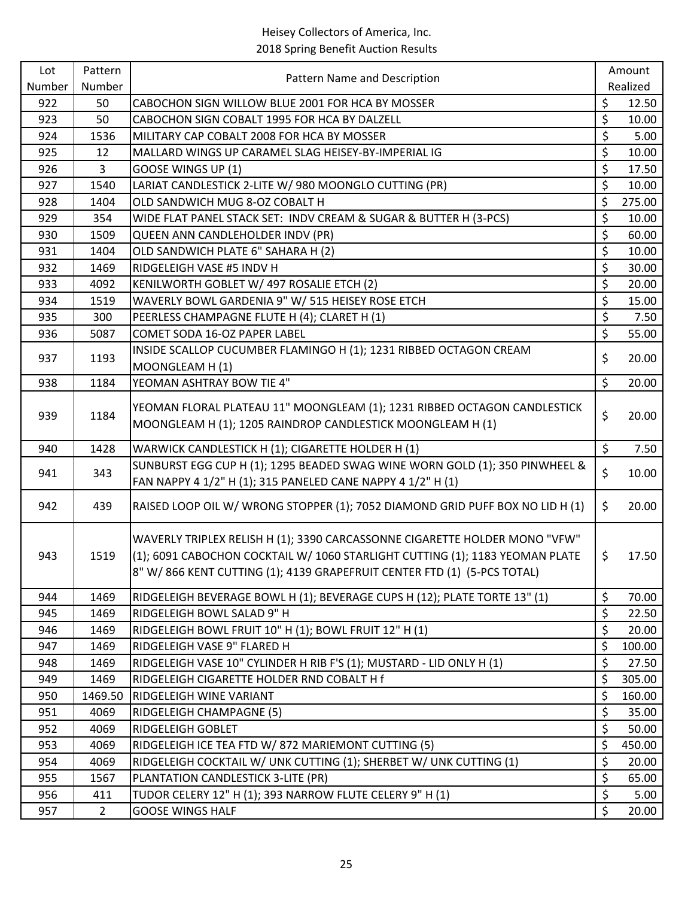| Lot    | Pattern        | Pattern Name and Description                                                  | Amount       |
|--------|----------------|-------------------------------------------------------------------------------|--------------|
| Number | Number         |                                                                               | Realized     |
| 922    | 50             | CABOCHON SIGN WILLOW BLUE 2001 FOR HCA BY MOSSER                              | \$<br>12.50  |
| 923    | 50             | CABOCHON SIGN COBALT 1995 FOR HCA BY DALZELL                                  | \$<br>10.00  |
| 924    | 1536           | MILITARY CAP COBALT 2008 FOR HCA BY MOSSER                                    | \$<br>5.00   |
| 925    | 12             | MALLARD WINGS UP CARAMEL SLAG HEISEY-BY-IMPERIAL IG                           | \$<br>10.00  |
| 926    | 3              | GOOSE WINGS UP (1)                                                            | \$<br>17.50  |
| 927    | 1540           | LARIAT CANDLESTICK 2-LITE W/ 980 MOONGLO CUTTING (PR)                         | \$<br>10.00  |
| 928    | 1404           | OLD SANDWICH MUG 8-OZ COBALT H                                                | \$<br>275.00 |
| 929    | 354            | WIDE FLAT PANEL STACK SET: INDV CREAM & SUGAR & BUTTER H (3-PCS)              | \$<br>10.00  |
| 930    | 1509           | QUEEN ANN CANDLEHOLDER INDV (PR)                                              | \$<br>60.00  |
| 931    | 1404           | OLD SANDWICH PLATE 6" SAHARA H (2)                                            | \$<br>10.00  |
| 932    | 1469           | RIDGELEIGH VASE #5 INDV H                                                     | \$<br>30.00  |
| 933    | 4092           | KENILWORTH GOBLET W/ 497 ROSALIE ETCH (2)                                     | \$<br>20.00  |
| 934    | 1519           | WAVERLY BOWL GARDENIA 9" W/ 515 HEISEY ROSE ETCH                              | \$<br>15.00  |
| 935    | 300            | PEERLESS CHAMPAGNE FLUTE H (4); CLARET H (1)                                  | \$<br>7.50   |
| 936    | 5087           | COMET SODA 16-OZ PAPER LABEL                                                  | \$<br>55.00  |
| 937    | 1193           | INSIDE SCALLOP CUCUMBER FLAMINGO H (1); 1231 RIBBED OCTAGON CREAM             | \$<br>20.00  |
|        |                | MOONGLEAM H (1)                                                               |              |
| 938    | 1184           | YEOMAN ASHTRAY BOW TIE 4"                                                     | \$<br>20.00  |
|        |                | YEOMAN FLORAL PLATEAU 11" MOONGLEAM (1); 1231 RIBBED OCTAGON CANDLESTICK      |              |
| 939    | 1184           | MOONGLEAM H (1); 1205 RAINDROP CANDLESTICK MOONGLEAM H (1)                    | \$<br>20.00  |
|        |                |                                                                               |              |
| 940    | 1428           | WARWICK CANDLESTICK H (1); CIGARETTE HOLDER H (1)                             | \$<br>7.50   |
| 941    | 343            | SUNBURST EGG CUP H (1); 1295 BEADED SWAG WINE WORN GOLD (1); 350 PINWHEEL &   | \$<br>10.00  |
|        |                | FAN NAPPY 4 1/2" H (1); 315 PANELED CANE NAPPY 4 1/2" H (1)                   |              |
| 942    | 439            | RAISED LOOP OIL W/ WRONG STOPPER (1); 7052 DIAMOND GRID PUFF BOX NO LID H (1) | \$<br>20.00  |
|        |                | WAVERLY TRIPLEX RELISH H (1); 3390 CARCASSONNE CIGARETTE HOLDER MONO "VFW"    |              |
| 943    | 1519           | (1); 6091 CABOCHON COCKTAIL W/ 1060 STARLIGHT CUTTING (1); 1183 YEOMAN PLATE  | \$<br>17.50  |
|        |                | 8" W/866 KENT CUTTING (1); 4139 GRAPEFRUIT CENTER FTD (1) (5-PCS TOTAL)       |              |
|        |                |                                                                               |              |
| 944    | 1469           | RIDGELEIGH BEVERAGE BOWL H (1); BEVERAGE CUPS H (12); PLATE TORTE 13" (1)     | \$<br>70.00  |
| 945    | 1469           | RIDGELEIGH BOWL SALAD 9" H                                                    | \$<br>22.50  |
| 946    | 1469           | RIDGELEIGH BOWL FRUIT 10" H (1); BOWL FRUIT 12" H (1)                         | \$<br>20.00  |
| 947    | 1469           | RIDGELEIGH VASE 9" FLARED H                                                   | \$<br>100.00 |
| 948    | 1469           | RIDGELEIGH VASE 10" CYLINDER H RIB F'S (1); MUSTARD - LID ONLY H (1)          | \$<br>27.50  |
| 949    | 1469           | RIDGELEIGH CIGARETTE HOLDER RND COBALT H f                                    | \$<br>305.00 |
| 950    | 1469.50        | RIDGELEIGH WINE VARIANT                                                       | \$<br>160.00 |
| 951    | 4069           | RIDGELEIGH CHAMPAGNE (5)                                                      | \$<br>35.00  |
| 952    | 4069           | RIDGELEIGH GOBLET                                                             | \$<br>50.00  |
| 953    | 4069           | RIDGELEIGH ICE TEA FTD W/ 872 MARIEMONT CUTTING (5)                           | \$<br>450.00 |
| 954    | 4069           | RIDGELEIGH COCKTAIL W/ UNK CUTTING (1); SHERBET W/ UNK CUTTING (1)            | \$<br>20.00  |
| 955    | 1567           | PLANTATION CANDLESTICK 3-LITE (PR)                                            | \$<br>65.00  |
| 956    | 411            | TUDOR CELERY 12" H (1); 393 NARROW FLUTE CELERY 9" H (1)                      | \$<br>5.00   |
| 957    | $\overline{2}$ | <b>GOOSE WINGS HALF</b>                                                       | \$<br>20.00  |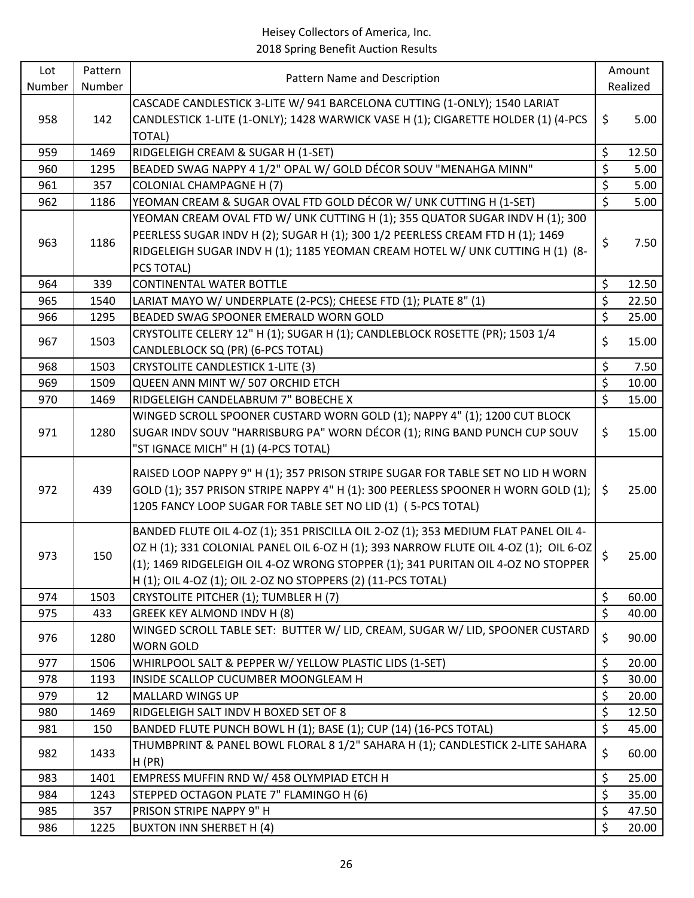| Lot    | Pattern | Pattern Name and Description                                                         |                         | Amount   |
|--------|---------|--------------------------------------------------------------------------------------|-------------------------|----------|
| Number | Number  |                                                                                      |                         | Realized |
|        |         | CASCADE CANDLESTICK 3-LITE W/ 941 BARCELONA CUTTING (1-ONLY); 1540 LARIAT            |                         |          |
| 958    | 142     | CANDLESTICK 1-LITE (1-ONLY); 1428 WARWICK VASE H (1); CIGARETTE HOLDER (1) (4-PCS    | \$                      | 5.00     |
|        |         | <b>TOTAL)</b>                                                                        |                         |          |
| 959    | 1469    | RIDGELEIGH CREAM & SUGAR H (1-SET)                                                   | \$                      | 12.50    |
| 960    | 1295    | BEADED SWAG NAPPY 4 1/2" OPAL W/ GOLD DÉCOR SOUV "MENAHGA MINN"                      | $\zeta$                 | 5.00     |
| 961    | 357     | <b>COLONIAL CHAMPAGNE H (7)</b>                                                      | \$                      | 5.00     |
| 962    | 1186    | YEOMAN CREAM & SUGAR OVAL FTD GOLD DÉCOR W/ UNK CUTTING H (1-SET)                    | $\overline{\mathsf{S}}$ | 5.00     |
|        |         | YEOMAN CREAM OVAL FTD W/ UNK CUTTING H (1); 355 QUATOR SUGAR INDV H (1); 300         |                         |          |
| 963    | 1186    | PEERLESS SUGAR INDV H (2); SUGAR H (1); 300 1/2 PEERLESS CREAM FTD H (1); 1469       | \$                      | 7.50     |
|        |         | RIDGELEIGH SUGAR INDV H (1); 1185 YEOMAN CREAM HOTEL W/ UNK CUTTING H (1) (8-        |                         |          |
|        |         | PCS TOTAL)                                                                           |                         |          |
| 964    | 339     | <b>CONTINENTAL WATER BOTTLE</b>                                                      | \$                      | 12.50    |
| 965    | 1540    | LARIAT MAYO W/ UNDERPLATE (2-PCS); CHEESE FTD (1); PLATE 8" (1)                      | \$                      | 22.50    |
| 966    | 1295    | BEADED SWAG SPOONER EMERALD WORN GOLD                                                | \$                      | 25.00    |
| 967    | 1503    | CRYSTOLITE CELERY 12" H (1); SUGAR H (1); CANDLEBLOCK ROSETTE (PR); 1503 1/4         | \$                      | 15.00    |
|        |         | CANDLEBLOCK SQ (PR) (6-PCS TOTAL)                                                    |                         |          |
| 968    | 1503    | <b>CRYSTOLITE CANDLESTICK 1-LITE (3)</b>                                             | \$                      | 7.50     |
| 969    | 1509    | QUEEN ANN MINT W/ 507 ORCHID ETCH                                                    | \$                      | 10.00    |
| 970    | 1469    | RIDGELEIGH CANDELABRUM 7" BOBECHE X                                                  | $\mathsf{S}$            | 15.00    |
|        |         | WINGED SCROLL SPOONER CUSTARD WORN GOLD (1); NAPPY 4" (1); 1200 CUT BLOCK            |                         |          |
| 971    | 1280    | SUGAR INDV SOUV "HARRISBURG PA" WORN DÉCOR (1); RING BAND PUNCH CUP SOUV             | \$                      | 15.00    |
|        |         | "ST IGNACE MICH" H (1) (4-PCS TOTAL)                                                 |                         |          |
|        |         | RAISED LOOP NAPPY 9" H (1); 357 PRISON STRIPE SUGAR FOR TABLE SET NO LID H WORN      |                         |          |
| 972    | 439     | GOLD (1); 357 PRISON STRIPE NAPPY 4" H (1): 300 PEERLESS SPOONER H WORN GOLD (1);    | \$                      | 25.00    |
|        |         | 1205 FANCY LOOP SUGAR FOR TABLE SET NO LID (1) (5-PCS TOTAL)                         |                         |          |
|        |         | BANDED FLUTE OIL 4-OZ (1); 351 PRISCILLA OIL 2-OZ (1); 353 MEDIUM FLAT PANEL OIL 4-  |                         |          |
|        |         | OZ H (1); 331 COLONIAL PANEL OIL 6-OZ H (1); 393 NARROW FLUTE OIL 4-OZ (1); OIL 6-OZ |                         |          |
| 973    | 150     | (1); 1469 RIDGELEIGH OIL 4-OZ WRONG STOPPER (1); 341 PURITAN OIL 4-OZ NO STOPPER     | \$                      | 25.00    |
|        |         | H (1); OIL 4-OZ (1); OIL 2-OZ NO STOPPERS (2) (11-PCS TOTAL)                         |                         |          |
| 974    | 1503    | CRYSTOLITE PITCHER (1); TUMBLER H (7)                                                | \$                      | 60.00    |
| 975    | 433     | GREEK KEY ALMOND INDV H (8)                                                          | \$                      | 40.00    |
|        |         | WINGED SCROLL TABLE SET: BUTTER W/ LID, CREAM, SUGAR W/ LID, SPOONER CUSTARD         |                         |          |
| 976    | 1280    | <b>WORN GOLD</b>                                                                     | \$                      | 90.00    |
| 977    | 1506    | WHIRLPOOL SALT & PEPPER W/ YELLOW PLASTIC LIDS (1-SET)                               | \$                      | 20.00    |
| 978    | 1193    | INSIDE SCALLOP CUCUMBER MOONGLEAM H                                                  | \$                      | 30.00    |
| 979    | 12      | MALLARD WINGS UP                                                                     | \$                      | 20.00    |
| 980    | 1469    | RIDGELEIGH SALT INDV H BOXED SET OF 8                                                | \$                      | 12.50    |
| 981    | 150     | BANDED FLUTE PUNCH BOWL H (1); BASE (1); CUP (14) (16-PCS TOTAL)                     | \$                      | 45.00    |
|        |         | THUMBPRINT & PANEL BOWL FLORAL 8 1/2" SAHARA H (1); CANDLESTICK 2-LITE SAHARA        | \$                      |          |
| 982    | 1433    | H(PR)                                                                                |                         | 60.00    |
| 983    | 1401    | EMPRESS MUFFIN RND W/ 458 OLYMPIAD ETCH H                                            | \$                      | 25.00    |
| 984    | 1243    | STEPPED OCTAGON PLATE 7" FLAMINGO H (6)                                              | \$                      | 35.00    |
| 985    | 357     | PRISON STRIPE NAPPY 9" H                                                             | \$                      | 47.50    |
| 986    | 1225    | <b>BUXTON INN SHERBET H (4)</b>                                                      | \$                      | 20.00    |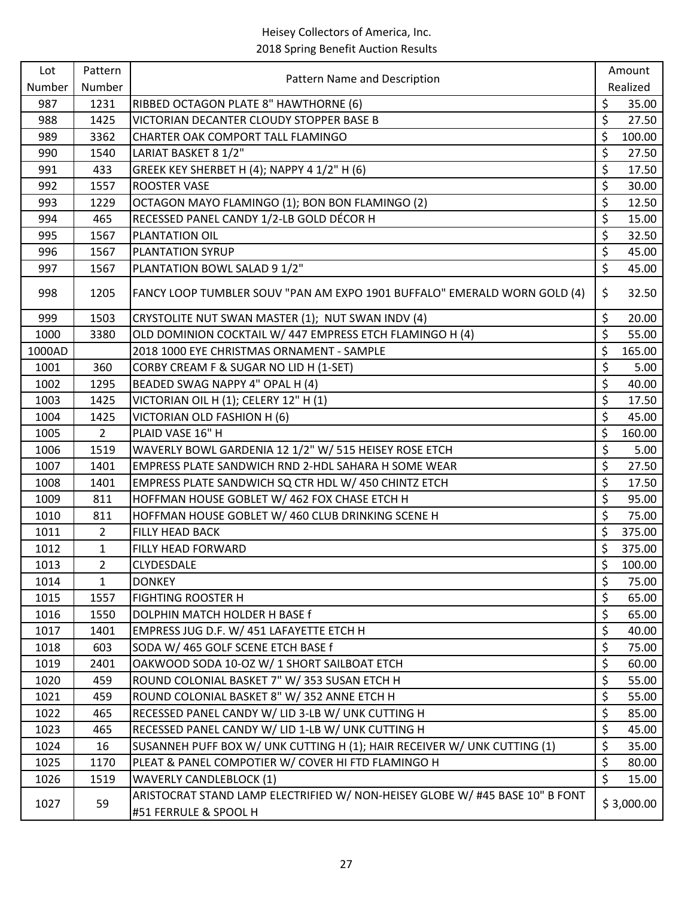| Lot<br>Pattern<br>Pattern Name and Description | Amount         |                                                                                                       |                  |            |
|------------------------------------------------|----------------|-------------------------------------------------------------------------------------------------------|------------------|------------|
| Number                                         | Number         |                                                                                                       |                  | Realized   |
| 987                                            | 1231           | RIBBED OCTAGON PLATE 8" HAWTHORNE (6)                                                                 | \$               | 35.00      |
| 988                                            | 1425           | VICTORIAN DECANTER CLOUDY STOPPER BASE B                                                              | \$               | 27.50      |
| 989                                            | 3362           | CHARTER OAK COMPORT TALL FLAMINGO                                                                     | \$               | 100.00     |
| 990                                            | 1540           | LARIAT BASKET 8 1/2"                                                                                  | \$               | 27.50      |
| 991                                            | 433            | GREEK KEY SHERBET H (4); NAPPY 4 1/2" H (6)                                                           | \$               | 17.50      |
| 992                                            | 1557           | <b>ROOSTER VASE</b>                                                                                   | \$               | 30.00      |
| 993                                            | 1229           | OCTAGON MAYO FLAMINGO (1); BON BON FLAMINGO (2)                                                       | $\overline{\xi}$ | 12.50      |
| 994                                            | 465            | RECESSED PANEL CANDY 1/2-LB GOLD DÉCOR H                                                              | $\overline{\xi}$ | 15.00      |
| 995                                            | 1567           | PLANTATION OIL                                                                                        | \$               | 32.50      |
| 996                                            | 1567           | PLANTATION SYRUP                                                                                      | \$               | 45.00      |
| 997                                            | 1567           | PLANTATION BOWL SALAD 9 1/2"                                                                          | $\overline{\xi}$ | 45.00      |
| 998                                            | 1205           | FANCY LOOP TUMBLER SOUV "PAN AM EXPO 1901 BUFFALO" EMERALD WORN GOLD (4)                              | \$               | 32.50      |
| 999                                            | 1503           | CRYSTOLITE NUT SWAN MASTER (1); NUT SWAN INDV (4)                                                     | \$               | 20.00      |
| 1000                                           | 3380           | OLD DOMINION COCKTAIL W/ 447 EMPRESS ETCH FLAMINGO H (4)                                              | \$               | 55.00      |
| 1000AD                                         |                | 2018 1000 EYE CHRISTMAS ORNAMENT - SAMPLE                                                             | \$               | 165.00     |
| 1001                                           | 360            | CORBY CREAM F & SUGAR NO LID H (1-SET)                                                                | \$               | 5.00       |
| 1002                                           | 1295           | BEADED SWAG NAPPY 4" OPAL H (4)                                                                       | \$               | 40.00      |
| 1003                                           | 1425           | VICTORIAN OIL H (1); CELERY 12" H (1)                                                                 | \$               | 17.50      |
| 1004                                           | 1425           | VICTORIAN OLD FASHION H (6)                                                                           | \$               | 45.00      |
| 1005                                           | $2^{\circ}$    | PLAID VASE 16" H                                                                                      | \$               | 160.00     |
| 1006                                           | 1519           | WAVERLY BOWL GARDENIA 12 1/2" W/ 515 HEISEY ROSE ETCH                                                 | \$               | 5.00       |
| 1007                                           | 1401           | EMPRESS PLATE SANDWICH RND 2-HDL SAHARA H SOME WEAR                                                   | \$               | 27.50      |
| 1008                                           | 1401           | EMPRESS PLATE SANDWICH SQ CTR HDL W/ 450 CHINTZ ETCH                                                  | \$               | 17.50      |
| 1009                                           | 811            | HOFFMAN HOUSE GOBLET W/ 462 FOX CHASE ETCH H                                                          | \$               | 95.00      |
| 1010                                           | 811            | HOFFMAN HOUSE GOBLET W/ 460 CLUB DRINKING SCENE H                                                     | $\overline{\xi}$ | 75.00      |
| 1011                                           | $\overline{2}$ | FILLY HEAD BACK                                                                                       | \$               | 375.00     |
| 1012                                           | 1              | FILLY HEAD FORWARD                                                                                    | $\zeta$          | 375.00     |
| 1013                                           | $\overline{2}$ | CLYDESDALE                                                                                            | \$               | 100.00     |
| 1014                                           | $\mathbf{1}$   | <b>DONKEY</b>                                                                                         | \$               | 75.00      |
| 1015                                           | 1557           | <b>FIGHTING ROOSTER H</b>                                                                             | \$               | 65.00      |
| 1016                                           | 1550           | DOLPHIN MATCH HOLDER H BASE f                                                                         | \$               | 65.00      |
| 1017                                           | 1401           | EMPRESS JUG D.F. W/ 451 LAFAYETTE ETCH H                                                              | \$               | 40.00      |
| 1018                                           | 603            | SODA W/465 GOLF SCENE ETCH BASE f                                                                     | \$               | 75.00      |
| 1019                                           | 2401           | OAKWOOD SODA 10-OZ W/ 1 SHORT SAILBOAT ETCH                                                           | \$               | 60.00      |
| 1020                                           | 459            | ROUND COLONIAL BASKET 7" W/353 SUSAN ETCH H                                                           | \$               | 55.00      |
| 1021                                           | 459            | ROUND COLONIAL BASKET 8" W/352 ANNE ETCH H                                                            | \$               | 55.00      |
| 1022                                           | 465            | RECESSED PANEL CANDY W/ LID 3-LB W/ UNK CUTTING H                                                     | \$               | 85.00      |
| 1023                                           | 465            | RECESSED PANEL CANDY W/ LID 1-LB W/ UNK CUTTING H                                                     | \$               | 45.00      |
| 1024                                           | 16             | SUSANNEH PUFF BOX W/ UNK CUTTING H (1); HAIR RECEIVER W/ UNK CUTTING (1)                              | \$               | 35.00      |
| 1025                                           | 1170           | PLEAT & PANEL COMPOTIER W/ COVER HI FTD FLAMINGO H                                                    | \$               | 80.00      |
| 1026                                           | 1519           | <b>WAVERLY CANDLEBLOCK (1)</b>                                                                        | \$               | 15.00      |
| 1027                                           | 59             | ARISTOCRAT STAND LAMP ELECTRIFIED W/ NON-HEISEY GLOBE W/ #45 BASE 10" B FONT<br>#51 FERRULE & SPOOL H |                  | \$3,000.00 |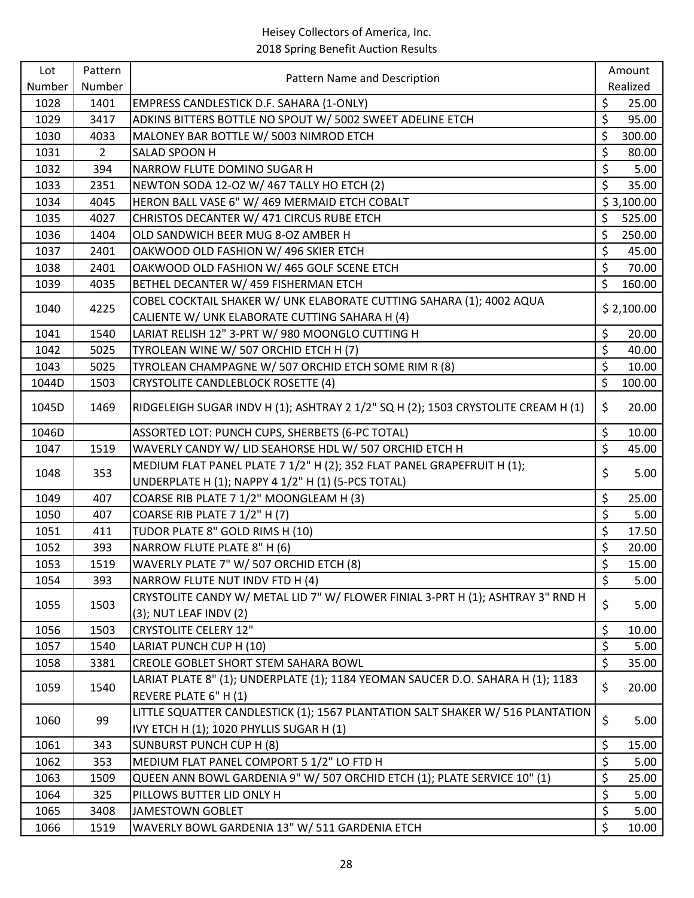| Lot    | Pattern        |                                                                                   |                  | Amount     |
|--------|----------------|-----------------------------------------------------------------------------------|------------------|------------|
| Number | Number         | Pattern Name and Description                                                      |                  | Realized   |
| 1028   | 1401           | EMPRESS CANDLESTICK D.F. SAHARA (1-ONLY)                                          | \$               | 25.00      |
| 1029   | 3417           | ADKINS BITTERS BOTTLE NO SPOUT W/ 5002 SWEET ADELINE ETCH                         | \$               | 95.00      |
| 1030   | 4033           | MALONEY BAR BOTTLE W/ 5003 NIMROD ETCH                                            | \$               | 300.00     |
| 1031   | $\overline{2}$ | SALAD SPOON H                                                                     | \$               | 80.00      |
| 1032   | 394            | NARROW FLUTE DOMINO SUGAR H                                                       | \$               | 5.00       |
| 1033   | 2351           | NEWTON SODA 12-OZ W/ 467 TALLY HO ETCH (2)                                        | \$               | 35.00      |
| 1034   | 4045           | HERON BALL VASE 6" W/ 469 MERMAID ETCH COBALT                                     |                  | \$3,100.00 |
| 1035   | 4027           | CHRISTOS DECANTER W/ 471 CIRCUS RUBE ETCH                                         | \$               | 525.00     |
| 1036   | 1404           | OLD SANDWICH BEER MUG 8-OZ AMBER H                                                | \$               | 250.00     |
| 1037   | 2401           | OAKWOOD OLD FASHION W/496 SKIER ETCH                                              | \$               | 45.00      |
| 1038   | 2401           | OAKWOOD OLD FASHION W/465 GOLF SCENE ETCH                                         | \$               | 70.00      |
| 1039   | 4035           | BETHEL DECANTER W/ 459 FISHERMAN ETCH                                             | \$               | 160.00     |
|        |                | COBEL COCKTAIL SHAKER W/ UNK ELABORATE CUTTING SAHARA (1); 4002 AQUA              |                  |            |
| 1040   | 4225           | CALIENTE W/ UNK ELABORATE CUTTING SAHARA H (4)                                    |                  | \$2,100.00 |
| 1041   | 1540           | LARIAT RELISH 12" 3-PRT W/ 980 MOONGLO CUTTING H                                  | \$               | 20.00      |
| 1042   | 5025           | TYROLEAN WINE W/ 507 ORCHID ETCH H (7)                                            | \$               | 40.00      |
| 1043   | 5025           | TYROLEAN CHAMPAGNE W/ 507 ORCHID ETCH SOME RIM R (8)                              | \$               | 10.00      |
| 1044D  | 1503           | <b>CRYSTOLITE CANDLEBLOCK ROSETTE (4)</b>                                         | $\zeta$          | 100.00     |
| 1045D  | 1469           | RIDGELEIGH SUGAR INDV H (1); ASHTRAY 2 1/2" SQ H (2); 1503 CRYSTOLITE CREAM H (1) | \$               | 20.00      |
| 1046D  |                | ASSORTED LOT: PUNCH CUPS, SHERBETS (6-PC TOTAL)                                   | \$               | 10.00      |
| 1047   | 1519           | WAVERLY CANDY W/ LID SEAHORSE HDL W/ 507 ORCHID ETCH H                            | \$               | 45.00      |
|        |                | MEDIUM FLAT PANEL PLATE 7 1/2" H (2); 352 FLAT PANEL GRAPEFRUIT H (1);            |                  |            |
| 1048   | 353            | UNDERPLATE H (1); NAPPY 4 1/2" H (1) (5-PCS TOTAL)                                | \$               | 5.00       |
| 1049   | 407            | COARSE RIB PLATE 7 1/2" MOONGLEAM H (3)                                           | \$               | 25.00      |
| 1050   | 407            | COARSE RIB PLATE 7 1/2" H (7)                                                     | \$               | 5.00       |
| 1051   | 411            | TUDOR PLATE 8" GOLD RIMS H (10)                                                   | \$               | 17.50      |
| 1052   | 393            | NARROW FLUTE PLATE 8" H (6)                                                       | \$               | 20.00      |
| 1053   | 1519           | WAVERLY PLATE 7" W/ 507 ORCHID ETCH (8)                                           | \$               | 15.00      |
| 1054   | 393            | NARROW FLUTE NUT INDV FTD H (4)                                                   | \$               | 5.00       |
|        |                | CRYSTOLITE CANDY W/ METAL LID 7" W/ FLOWER FINIAL 3-PRT H (1); ASHTRAY 3" RND H   | \$               |            |
| 1055   | 1503           | (3); NUT LEAF INDV (2)                                                            |                  | 5.00       |
| 1056   | 1503           | <b>CRYSTOLITE CELERY 12"</b>                                                      | \$               | 10.00      |
| 1057   | 1540           | LARIAT PUNCH CUP H (10)                                                           | $\overline{\xi}$ | 5.00       |
| 1058   | 3381           | CREOLE GOBLET SHORT STEM SAHARA BOWL                                              | \$               | 35.00      |
|        | 1540           | LARIAT PLATE 8" (1); UNDERPLATE (1); 1184 YEOMAN SAUCER D.O. SAHARA H (1); 1183   | \$               |            |
| 1059   |                | REVERE PLATE 6" H (1)                                                             |                  | 20.00      |
| 1060   | 99             | LITTLE SQUATTER CANDLESTICK (1); 1567 PLANTATION SALT SHAKER W/ 516 PLANTATION    | \$               | 5.00       |
|        |                | IVY ETCH H (1); 1020 PHYLLIS SUGAR H (1)                                          |                  |            |
| 1061   | 343            | <b>SUNBURST PUNCH CUP H (8)</b>                                                   | \$               | 15.00      |
| 1062   | 353            | MEDIUM FLAT PANEL COMPORT 5 1/2" LO FTD H                                         | \$               | 5.00       |
| 1063   | 1509           | QUEEN ANN BOWL GARDENIA 9" W/ 507 ORCHID ETCH (1); PLATE SERVICE 10" (1)          | \$               | 25.00      |
| 1064   | 325            | PILLOWS BUTTER LID ONLY H                                                         | \$               | 5.00       |
| 1065   | 3408           | <b>JAMESTOWN GOBLET</b>                                                           | \$               | 5.00       |
| 1066   | 1519           | WAVERLY BOWL GARDENIA 13" W/ 511 GARDENIA ETCH                                    | \$               | 10.00      |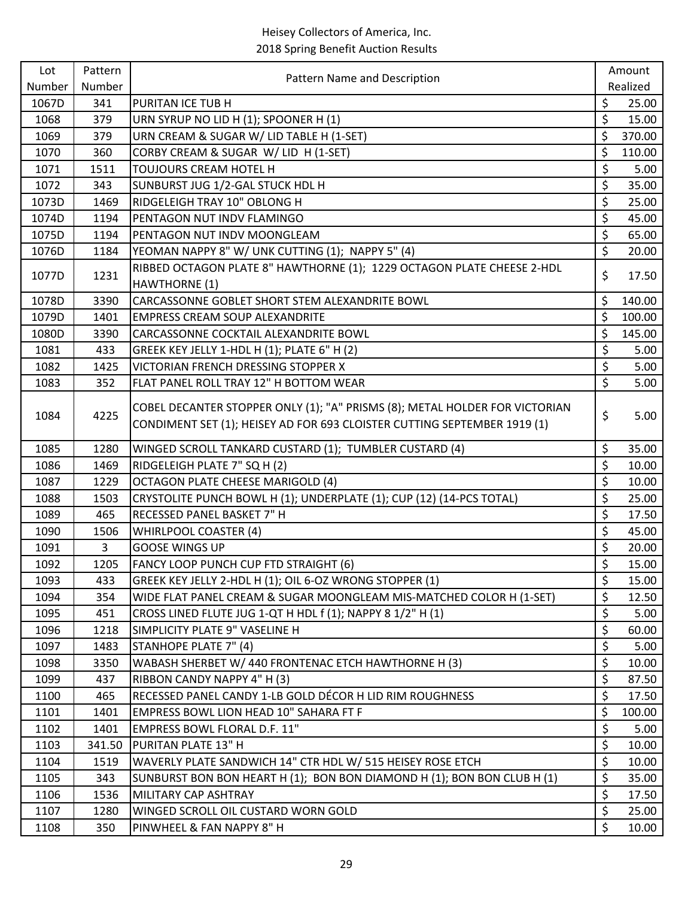| Lot    | Pattern | Pattern Name and Description                                                                                                                            |                          | Amount   |
|--------|---------|---------------------------------------------------------------------------------------------------------------------------------------------------------|--------------------------|----------|
| Number | Number  |                                                                                                                                                         |                          | Realized |
| 1067D  | 341     | PURITAN ICE TUB H                                                                                                                                       | \$                       | 25.00    |
| 1068   | 379     | URN SYRUP NO LID H (1); SPOONER H (1)                                                                                                                   | \$                       | 15.00    |
| 1069   | 379     | URN CREAM & SUGAR W/ LID TABLE H (1-SET)                                                                                                                | \$                       | 370.00   |
| 1070   | 360     | CORBY CREAM & SUGAR W/ LID H (1-SET)                                                                                                                    | \$                       | 110.00   |
| 1071   | 1511    | TOUJOURS CREAM HOTEL H                                                                                                                                  | \$                       | 5.00     |
| 1072   | 343     | SUNBURST JUG 1/2-GAL STUCK HDL H                                                                                                                        | \$                       | 35.00    |
| 1073D  | 1469    | RIDGELEIGH TRAY 10" OBLONG H                                                                                                                            | \$                       | 25.00    |
| 1074D  | 1194    | PENTAGON NUT INDV FLAMINGO                                                                                                                              | \$                       | 45.00    |
| 1075D  | 1194    | PENTAGON NUT INDV MOONGLEAM                                                                                                                             | \$                       | 65.00    |
| 1076D  | 1184    | YEOMAN NAPPY 8" W/ UNK CUTTING (1); NAPPY 5" (4)                                                                                                        | $\overline{\mathcal{S}}$ | 20.00    |
| 1077D  | 1231    | RIBBED OCTAGON PLATE 8" HAWTHORNE (1); 1229 OCTAGON PLATE CHEESE 2-HDL                                                                                  | \$                       | 17.50    |
|        |         | HAWTHORNE (1)                                                                                                                                           |                          |          |
| 1078D  | 3390    | CARCASSONNE GOBLET SHORT STEM ALEXANDRITE BOWL                                                                                                          | \$                       | 140.00   |
| 1079D  | 1401    | <b>EMPRESS CREAM SOUP ALEXANDRITE</b>                                                                                                                   | \$                       | 100.00   |
| 1080D  | 3390    | CARCASSONNE COCKTAIL ALEXANDRITE BOWL                                                                                                                   | \$                       | 145.00   |
| 1081   | 433     | GREEK KEY JELLY 1-HDL H (1); PLATE 6" H (2)                                                                                                             | \$                       | 5.00     |
| 1082   | 1425    | VICTORIAN FRENCH DRESSING STOPPER X                                                                                                                     | \$                       | 5.00     |
| 1083   | 352     | FLAT PANEL ROLL TRAY 12" H BOTTOM WEAR                                                                                                                  | \$                       | 5.00     |
| 1084   | 4225    | COBEL DECANTER STOPPER ONLY (1); "A" PRISMS (8); METAL HOLDER FOR VICTORIAN<br>CONDIMENT SET (1); HEISEY AD FOR 693 CLOISTER CUTTING SEPTEMBER 1919 (1) | \$                       | 5.00     |
| 1085   | 1280    | WINGED SCROLL TANKARD CUSTARD (1); TUMBLER CUSTARD (4)                                                                                                  | \$                       | 35.00    |
| 1086   | 1469    | RIDGELEIGH PLATE 7" SQ H (2)                                                                                                                            | \$                       | 10.00    |
| 1087   | 1229    | OCTAGON PLATE CHEESE MARIGOLD (4)                                                                                                                       | \$                       | 10.00    |
| 1088   | 1503    | CRYSTOLITE PUNCH BOWL H (1); UNDERPLATE (1); CUP (12) (14-PCS TOTAL)                                                                                    | \$                       | 25.00    |
| 1089   | 465     | RECESSED PANEL BASKET 7" H                                                                                                                              | \$                       | 17.50    |
| 1090   | 1506    | <b>WHIRLPOOL COASTER (4)</b>                                                                                                                            | \$                       | 45.00    |
| 1091   | 3       | <b>GOOSE WINGS UP</b>                                                                                                                                   | \$                       | 20.00    |
| 1092   | 1205    | FANCY LOOP PUNCH CUP FTD STRAIGHT (6)                                                                                                                   | \$                       | 15.00    |
| 1093   | 433     | GREEK KEY JELLY 2-HDL H (1); OIL 6-OZ WRONG STOPPER (1)                                                                                                 | \$                       | 15.00    |
| 1094   | 354     | WIDE FLAT PANEL CREAM & SUGAR MOONGLEAM MIS-MATCHED COLOR H (1-SET)                                                                                     | \$                       | 12.50    |
| 1095   | 451     | CROSS LINED FLUTE JUG 1-QT H HDL f (1); NAPPY 8 1/2" H (1)                                                                                              | \$                       | 5.00     |
| 1096   | 1218    | SIMPLICITY PLATE 9" VASELINE H                                                                                                                          | \$                       | 60.00    |
| 1097   | 1483    | STANHOPE PLATE 7" (4)                                                                                                                                   | \$                       | 5.00     |
| 1098   | 3350    | WABASH SHERBET W/ 440 FRONTENAC ETCH HAWTHORNE H (3)                                                                                                    | \$                       | 10.00    |
| 1099   | 437     | RIBBON CANDY NAPPY 4" H (3)                                                                                                                             | \$                       | 87.50    |
| 1100   | 465     | RECESSED PANEL CANDY 1-LB GOLD DÉCOR H LID RIM ROUGHNESS                                                                                                | \$                       | 17.50    |
| 1101   | 1401    | EMPRESS BOWL LION HEAD 10" SAHARA FT F                                                                                                                  | \$                       | 100.00   |
| 1102   | 1401    | EMPRESS BOWL FLORAL D.F. 11"                                                                                                                            | \$                       | 5.00     |
| 1103   | 341.50  | PURITAN PLATE 13" H                                                                                                                                     | \$                       | 10.00    |
| 1104   | 1519    | WAVERLY PLATE SANDWICH 14" CTR HDL W/ 515 HEISEY ROSE ETCH                                                                                              | \$                       | 10.00    |
| 1105   | 343     | SUNBURST BON BON HEART H (1); BON BON DIAMOND H (1); BON BON CLUB H (1)                                                                                 | \$                       | 35.00    |
| 1106   | 1536    | MILITARY CAP ASHTRAY                                                                                                                                    | \$                       | 17.50    |
| 1107   | 1280    | WINGED SCROLL OIL CUSTARD WORN GOLD                                                                                                                     | \$                       | 25.00    |
| 1108   | 350     | PINWHEEL & FAN NAPPY 8" H                                                                                                                               | \$                       | 10.00    |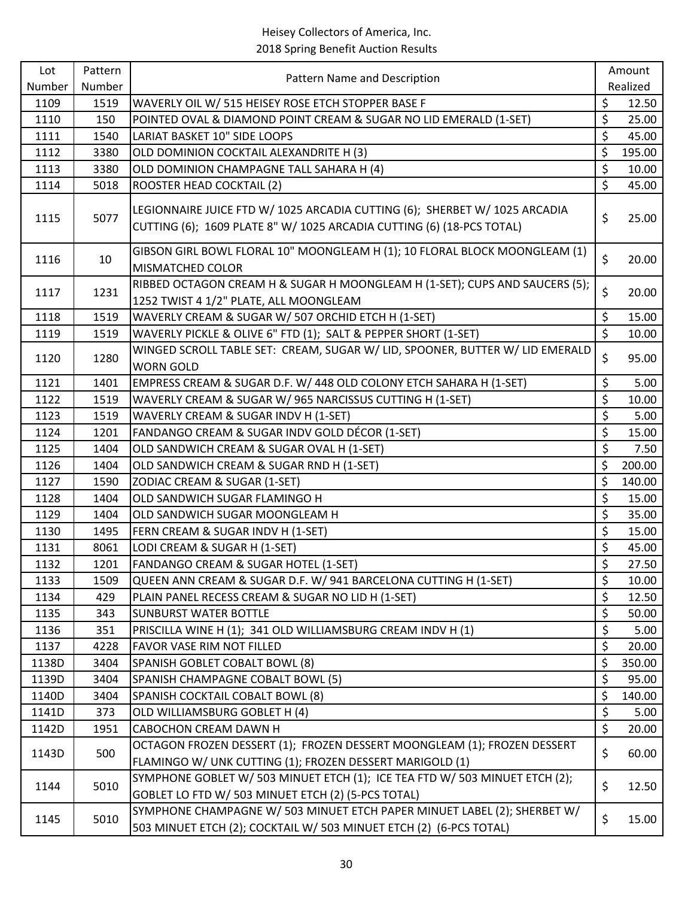| Number<br>Realized<br>Number<br>\$<br>1109<br>1519<br>WAVERLY OIL W/ 515 HEISEY ROSE ETCH STOPPER BASE F<br>12.50<br>\$<br>1110<br>25.00<br>150<br>POINTED OVAL & DIAMOND POINT CREAM & SUGAR NO LID EMERALD (1-SET)<br>\$<br>1111<br>LARIAT BASKET 10" SIDE LOOPS<br>45.00<br>1540<br>\$<br>1112<br>OLD DOMINION COCKTAIL ALEXANDRITE H (3)<br>195.00<br>3380<br>\$<br>1113<br>OLD DOMINION CHAMPAGNE TALL SAHARA H (4)<br>3380<br>10.00<br>\$<br>ROOSTER HEAD COCKTAIL (2)<br>45.00<br>1114<br>5018<br>LEGIONNAIRE JUICE FTD W/ 1025 ARCADIA CUTTING (6); SHERBET W/ 1025 ARCADIA<br>\$<br>5077<br>25.00<br>1115<br>CUTTING (6); 1609 PLATE 8" W/ 1025 ARCADIA CUTTING (6) (18-PCS TOTAL)<br>GIBSON GIRL BOWL FLORAL 10" MOONGLEAM H (1); 10 FLORAL BLOCK MOONGLEAM (1)<br>\$<br>10<br>20.00<br>1116<br>MISMATCHED COLOR<br>RIBBED OCTAGON CREAM H & SUGAR H MOONGLEAM H (1-SET); CUPS AND SAUCERS (5);<br>\$<br>20.00<br>1117<br>1231<br>1252 TWIST 4 1/2" PLATE, ALL MOONGLEAM<br>\$<br>15.00<br>1118<br>1519<br>WAVERLY CREAM & SUGAR W/ 507 ORCHID ETCH H (1-SET)<br>$\overline{\varsigma}$<br>WAVERLY PICKLE & OLIVE 6" FTD (1); SALT & PEPPER SHORT (1-SET)<br>1119<br>10.00<br>1519<br>WINGED SCROLL TABLE SET: CREAM, SUGAR W/ LID, SPOONER, BUTTER W/ LID EMERALD<br>\$<br>95.00<br>1280<br>1120<br><b>WORN GOLD</b><br>\$<br>1121<br>EMPRESS CREAM & SUGAR D.F. W/ 448 OLD COLONY ETCH SAHARA H (1-SET)<br>5.00<br>1401<br>\$<br>1122<br>WAVERLY CREAM & SUGAR W/ 965 NARCISSUS CUTTING H (1-SET)<br>10.00<br>1519<br>\$<br>1123<br>WAVERLY CREAM & SUGAR INDV H (1-SET)<br>5.00<br>1519<br>\$<br>1124<br>1201<br>FANDANGO CREAM & SUGAR INDV GOLD DÉCOR (1-SET)<br>15.00<br>\$<br>1125<br>1404<br>OLD SANDWICH CREAM & SUGAR OVAL H (1-SET)<br>7.50<br>\$<br>1126<br>1404<br>OLD SANDWICH CREAM & SUGAR RND H (1-SET)<br>200.00<br>\$<br>1127<br>140.00<br>1590<br>ZODIAC CREAM & SUGAR (1-SET)<br>\$<br>15.00<br>1128<br>1404<br>OLD SANDWICH SUGAR FLAMINGO H<br>\$<br>1129<br>35.00<br>1404<br>OLD SANDWICH SUGAR MOONGLEAM H<br>\$<br>1130<br>15.00<br>1495<br>FERN CREAM & SUGAR INDV H (1-SET)<br>\$<br>1131<br>8061<br>LODI CREAM & SUGAR H (1-SET)<br>45.00<br>\$<br>1132<br>FANDANGO CREAM & SUGAR HOTEL (1-SET)<br>1201<br>\$<br>QUEEN ANN CREAM & SUGAR D.F. W/ 941 BARCELONA CUTTING H (1-SET)<br>1133<br>1509<br>10.00<br>\$<br>PLAIN PANEL RECESS CREAM & SUGAR NO LID H (1-SET)<br>12.50<br>1134<br>429<br>\$<br>1135<br><b>SUNBURST WATER BOTTLE</b><br>50.00<br>343<br>\$<br>1136<br>351<br>PRISCILLA WINE H (1); 341 OLD WILLIAMSBURG CREAM INDV H (1)<br>5.00<br>\$<br>1137<br>20.00<br>4228<br>FAVOR VASE RIM NOT FILLED<br>\$<br>3404<br>SPANISH GOBLET COBALT BOWL (8)<br>350.00<br>1138D<br>\$<br>1139D<br>3404<br>SPANISH CHAMPAGNE COBALT BOWL (5)<br>95.00<br>\$<br>1140D<br>3404<br>SPANISH COCKTAIL COBALT BOWL (8)<br>140.00<br>\$<br>OLD WILLIAMSBURG GOBLET H (4)<br>1141D<br>373<br>5.00<br>\$<br>1142D<br>1951<br>CABOCHON CREAM DAWN H<br>20.00<br>OCTAGON FROZEN DESSERT (1); FROZEN DESSERT MOONGLEAM (1); FROZEN DESSERT<br>\$<br>60.00<br>1143D<br>500<br>FLAMINGO W/ UNK CUTTING (1); FROZEN DESSERT MARIGOLD (1)<br>SYMPHONE GOBLET W/ 503 MINUET ETCH (1); ICE TEA FTD W/ 503 MINUET ETCH (2);<br>\$<br>5010<br>12.50<br>1144<br>GOBLET LO FTD W/ 503 MINUET ETCH (2) (5-PCS TOTAL)<br>SYMPHONE CHAMPAGNE W/ 503 MINUET ETCH PAPER MINUET LABEL (2); SHERBET W/<br>\$<br>1145<br>5010<br>15.00<br>503 MINUET ETCH (2); COCKTAIL W/ 503 MINUET ETCH (2) (6-PCS TOTAL) | Lot | Pattern |                              | Amount |
|----------------------------------------------------------------------------------------------------------------------------------------------------------------------------------------------------------------------------------------------------------------------------------------------------------------------------------------------------------------------------------------------------------------------------------------------------------------------------------------------------------------------------------------------------------------------------------------------------------------------------------------------------------------------------------------------------------------------------------------------------------------------------------------------------------------------------------------------------------------------------------------------------------------------------------------------------------------------------------------------------------------------------------------------------------------------------------------------------------------------------------------------------------------------------------------------------------------------------------------------------------------------------------------------------------------------------------------------------------------------------------------------------------------------------------------------------------------------------------------------------------------------------------------------------------------------------------------------------------------------------------------------------------------------------------------------------------------------------------------------------------------------------------------------------------------------------------------------------------------------------------------------------------------------------------------------------------------------------------------------------------------------------------------------------------------------------------------------------------------------------------------------------------------------------------------------------------------------------------------------------------------------------------------------------------------------------------------------------------------------------------------------------------------------------------------------------------------------------------------------------------------------------------------------------------------------------------------------------------------------------------------------------------------------------------------------------------------------------------------------------------------------------------------------------------------------------------------------------------------------------------------------------------------------------------------------------------------------------------------------------------------------------------------------------------------------------------------------------------------------------------------------------------------------------------------------------------------------------------------------------------------------------------------------------------------------------------------------------------------------------------------------------------------------------------------------------------------------------------------------------------------------------|-----|---------|------------------------------|--------|
|                                                                                                                                                                                                                                                                                                                                                                                                                                                                                                                                                                                                                                                                                                                                                                                                                                                                                                                                                                                                                                                                                                                                                                                                                                                                                                                                                                                                                                                                                                                                                                                                                                                                                                                                                                                                                                                                                                                                                                                                                                                                                                                                                                                                                                                                                                                                                                                                                                                                                                                                                                                                                                                                                                                                                                                                                                                                                                                                                                                                                                                                                                                                                                                                                                                                                                                                                                                                                                                                                                                            |     |         | Pattern Name and Description |        |
|                                                                                                                                                                                                                                                                                                                                                                                                                                                                                                                                                                                                                                                                                                                                                                                                                                                                                                                                                                                                                                                                                                                                                                                                                                                                                                                                                                                                                                                                                                                                                                                                                                                                                                                                                                                                                                                                                                                                                                                                                                                                                                                                                                                                                                                                                                                                                                                                                                                                                                                                                                                                                                                                                                                                                                                                                                                                                                                                                                                                                                                                                                                                                                                                                                                                                                                                                                                                                                                                                                                            |     |         |                              |        |
|                                                                                                                                                                                                                                                                                                                                                                                                                                                                                                                                                                                                                                                                                                                                                                                                                                                                                                                                                                                                                                                                                                                                                                                                                                                                                                                                                                                                                                                                                                                                                                                                                                                                                                                                                                                                                                                                                                                                                                                                                                                                                                                                                                                                                                                                                                                                                                                                                                                                                                                                                                                                                                                                                                                                                                                                                                                                                                                                                                                                                                                                                                                                                                                                                                                                                                                                                                                                                                                                                                                            |     |         |                              |        |
|                                                                                                                                                                                                                                                                                                                                                                                                                                                                                                                                                                                                                                                                                                                                                                                                                                                                                                                                                                                                                                                                                                                                                                                                                                                                                                                                                                                                                                                                                                                                                                                                                                                                                                                                                                                                                                                                                                                                                                                                                                                                                                                                                                                                                                                                                                                                                                                                                                                                                                                                                                                                                                                                                                                                                                                                                                                                                                                                                                                                                                                                                                                                                                                                                                                                                                                                                                                                                                                                                                                            |     |         |                              |        |
|                                                                                                                                                                                                                                                                                                                                                                                                                                                                                                                                                                                                                                                                                                                                                                                                                                                                                                                                                                                                                                                                                                                                                                                                                                                                                                                                                                                                                                                                                                                                                                                                                                                                                                                                                                                                                                                                                                                                                                                                                                                                                                                                                                                                                                                                                                                                                                                                                                                                                                                                                                                                                                                                                                                                                                                                                                                                                                                                                                                                                                                                                                                                                                                                                                                                                                                                                                                                                                                                                                                            |     |         |                              |        |
|                                                                                                                                                                                                                                                                                                                                                                                                                                                                                                                                                                                                                                                                                                                                                                                                                                                                                                                                                                                                                                                                                                                                                                                                                                                                                                                                                                                                                                                                                                                                                                                                                                                                                                                                                                                                                                                                                                                                                                                                                                                                                                                                                                                                                                                                                                                                                                                                                                                                                                                                                                                                                                                                                                                                                                                                                                                                                                                                                                                                                                                                                                                                                                                                                                                                                                                                                                                                                                                                                                                            |     |         |                              |        |
|                                                                                                                                                                                                                                                                                                                                                                                                                                                                                                                                                                                                                                                                                                                                                                                                                                                                                                                                                                                                                                                                                                                                                                                                                                                                                                                                                                                                                                                                                                                                                                                                                                                                                                                                                                                                                                                                                                                                                                                                                                                                                                                                                                                                                                                                                                                                                                                                                                                                                                                                                                                                                                                                                                                                                                                                                                                                                                                                                                                                                                                                                                                                                                                                                                                                                                                                                                                                                                                                                                                            |     |         |                              |        |
|                                                                                                                                                                                                                                                                                                                                                                                                                                                                                                                                                                                                                                                                                                                                                                                                                                                                                                                                                                                                                                                                                                                                                                                                                                                                                                                                                                                                                                                                                                                                                                                                                                                                                                                                                                                                                                                                                                                                                                                                                                                                                                                                                                                                                                                                                                                                                                                                                                                                                                                                                                                                                                                                                                                                                                                                                                                                                                                                                                                                                                                                                                                                                                                                                                                                                                                                                                                                                                                                                                                            |     |         |                              |        |
|                                                                                                                                                                                                                                                                                                                                                                                                                                                                                                                                                                                                                                                                                                                                                                                                                                                                                                                                                                                                                                                                                                                                                                                                                                                                                                                                                                                                                                                                                                                                                                                                                                                                                                                                                                                                                                                                                                                                                                                                                                                                                                                                                                                                                                                                                                                                                                                                                                                                                                                                                                                                                                                                                                                                                                                                                                                                                                                                                                                                                                                                                                                                                                                                                                                                                                                                                                                                                                                                                                                            |     |         |                              |        |
|                                                                                                                                                                                                                                                                                                                                                                                                                                                                                                                                                                                                                                                                                                                                                                                                                                                                                                                                                                                                                                                                                                                                                                                                                                                                                                                                                                                                                                                                                                                                                                                                                                                                                                                                                                                                                                                                                                                                                                                                                                                                                                                                                                                                                                                                                                                                                                                                                                                                                                                                                                                                                                                                                                                                                                                                                                                                                                                                                                                                                                                                                                                                                                                                                                                                                                                                                                                                                                                                                                                            |     |         |                              |        |
|                                                                                                                                                                                                                                                                                                                                                                                                                                                                                                                                                                                                                                                                                                                                                                                                                                                                                                                                                                                                                                                                                                                                                                                                                                                                                                                                                                                                                                                                                                                                                                                                                                                                                                                                                                                                                                                                                                                                                                                                                                                                                                                                                                                                                                                                                                                                                                                                                                                                                                                                                                                                                                                                                                                                                                                                                                                                                                                                                                                                                                                                                                                                                                                                                                                                                                                                                                                                                                                                                                                            |     |         |                              |        |
|                                                                                                                                                                                                                                                                                                                                                                                                                                                                                                                                                                                                                                                                                                                                                                                                                                                                                                                                                                                                                                                                                                                                                                                                                                                                                                                                                                                                                                                                                                                                                                                                                                                                                                                                                                                                                                                                                                                                                                                                                                                                                                                                                                                                                                                                                                                                                                                                                                                                                                                                                                                                                                                                                                                                                                                                                                                                                                                                                                                                                                                                                                                                                                                                                                                                                                                                                                                                                                                                                                                            |     |         |                              |        |
|                                                                                                                                                                                                                                                                                                                                                                                                                                                                                                                                                                                                                                                                                                                                                                                                                                                                                                                                                                                                                                                                                                                                                                                                                                                                                                                                                                                                                                                                                                                                                                                                                                                                                                                                                                                                                                                                                                                                                                                                                                                                                                                                                                                                                                                                                                                                                                                                                                                                                                                                                                                                                                                                                                                                                                                                                                                                                                                                                                                                                                                                                                                                                                                                                                                                                                                                                                                                                                                                                                                            |     |         |                              |        |
|                                                                                                                                                                                                                                                                                                                                                                                                                                                                                                                                                                                                                                                                                                                                                                                                                                                                                                                                                                                                                                                                                                                                                                                                                                                                                                                                                                                                                                                                                                                                                                                                                                                                                                                                                                                                                                                                                                                                                                                                                                                                                                                                                                                                                                                                                                                                                                                                                                                                                                                                                                                                                                                                                                                                                                                                                                                                                                                                                                                                                                                                                                                                                                                                                                                                                                                                                                                                                                                                                                                            |     |         |                              |        |
|                                                                                                                                                                                                                                                                                                                                                                                                                                                                                                                                                                                                                                                                                                                                                                                                                                                                                                                                                                                                                                                                                                                                                                                                                                                                                                                                                                                                                                                                                                                                                                                                                                                                                                                                                                                                                                                                                                                                                                                                                                                                                                                                                                                                                                                                                                                                                                                                                                                                                                                                                                                                                                                                                                                                                                                                                                                                                                                                                                                                                                                                                                                                                                                                                                                                                                                                                                                                                                                                                                                            |     |         |                              |        |
|                                                                                                                                                                                                                                                                                                                                                                                                                                                                                                                                                                                                                                                                                                                                                                                                                                                                                                                                                                                                                                                                                                                                                                                                                                                                                                                                                                                                                                                                                                                                                                                                                                                                                                                                                                                                                                                                                                                                                                                                                                                                                                                                                                                                                                                                                                                                                                                                                                                                                                                                                                                                                                                                                                                                                                                                                                                                                                                                                                                                                                                                                                                                                                                                                                                                                                                                                                                                                                                                                                                            |     |         |                              |        |
|                                                                                                                                                                                                                                                                                                                                                                                                                                                                                                                                                                                                                                                                                                                                                                                                                                                                                                                                                                                                                                                                                                                                                                                                                                                                                                                                                                                                                                                                                                                                                                                                                                                                                                                                                                                                                                                                                                                                                                                                                                                                                                                                                                                                                                                                                                                                                                                                                                                                                                                                                                                                                                                                                                                                                                                                                                                                                                                                                                                                                                                                                                                                                                                                                                                                                                                                                                                                                                                                                                                            |     |         |                              |        |
|                                                                                                                                                                                                                                                                                                                                                                                                                                                                                                                                                                                                                                                                                                                                                                                                                                                                                                                                                                                                                                                                                                                                                                                                                                                                                                                                                                                                                                                                                                                                                                                                                                                                                                                                                                                                                                                                                                                                                                                                                                                                                                                                                                                                                                                                                                                                                                                                                                                                                                                                                                                                                                                                                                                                                                                                                                                                                                                                                                                                                                                                                                                                                                                                                                                                                                                                                                                                                                                                                                                            |     |         |                              |        |
|                                                                                                                                                                                                                                                                                                                                                                                                                                                                                                                                                                                                                                                                                                                                                                                                                                                                                                                                                                                                                                                                                                                                                                                                                                                                                                                                                                                                                                                                                                                                                                                                                                                                                                                                                                                                                                                                                                                                                                                                                                                                                                                                                                                                                                                                                                                                                                                                                                                                                                                                                                                                                                                                                                                                                                                                                                                                                                                                                                                                                                                                                                                                                                                                                                                                                                                                                                                                                                                                                                                            |     |         |                              |        |
|                                                                                                                                                                                                                                                                                                                                                                                                                                                                                                                                                                                                                                                                                                                                                                                                                                                                                                                                                                                                                                                                                                                                                                                                                                                                                                                                                                                                                                                                                                                                                                                                                                                                                                                                                                                                                                                                                                                                                                                                                                                                                                                                                                                                                                                                                                                                                                                                                                                                                                                                                                                                                                                                                                                                                                                                                                                                                                                                                                                                                                                                                                                                                                                                                                                                                                                                                                                                                                                                                                                            |     |         |                              |        |
|                                                                                                                                                                                                                                                                                                                                                                                                                                                                                                                                                                                                                                                                                                                                                                                                                                                                                                                                                                                                                                                                                                                                                                                                                                                                                                                                                                                                                                                                                                                                                                                                                                                                                                                                                                                                                                                                                                                                                                                                                                                                                                                                                                                                                                                                                                                                                                                                                                                                                                                                                                                                                                                                                                                                                                                                                                                                                                                                                                                                                                                                                                                                                                                                                                                                                                                                                                                                                                                                                                                            |     |         |                              |        |
|                                                                                                                                                                                                                                                                                                                                                                                                                                                                                                                                                                                                                                                                                                                                                                                                                                                                                                                                                                                                                                                                                                                                                                                                                                                                                                                                                                                                                                                                                                                                                                                                                                                                                                                                                                                                                                                                                                                                                                                                                                                                                                                                                                                                                                                                                                                                                                                                                                                                                                                                                                                                                                                                                                                                                                                                                                                                                                                                                                                                                                                                                                                                                                                                                                                                                                                                                                                                                                                                                                                            |     |         |                              |        |
|                                                                                                                                                                                                                                                                                                                                                                                                                                                                                                                                                                                                                                                                                                                                                                                                                                                                                                                                                                                                                                                                                                                                                                                                                                                                                                                                                                                                                                                                                                                                                                                                                                                                                                                                                                                                                                                                                                                                                                                                                                                                                                                                                                                                                                                                                                                                                                                                                                                                                                                                                                                                                                                                                                                                                                                                                                                                                                                                                                                                                                                                                                                                                                                                                                                                                                                                                                                                                                                                                                                            |     |         |                              |        |
|                                                                                                                                                                                                                                                                                                                                                                                                                                                                                                                                                                                                                                                                                                                                                                                                                                                                                                                                                                                                                                                                                                                                                                                                                                                                                                                                                                                                                                                                                                                                                                                                                                                                                                                                                                                                                                                                                                                                                                                                                                                                                                                                                                                                                                                                                                                                                                                                                                                                                                                                                                                                                                                                                                                                                                                                                                                                                                                                                                                                                                                                                                                                                                                                                                                                                                                                                                                                                                                                                                                            |     |         |                              |        |
|                                                                                                                                                                                                                                                                                                                                                                                                                                                                                                                                                                                                                                                                                                                                                                                                                                                                                                                                                                                                                                                                                                                                                                                                                                                                                                                                                                                                                                                                                                                                                                                                                                                                                                                                                                                                                                                                                                                                                                                                                                                                                                                                                                                                                                                                                                                                                                                                                                                                                                                                                                                                                                                                                                                                                                                                                                                                                                                                                                                                                                                                                                                                                                                                                                                                                                                                                                                                                                                                                                                            |     |         |                              | 27.50  |
|                                                                                                                                                                                                                                                                                                                                                                                                                                                                                                                                                                                                                                                                                                                                                                                                                                                                                                                                                                                                                                                                                                                                                                                                                                                                                                                                                                                                                                                                                                                                                                                                                                                                                                                                                                                                                                                                                                                                                                                                                                                                                                                                                                                                                                                                                                                                                                                                                                                                                                                                                                                                                                                                                                                                                                                                                                                                                                                                                                                                                                                                                                                                                                                                                                                                                                                                                                                                                                                                                                                            |     |         |                              |        |
|                                                                                                                                                                                                                                                                                                                                                                                                                                                                                                                                                                                                                                                                                                                                                                                                                                                                                                                                                                                                                                                                                                                                                                                                                                                                                                                                                                                                                                                                                                                                                                                                                                                                                                                                                                                                                                                                                                                                                                                                                                                                                                                                                                                                                                                                                                                                                                                                                                                                                                                                                                                                                                                                                                                                                                                                                                                                                                                                                                                                                                                                                                                                                                                                                                                                                                                                                                                                                                                                                                                            |     |         |                              |        |
|                                                                                                                                                                                                                                                                                                                                                                                                                                                                                                                                                                                                                                                                                                                                                                                                                                                                                                                                                                                                                                                                                                                                                                                                                                                                                                                                                                                                                                                                                                                                                                                                                                                                                                                                                                                                                                                                                                                                                                                                                                                                                                                                                                                                                                                                                                                                                                                                                                                                                                                                                                                                                                                                                                                                                                                                                                                                                                                                                                                                                                                                                                                                                                                                                                                                                                                                                                                                                                                                                                                            |     |         |                              |        |
|                                                                                                                                                                                                                                                                                                                                                                                                                                                                                                                                                                                                                                                                                                                                                                                                                                                                                                                                                                                                                                                                                                                                                                                                                                                                                                                                                                                                                                                                                                                                                                                                                                                                                                                                                                                                                                                                                                                                                                                                                                                                                                                                                                                                                                                                                                                                                                                                                                                                                                                                                                                                                                                                                                                                                                                                                                                                                                                                                                                                                                                                                                                                                                                                                                                                                                                                                                                                                                                                                                                            |     |         |                              |        |
|                                                                                                                                                                                                                                                                                                                                                                                                                                                                                                                                                                                                                                                                                                                                                                                                                                                                                                                                                                                                                                                                                                                                                                                                                                                                                                                                                                                                                                                                                                                                                                                                                                                                                                                                                                                                                                                                                                                                                                                                                                                                                                                                                                                                                                                                                                                                                                                                                                                                                                                                                                                                                                                                                                                                                                                                                                                                                                                                                                                                                                                                                                                                                                                                                                                                                                                                                                                                                                                                                                                            |     |         |                              |        |
|                                                                                                                                                                                                                                                                                                                                                                                                                                                                                                                                                                                                                                                                                                                                                                                                                                                                                                                                                                                                                                                                                                                                                                                                                                                                                                                                                                                                                                                                                                                                                                                                                                                                                                                                                                                                                                                                                                                                                                                                                                                                                                                                                                                                                                                                                                                                                                                                                                                                                                                                                                                                                                                                                                                                                                                                                                                                                                                                                                                                                                                                                                                                                                                                                                                                                                                                                                                                                                                                                                                            |     |         |                              |        |
|                                                                                                                                                                                                                                                                                                                                                                                                                                                                                                                                                                                                                                                                                                                                                                                                                                                                                                                                                                                                                                                                                                                                                                                                                                                                                                                                                                                                                                                                                                                                                                                                                                                                                                                                                                                                                                                                                                                                                                                                                                                                                                                                                                                                                                                                                                                                                                                                                                                                                                                                                                                                                                                                                                                                                                                                                                                                                                                                                                                                                                                                                                                                                                                                                                                                                                                                                                                                                                                                                                                            |     |         |                              |        |
|                                                                                                                                                                                                                                                                                                                                                                                                                                                                                                                                                                                                                                                                                                                                                                                                                                                                                                                                                                                                                                                                                                                                                                                                                                                                                                                                                                                                                                                                                                                                                                                                                                                                                                                                                                                                                                                                                                                                                                                                                                                                                                                                                                                                                                                                                                                                                                                                                                                                                                                                                                                                                                                                                                                                                                                                                                                                                                                                                                                                                                                                                                                                                                                                                                                                                                                                                                                                                                                                                                                            |     |         |                              |        |
|                                                                                                                                                                                                                                                                                                                                                                                                                                                                                                                                                                                                                                                                                                                                                                                                                                                                                                                                                                                                                                                                                                                                                                                                                                                                                                                                                                                                                                                                                                                                                                                                                                                                                                                                                                                                                                                                                                                                                                                                                                                                                                                                                                                                                                                                                                                                                                                                                                                                                                                                                                                                                                                                                                                                                                                                                                                                                                                                                                                                                                                                                                                                                                                                                                                                                                                                                                                                                                                                                                                            |     |         |                              |        |
|                                                                                                                                                                                                                                                                                                                                                                                                                                                                                                                                                                                                                                                                                                                                                                                                                                                                                                                                                                                                                                                                                                                                                                                                                                                                                                                                                                                                                                                                                                                                                                                                                                                                                                                                                                                                                                                                                                                                                                                                                                                                                                                                                                                                                                                                                                                                                                                                                                                                                                                                                                                                                                                                                                                                                                                                                                                                                                                                                                                                                                                                                                                                                                                                                                                                                                                                                                                                                                                                                                                            |     |         |                              |        |
|                                                                                                                                                                                                                                                                                                                                                                                                                                                                                                                                                                                                                                                                                                                                                                                                                                                                                                                                                                                                                                                                                                                                                                                                                                                                                                                                                                                                                                                                                                                                                                                                                                                                                                                                                                                                                                                                                                                                                                                                                                                                                                                                                                                                                                                                                                                                                                                                                                                                                                                                                                                                                                                                                                                                                                                                                                                                                                                                                                                                                                                                                                                                                                                                                                                                                                                                                                                                                                                                                                                            |     |         |                              |        |
|                                                                                                                                                                                                                                                                                                                                                                                                                                                                                                                                                                                                                                                                                                                                                                                                                                                                                                                                                                                                                                                                                                                                                                                                                                                                                                                                                                                                                                                                                                                                                                                                                                                                                                                                                                                                                                                                                                                                                                                                                                                                                                                                                                                                                                                                                                                                                                                                                                                                                                                                                                                                                                                                                                                                                                                                                                                                                                                                                                                                                                                                                                                                                                                                                                                                                                                                                                                                                                                                                                                            |     |         |                              |        |
|                                                                                                                                                                                                                                                                                                                                                                                                                                                                                                                                                                                                                                                                                                                                                                                                                                                                                                                                                                                                                                                                                                                                                                                                                                                                                                                                                                                                                                                                                                                                                                                                                                                                                                                                                                                                                                                                                                                                                                                                                                                                                                                                                                                                                                                                                                                                                                                                                                                                                                                                                                                                                                                                                                                                                                                                                                                                                                                                                                                                                                                                                                                                                                                                                                                                                                                                                                                                                                                                                                                            |     |         |                              |        |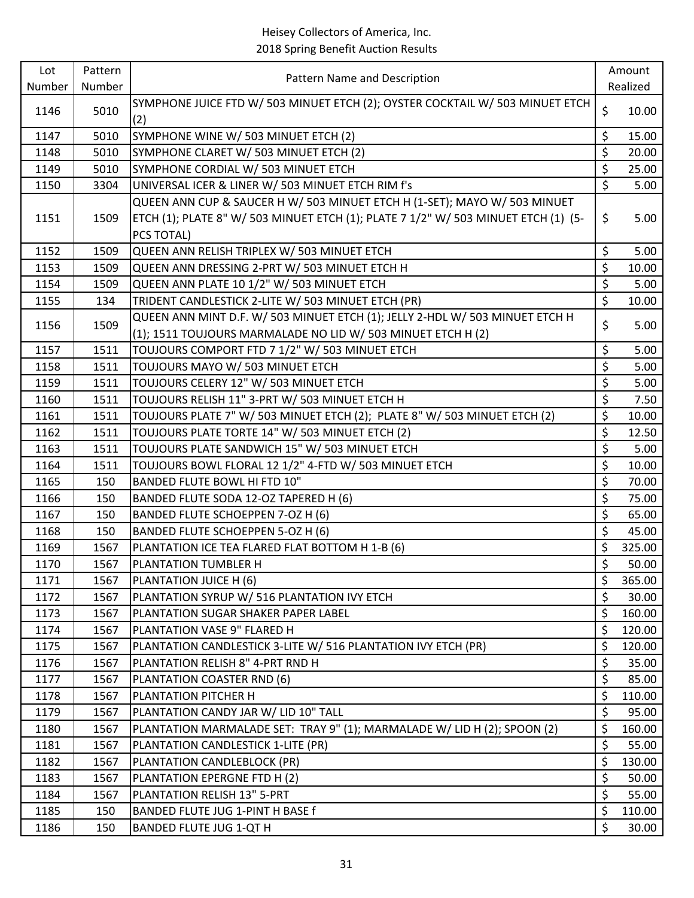| Lot          | Pattern      |                                                                                                                |                  | Amount          |
|--------------|--------------|----------------------------------------------------------------------------------------------------------------|------------------|-----------------|
| Number       | Number       | Pattern Name and Description                                                                                   |                  | Realized        |
| 1146         | 5010         | SYMPHONE JUICE FTD W/ 503 MINUET ETCH (2); OYSTER COCKTAIL W/ 503 MINUET ETCH<br>(2)                           | \$               | 10.00           |
| 1147         | 5010         | SYMPHONE WINE W/ 503 MINUET ETCH (2)                                                                           | \$               | 15.00           |
| 1148         | 5010         | SYMPHONE CLARET W/ 503 MINUET ETCH (2)                                                                         | \$               | 20.00           |
| 1149         | 5010         | SYMPHONE CORDIAL W/ 503 MINUET ETCH                                                                            | \$               | 25.00           |
| 1150         | 3304         | UNIVERSAL ICER & LINER W/ 503 MINUET ETCH RIM f's                                                              | $\overline{\xi}$ | 5.00            |
|              |              | QUEEN ANN CUP & SAUCER H W/ 503 MINUET ETCH H (1-SET); MAYO W/ 503 MINUET                                      |                  |                 |
| 1151         | 1509         | ETCH (1); PLATE 8" W/ 503 MINUET ETCH (1); PLATE 7 1/2" W/ 503 MINUET ETCH (1) (5-                             | \$               | 5.00            |
|              |              | PCS TOTAL)                                                                                                     |                  |                 |
| 1152         | 1509         | QUEEN ANN RELISH TRIPLEX W/ 503 MINUET ETCH                                                                    | \$               | 5.00            |
| 1153         | 1509         | QUEEN ANN DRESSING 2-PRT W/ 503 MINUET ETCH H                                                                  | \$               | 10.00           |
| 1154         | 1509         | QUEEN ANN PLATE 10 1/2" W/ 503 MINUET ETCH                                                                     | \$               | 5.00            |
| 1155         | 134          | TRIDENT CANDLESTICK 2-LITE W/ 503 MINUET ETCH (PR)                                                             | \$               | 10.00           |
| 1156         | 1509         | QUEEN ANN MINT D.F. W/ 503 MINUET ETCH (1); JELLY 2-HDL W/ 503 MINUET ETCH H                                   | \$               | 5.00            |
|              |              | (1); 1511 TOUJOURS MARMALADE NO LID W/ 503 MINUET ETCH H (2)                                                   |                  |                 |
| 1157         | 1511         | TOUJOURS COMPORT FTD 7 1/2" W/ 503 MINUET ETCH                                                                 | \$               | 5.00            |
| 1158         | 1511         | TOUJOURS MAYO W/ 503 MINUET ETCH                                                                               | \$               | 5.00            |
| 1159         | 1511         | TOUJOURS CELERY 12" W/ 503 MINUET ETCH                                                                         | \$               | 5.00            |
| 1160         | 1511         | TOUJOURS RELISH 11" 3-PRT W/ 503 MINUET ETCH H                                                                 | \$               | 7.50            |
| 1161         | 1511         | TOUJOURS PLATE 7" W/ 503 MINUET ETCH (2); PLATE 8" W/ 503 MINUET ETCH (2)                                      | \$               | 10.00           |
| 1162         | 1511         | TOUJOURS PLATE TORTE 14" W/ 503 MINUET ETCH (2)                                                                | \$               | 12.50           |
| 1163         | 1511         | TOUJOURS PLATE SANDWICH 15" W/ 503 MINUET ETCH                                                                 | \$               | 5.00            |
| 1164         | 1511         | TOUJOURS BOWL FLORAL 12 1/2" 4-FTD W/ 503 MINUET ETCH                                                          | \$               | 10.00           |
| 1165         | 150          | <b>BANDED FLUTE BOWL HI FTD 10"</b>                                                                            | \$               | 70.00           |
| 1166         | 150          | BANDED FLUTE SODA 12-OZ TAPERED H (6)                                                                          | $\overline{\xi}$ | 75.00           |
| 1167         | 150          | BANDED FLUTE SCHOEPPEN 7-OZ H (6)                                                                              | \$               | 65.00           |
| 1168         | 150          | BANDED FLUTE SCHOEPPEN 5-OZ H (6)                                                                              | $\overline{\xi}$ | 45.00           |
| 1169         | 1567         | PLANTATION ICE TEA FLARED FLAT BOTTOM H 1-B (6)                                                                | \$               | 325.00          |
| 1170         | 1567         | PLANTATION TUMBLER H                                                                                           | \$               | 50.00           |
| 1171         | 1567         | PLANTATION JUICE H (6)                                                                                         | \$               | 365.00          |
| 1172         | 1567         | PLANTATION SYRUP W/ 516 PLANTATION IVY ETCH                                                                    | \$               | 30.00           |
| 1173         | 1567         | PLANTATION SUGAR SHAKER PAPER LABEL                                                                            | \$               | 160.00          |
| 1174         | 1567         | PLANTATION VASE 9" FLARED H                                                                                    | \$               | 120.00          |
| 1175         | 1567         | PLANTATION CANDLESTICK 3-LITE W/ 516 PLANTATION IVY ETCH (PR)                                                  | \$               | 120.00          |
| 1176         | 1567         | PLANTATION RELISH 8" 4-PRT RND H                                                                               | \$               | 35.00           |
| 1177         | 1567         | PLANTATION COASTER RND (6)                                                                                     | \$<br>\$         | 85.00           |
| 1178         | 1567         | PLANTATION PITCHER H                                                                                           | $\zeta$          | 110.00<br>95.00 |
| 1179         | 1567         | PLANTATION CANDY JAR W/ LID 10" TALL                                                                           |                  |                 |
| 1180<br>1181 | 1567<br>1567 | PLANTATION MARMALADE SET: TRAY 9" (1); MARMALADE W/ LID H (2); SPOON (2)<br>PLANTATION CANDLESTICK 1-LITE (PR) | \$<br>\$         | 160.00<br>55.00 |
| 1182         | 1567         | PLANTATION CANDLEBLOCK (PR)                                                                                    | \$               | 130.00          |
| 1183         | 1567         | PLANTATION EPERGNE FTD H (2)                                                                                   | \$               | 50.00           |
| 1184         | 1567         | PLANTATION RELISH 13" 5-PRT                                                                                    | \$               | 55.00           |
| 1185         | 150          | BANDED FLUTE JUG 1-PINT H BASE f                                                                               | \$               | 110.00          |
| 1186         | 150          | <b>BANDED FLUTE JUG 1-QT H</b>                                                                                 | \$               | 30.00           |
|              |              |                                                                                                                |                  |                 |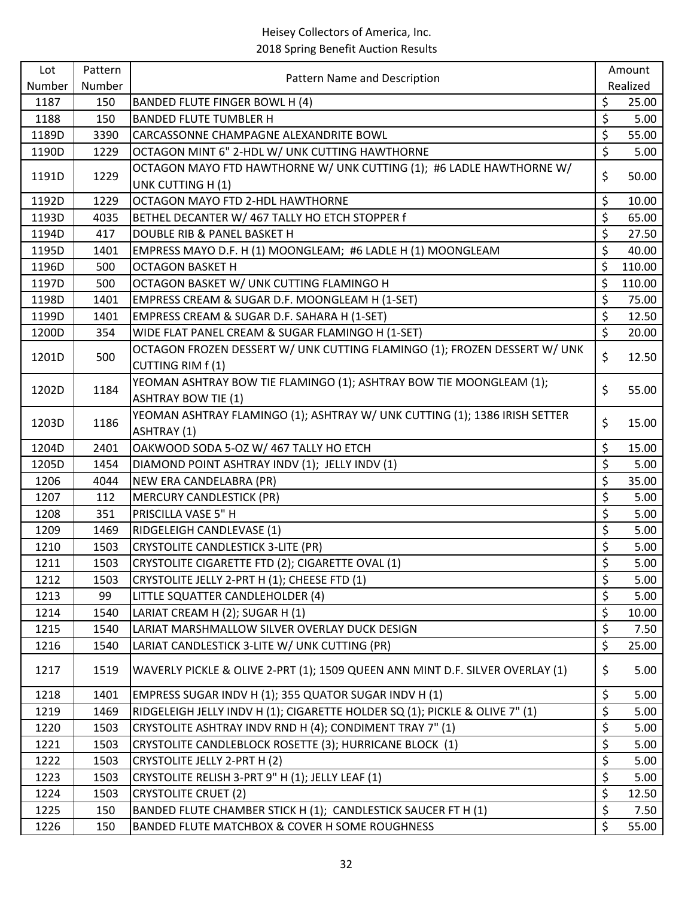| Lot    | Pattern | Pattern Name and Description                                                              |                          | Amount   |
|--------|---------|-------------------------------------------------------------------------------------------|--------------------------|----------|
| Number | Number  |                                                                                           |                          | Realized |
| 1187   | 150     | BANDED FLUTE FINGER BOWL H (4)                                                            | \$                       | 25.00    |
| 1188   | 150     | <b>BANDED FLUTE TUMBLER H</b>                                                             | \$                       | 5.00     |
| 1189D  | 3390    | CARCASSONNE CHAMPAGNE ALEXANDRITE BOWL                                                    | \$                       | 55.00    |
| 1190D  | 1229    | OCTAGON MINT 6" 2-HDL W/ UNK CUTTING HAWTHORNE                                            | \$                       | 5.00     |
| 1191D  | 1229    | OCTAGON MAYO FTD HAWTHORNE W/ UNK CUTTING (1); #6 LADLE HAWTHORNE W/<br>UNK CUTTING H (1) | \$                       | 50.00    |
| 1192D  | 1229    | OCTAGON MAYO FTD 2-HDL HAWTHORNE                                                          | \$                       | 10.00    |
| 1193D  | 4035    | BETHEL DECANTER W/ 467 TALLY HO ETCH STOPPER f                                            | \$                       | 65.00    |
| 1194D  | 417     | DOUBLE RIB & PANEL BASKET H                                                               | \$                       | 27.50    |
| 1195D  | 1401    | EMPRESS MAYO D.F. H (1) MOONGLEAM; #6 LADLE H (1) MOONGLEAM                               | \$                       | 40.00    |
| 1196D  | 500     | <b>OCTAGON BASKET H</b>                                                                   | \$                       | 110.00   |
| 1197D  | 500     | OCTAGON BASKET W/ UNK CUTTING FLAMINGO H                                                  | \$                       | 110.00   |
| 1198D  | 1401    | EMPRESS CREAM & SUGAR D.F. MOONGLEAM H (1-SET)                                            | \$                       | 75.00    |
| 1199D  | 1401    | EMPRESS CREAM & SUGAR D.F. SAHARA H (1-SET)                                               | \$                       | 12.50    |
| 1200D  | 354     | WIDE FLAT PANEL CREAM & SUGAR FLAMINGO H (1-SET)                                          | $\overline{\mathcal{S}}$ | 20.00    |
|        |         | OCTAGON FROZEN DESSERT W/ UNK CUTTING FLAMINGO (1); FROZEN DESSERT W/ UNK                 |                          |          |
| 1201D  | 500     | CUTTING RIM f(1)                                                                          | \$                       | 12.50    |
|        |         | YEOMAN ASHTRAY BOW TIE FLAMINGO (1); ASHTRAY BOW TIE MOONGLEAM (1);                       |                          |          |
| 1202D  | 1184    | <b>ASHTRAY BOW TIE (1)</b>                                                                | \$                       | 55.00    |
|        |         | YEOMAN ASHTRAY FLAMINGO (1); ASHTRAY W/ UNK CUTTING (1); 1386 IRISH SETTER                |                          |          |
| 1203D  | 1186    | ASHTRAY (1)                                                                               | \$                       | 15.00    |
| 1204D  | 2401    | OAKWOOD SODA 5-OZ W/ 467 TALLY HO ETCH                                                    | \$                       | 15.00    |
| 1205D  | 1454    | DIAMOND POINT ASHTRAY INDV (1); JELLY INDV (1)                                            | \$                       | 5.00     |
| 1206   | 4044    | NEW ERA CANDELABRA (PR)                                                                   | \$                       | 35.00    |
| 1207   | 112     | <b>MERCURY CANDLESTICK (PR)</b>                                                           | \$                       | 5.00     |
| 1208   | 351     | PRISCILLA VASE 5" H                                                                       | \$                       | 5.00     |
| 1209   | 1469    | RIDGELEIGH CANDLEVASE (1)                                                                 | \$                       | 5.00     |
| 1210   | 1503    | <b>CRYSTOLITE CANDLESTICK 3-LITE (PR)</b>                                                 | \$                       | 5.00     |
| 1211   | 1503    | CRYSTOLITE CIGARETTE FTD (2); CIGARETTE OVAL (1)                                          | \$                       | 5.00     |
| 1212   | 1503    | CRYSTOLITE JELLY 2-PRT H (1); CHEESE FTD (1)                                              | \$                       | 5.00     |
| 1213   | 99      | LITTLE SQUATTER CANDLEHOLDER (4)                                                          | \$                       | 5.00     |
| 1214   | 1540    | LARIAT CREAM H (2); SUGAR H (1)                                                           | \$                       | 10.00    |
| 1215   | 1540    | LARIAT MARSHMALLOW SILVER OVERLAY DUCK DESIGN                                             | \$                       | 7.50     |
| 1216   | 1540    | LARIAT CANDLESTICK 3-LITE W/ UNK CUTTING (PR)                                             | $\zeta$                  | 25.00    |
|        |         | WAVERLY PICKLE & OLIVE 2-PRT (1); 1509 QUEEN ANN MINT D.F. SILVER OVERLAY (1)             |                          |          |
| 1217   | 1519    |                                                                                           | \$                       | 5.00     |
| 1218   | 1401    | EMPRESS SUGAR INDV H (1); 355 QUATOR SUGAR INDV H (1)                                     | \$                       | 5.00     |
| 1219   | 1469    | RIDGELEIGH JELLY INDV H (1); CIGARETTE HOLDER SQ (1); PICKLE & OLIVE 7" (1)               | \$                       | 5.00     |
| 1220   | 1503    | CRYSTOLITE ASHTRAY INDV RND H (4); CONDIMENT TRAY 7" (1)                                  | $\overline{\xi}$         | 5.00     |
| 1221   | 1503    | CRYSTOLITE CANDLEBLOCK ROSETTE (3); HURRICANE BLOCK (1)                                   | \$                       | 5.00     |
| 1222   | 1503    | CRYSTOLITE JELLY 2-PRT H (2)                                                              | \$                       | 5.00     |
| 1223   | 1503    | CRYSTOLITE RELISH 3-PRT 9" H (1); JELLY LEAF (1)                                          | \$                       | 5.00     |
| 1224   | 1503    | <b>CRYSTOLITE CRUET (2)</b>                                                               | \$                       | 12.50    |
| 1225   | 150     | BANDED FLUTE CHAMBER STICK H (1); CANDLESTICK SAUCER FT H (1)                             | \$                       | 7.50     |
| 1226   | 150     | BANDED FLUTE MATCHBOX & COVER H SOME ROUGHNESS                                            | \$                       | 55.00    |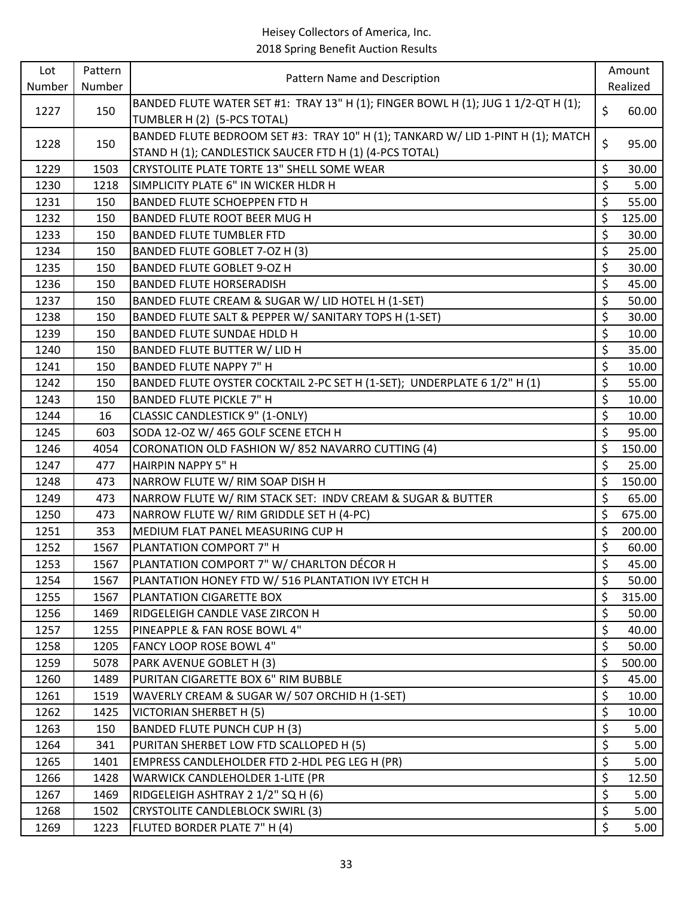| Lot          | Pattern    | Pattern Name and Description                                                      |               | Amount         |
|--------------|------------|-----------------------------------------------------------------------------------|---------------|----------------|
| Number       | Number     |                                                                                   |               | Realized       |
| 1227         | 150        | BANDED FLUTE WATER SET #1: TRAY 13" H (1); FINGER BOWL H (1); JUG 1 1/2-QT H (1); | \$            | 60.00          |
|              |            | TUMBLER H (2) (5-PCS TOTAL)                                                       |               |                |
| 1228         | 150        | BANDED FLUTE BEDROOM SET #3: TRAY 10" H (1); TANKARD W/ LID 1-PINT H (1); MATCH   | \$            | 95.00          |
|              |            | STAND H (1); CANDLESTICK SAUCER FTD H (1) (4-PCS TOTAL)                           |               |                |
| 1229         | 1503       | CRYSTOLITE PLATE TORTE 13" SHELL SOME WEAR                                        | \$            | 30.00          |
| 1230         | 1218       | SIMPLICITY PLATE 6" IN WICKER HLDR H                                              | \$            | 5.00           |
| 1231         | 150        | BANDED FLUTE SCHOEPPEN FTD H                                                      | \$            | 55.00          |
| 1232         | 150        | BANDED FLUTE ROOT BEER MUG H                                                      | \$            | 125.00         |
| 1233         | 150        | <b>BANDED FLUTE TUMBLER FTD</b>                                                   | $\zeta$<br>\$ | 30.00          |
| 1234<br>1235 | 150<br>150 | BANDED FLUTE GOBLET 7-OZ H (3)<br>BANDED FLUTE GOBLET 9-OZ H                      | \$            | 25.00<br>30.00 |
| 1236         | 150        | <b>BANDED FLUTE HORSERADISH</b>                                                   | \$            | 45.00          |
| 1237         | 150        | BANDED FLUTE CREAM & SUGAR W/ LID HOTEL H (1-SET)                                 | \$            | 50.00          |
| 1238         | 150        | BANDED FLUTE SALT & PEPPER W/ SANITARY TOPS H (1-SET)                             | \$            | 30.00          |
| 1239         | 150        | <b>BANDED FLUTE SUNDAE HDLD H</b>                                                 | \$            | 10.00          |
| 1240         | 150        | BANDED FLUTE BUTTER W/ LID H                                                      | \$            | 35.00          |
| 1241         | 150        | BANDED FLUTE NAPPY 7" H                                                           | \$            | 10.00          |
| 1242         | 150        | BANDED FLUTE OYSTER COCKTAIL 2-PC SET H (1-SET); UNDERPLATE 6 1/2" H (1)          | \$            | 55.00          |
| 1243         | 150        | <b>BANDED FLUTE PICKLE 7" H</b>                                                   | \$            | 10.00          |
| 1244         | 16         | <b>CLASSIC CANDLESTICK 9" (1-ONLY)</b>                                            | \$            | 10.00          |
| 1245         | 603        | SODA 12-OZ W/ 465 GOLF SCENE ETCH H                                               | \$            | 95.00          |
| 1246         | 4054       | CORONATION OLD FASHION W/852 NAVARRO CUTTING (4)                                  | \$            | 150.00         |
| 1247         | 477        | <b>HAIRPIN NAPPY 5" H</b>                                                         | \$            | 25.00          |
| 1248         | 473        | NARROW FLUTE W/ RIM SOAP DISH H                                                   | \$            | 150.00         |
| 1249         | 473        | NARROW FLUTE W/ RIM STACK SET: INDV CREAM & SUGAR & BUTTER                        | \$            | 65.00          |
| 1250         | 473        | NARROW FLUTE W/ RIM GRIDDLE SET H (4-PC)                                          | \$            | 675.00         |
| 1251         | 353        | MEDIUM FLAT PANEL MEASURING CUP H                                                 | \$            | 200.00         |
| 1252         | 1567       | PLANTATION COMPORT 7" H                                                           | \$            | 60.00          |
| 1253         | 1567       | PLANTATION COMPORT 7" W/ CHARLTON DÉCOR H                                         | \$            | 45.00          |
| 1254         | 1567       | PLANTATION HONEY FTD W/ 516 PLANTATION IVY ETCH H                                 | $\zeta$       | 50.00          |
| 1255         | 1567       | PLANTATION CIGARETTE BOX                                                          | \$            | 315.00         |
| 1256         | 1469       | RIDGELEIGH CANDLE VASE ZIRCON H                                                   | \$            | 50.00          |
| 1257         | 1255       | PINEAPPLE & FAN ROSE BOWL 4"                                                      | \$            | 40.00          |
| 1258         | 1205       | FANCY LOOP ROSE BOWL 4"                                                           | \$            | 50.00          |
| 1259         | 5078       | PARK AVENUE GOBLET H (3)                                                          | \$            | 500.00         |
| 1260         | 1489       | PURITAN CIGARETTE BOX 6" RIM BUBBLE                                               | \$            | 45.00          |
| 1261         | 1519       | WAVERLY CREAM & SUGAR W/ 507 ORCHID H (1-SET)                                     | \$            | 10.00          |
| 1262         | 1425       | VICTORIAN SHERBET H (5)                                                           | \$            | 10.00          |
| 1263         | 150        | BANDED FLUTE PUNCH CUP H (3)                                                      | \$            | 5.00           |
| 1264         | 341        | PURITAN SHERBET LOW FTD SCALLOPED H (5)                                           | \$            | 5.00           |
| 1265         | 1401       | EMPRESS CANDLEHOLDER FTD 2-HDL PEG LEG H (PR)                                     | \$            | 5.00           |
| 1266         | 1428       | <b>WARWICK CANDLEHOLDER 1-LITE (PR</b>                                            | \$            | 12.50          |
| 1267         | 1469       | RIDGELEIGH ASHTRAY 2 1/2" SQ H (6)                                                | \$            | 5.00           |
| 1268         | 1502       | <b>CRYSTOLITE CANDLEBLOCK SWIRL (3)</b>                                           | \$            | 5.00           |
| 1269         | 1223       | FLUTED BORDER PLATE 7" H (4)                                                      | \$            | 5.00           |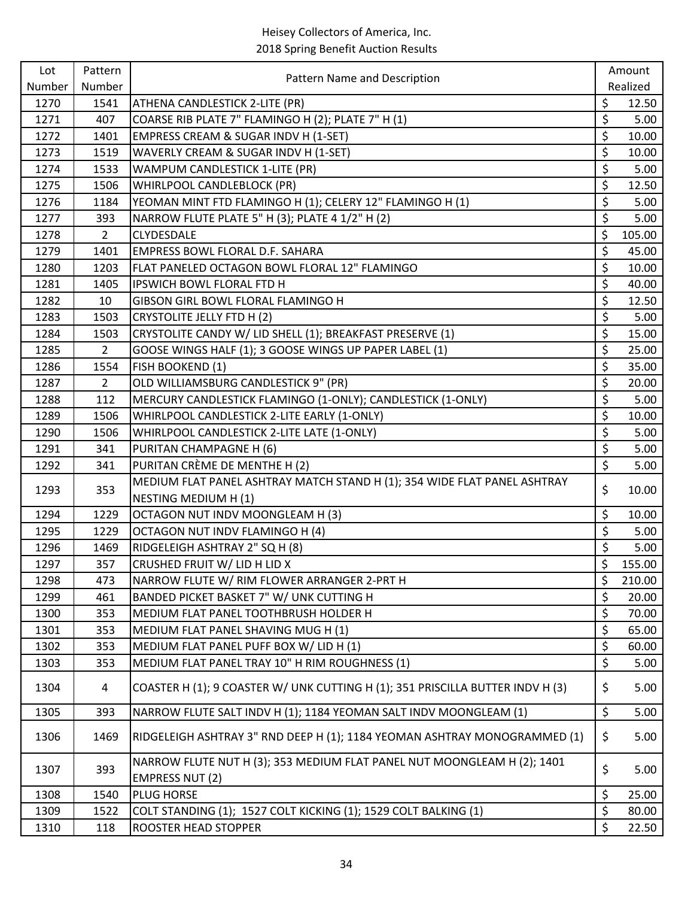| Lot    | Pattern        | Pattern Name and Description                                                                      |         | Amount   |
|--------|----------------|---------------------------------------------------------------------------------------------------|---------|----------|
| Number | Number         |                                                                                                   |         | Realized |
| 1270   | 1541           | ATHENA CANDLESTICK 2-LITE (PR)                                                                    | \$      | 12.50    |
| 1271   | 407            | COARSE RIB PLATE 7" FLAMINGO H (2); PLATE 7" H (1)                                                | \$      | 5.00     |
| 1272   | 1401           | EMPRESS CREAM & SUGAR INDV H (1-SET)                                                              | \$      | 10.00    |
| 1273   | 1519           | WAVERLY CREAM & SUGAR INDV H (1-SET)                                                              | \$      | 10.00    |
| 1274   | 1533           | WAMPUM CANDLESTICK 1-LITE (PR)                                                                    | \$      | 5.00     |
| 1275   | 1506           | WHIRLPOOL CANDLEBLOCK (PR)                                                                        | \$      | 12.50    |
| 1276   | 1184           | YEOMAN MINT FTD FLAMINGO H (1); CELERY 12" FLAMINGO H (1)                                         | \$      | 5.00     |
| 1277   | 393            | NARROW FLUTE PLATE 5" H (3); PLATE 4 1/2" H (2)                                                   | \$      | 5.00     |
| 1278   | $\overline{2}$ | CLYDESDALE                                                                                        | \$      | 105.00   |
| 1279   | 1401           | EMPRESS BOWL FLORAL D.F. SAHARA                                                                   | \$      | 45.00    |
| 1280   | 1203           | FLAT PANELED OCTAGON BOWL FLORAL 12" FLAMINGO                                                     | \$      | 10.00    |
| 1281   | 1405           | <b>IPSWICH BOWL FLORAL FTD H</b>                                                                  | \$      | 40.00    |
| 1282   | 10             | GIBSON GIRL BOWL FLORAL FLAMINGO H                                                                | \$      | 12.50    |
| 1283   | 1503           | CRYSTOLITE JELLY FTD H (2)                                                                        | \$      | 5.00     |
| 1284   | 1503           | CRYSTOLITE CANDY W/ LID SHELL (1); BREAKFAST PRESERVE (1)                                         | \$      | 15.00    |
| 1285   | $\overline{2}$ | GOOSE WINGS HALF (1); 3 GOOSE WINGS UP PAPER LABEL (1)                                            | \$      | 25.00    |
| 1286   | 1554           | FISH BOOKEND (1)                                                                                  | \$      | 35.00    |
| 1287   | $\overline{2}$ | OLD WILLIAMSBURG CANDLESTICK 9" (PR)                                                              | \$      | 20.00    |
| 1288   | 112            | MERCURY CANDLESTICK FLAMINGO (1-ONLY); CANDLESTICK (1-ONLY)                                       | \$      | 5.00     |
| 1289   | 1506           | WHIRLPOOL CANDLESTICK 2-LITE EARLY (1-ONLY)                                                       | \$      | 10.00    |
| 1290   | 1506           | WHIRLPOOL CANDLESTICK 2-LITE LATE (1-ONLY)                                                        | \$      | 5.00     |
| 1291   | 341            | PURITAN CHAMPAGNE H (6)                                                                           | \$      | 5.00     |
| 1292   | 341            | PURITAN CRÈME DE MENTHE H (2)                                                                     | \$      | 5.00     |
| 1293   | 353            | MEDIUM FLAT PANEL ASHTRAY MATCH STAND H (1); 354 WIDE FLAT PANEL ASHTRAY                          | \$      | 10.00    |
|        |                | NESTING MEDIUM H (1)                                                                              |         |          |
| 1294   | 1229           | OCTAGON NUT INDV MOONGLEAM H (3)                                                                  | \$      | 10.00    |
| 1295   | 1229           | OCTAGON NUT INDV FLAMINGO H (4)                                                                   | \$      | 5.00     |
| 1296   | 1469           | RIDGELEIGH ASHTRAY 2" SQ H (8)                                                                    | \$      | 5.00     |
| 1297   | 357            | CRUSHED FRUIT W/ LID H LID X                                                                      | \$      | 155.00   |
| 1298   | 473            | NARROW FLUTE W/ RIM FLOWER ARRANGER 2-PRT H                                                       | $\zeta$ | 210.00   |
| 1299   | 461            | BANDED PICKET BASKET 7" W/ UNK CUTTING H                                                          | \$      | 20.00    |
| 1300   | 353            | MEDIUM FLAT PANEL TOOTHBRUSH HOLDER H                                                             | \$      | 70.00    |
| 1301   | 353            | MEDIUM FLAT PANEL SHAVING MUG H (1)                                                               | \$      | 65.00    |
| 1302   | 353            | MEDIUM FLAT PANEL PUFF BOX W/ LID H (1)                                                           | \$      | 60.00    |
| 1303   | 353            | MEDIUM FLAT PANEL TRAY 10" H RIM ROUGHNESS (1)                                                    | \$      | 5.00     |
| 1304   | 4              | COASTER H (1); 9 COASTER W/ UNK CUTTING H (1); 351 PRISCILLA BUTTER INDV H (3)                    | \$      | 5.00     |
| 1305   | 393            | NARROW FLUTE SALT INDV H (1); 1184 YEOMAN SALT INDV MOONGLEAM (1)                                 | \$      | 5.00     |
| 1306   | 1469           | RIDGELEIGH ASHTRAY 3" RND DEEP H (1); 1184 YEOMAN ASHTRAY MONOGRAMMED (1)                         | \$      | 5.00     |
| 1307   | 393            | NARROW FLUTE NUT H (3); 353 MEDIUM FLAT PANEL NUT MOONGLEAM H (2); 1401<br><b>EMPRESS NUT (2)</b> | \$      | 5.00     |
| 1308   | 1540           | PLUG HORSE                                                                                        | \$      | 25.00    |
| 1309   | 1522           | COLT STANDING (1); 1527 COLT KICKING (1); 1529 COLT BALKING (1)                                   | \$      | 80.00    |
| 1310   | 118            | <b>ROOSTER HEAD STOPPER</b>                                                                       | $\zeta$ | 22.50    |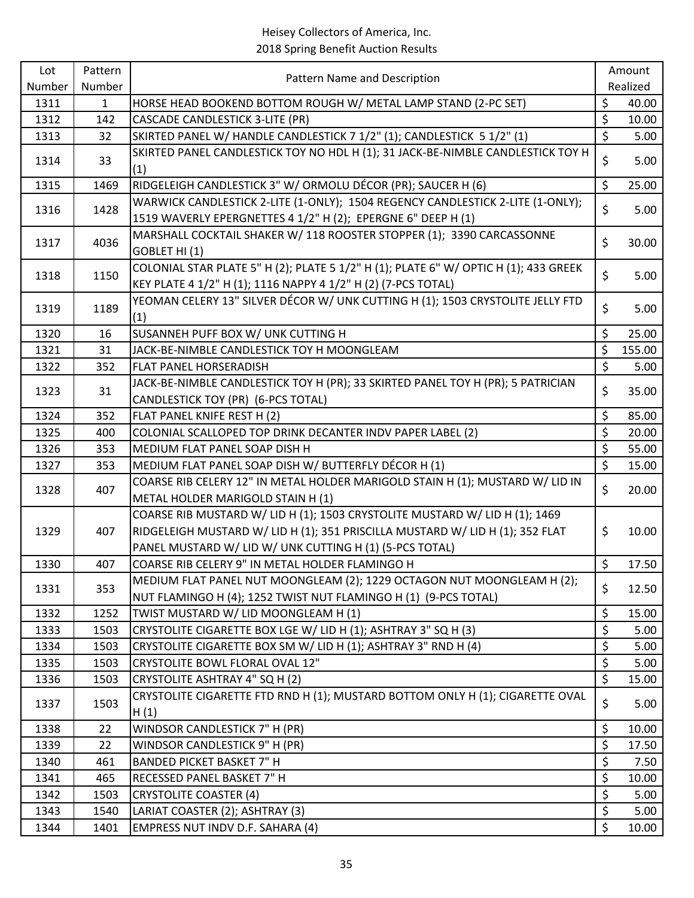| Lot    | Pattern | Pattern Name and Description                                                                                                                          |                  | Amount   |
|--------|---------|-------------------------------------------------------------------------------------------------------------------------------------------------------|------------------|----------|
| Number | Number  |                                                                                                                                                       |                  | Realized |
| 1311   | 1       | HORSE HEAD BOOKEND BOTTOM ROUGH W/ METAL LAMP STAND (2-PC SET)                                                                                        | \$               | 40.00    |
| 1312   | 142     | <b>CASCADE CANDLESTICK 3-LITE (PR)</b>                                                                                                                | \$               | 10.00    |
| 1313   | 32      | SKIRTED PANEL W/ HANDLE CANDLESTICK 7 1/2" (1); CANDLESTICK 5 1/2" (1)                                                                                | $\overline{\xi}$ | 5.00     |
| 1314   | 33      | SKIRTED PANEL CANDLESTICK TOY NO HDL H (1); 31 JACK-BE-NIMBLE CANDLESTICK TOY H<br>(1)                                                                | \$               | 5.00     |
| 1315   | 1469    | RIDGELEIGH CANDLESTICK 3" W/ ORMOLU DÉCOR (PR); SAUCER H (6)                                                                                          | \$               | 25.00    |
| 1316   | 1428    | WARWICK CANDLESTICK 2-LITE (1-ONLY); 1504 REGENCY CANDLESTICK 2-LITE (1-ONLY);<br>1519 WAVERLY EPERGNETTES 4 1/2" H (2); EPERGNE 6" DEEP H (1)        | \$               | 5.00     |
| 1317   | 4036    | MARSHALL COCKTAIL SHAKER W/ 118 ROOSTER STOPPER (1); 3390 CARCASSONNE<br>GOBLET HI(1)                                                                 | \$               | 30.00    |
| 1318   | 1150    | COLONIAL STAR PLATE 5" H (2); PLATE 5 1/2" H (1); PLATE 6" W/ OPTIC H (1); 433 GREEK<br>KEY PLATE 4 1/2" H (1); 1116 NAPPY 4 1/2" H (2) (7-PCS TOTAL) | \$               | 5.00     |
| 1319   | 1189    | YEOMAN CELERY 13" SILVER DÉCOR W/ UNK CUTTING H (1); 1503 CRYSTOLITE JELLY FTD<br>(1)                                                                 | \$               | 5.00     |
| 1320   | 16      | SUSANNEH PUFF BOX W/ UNK CUTTING H                                                                                                                    | \$               | 25.00    |
| 1321   | 31      | JACK-BE-NIMBLE CANDLESTICK TOY H MOONGLEAM                                                                                                            | \$               | 155.00   |
| 1322   | 352     | FLAT PANEL HORSERADISH                                                                                                                                | \$               | 5.00     |
|        |         | JACK-BE-NIMBLE CANDLESTICK TOY H (PR); 33 SKIRTED PANEL TOY H (PR); 5 PATRICIAN                                                                       |                  |          |
| 1323   | 31      | CANDLESTICK TOY (PR) (6-PCS TOTAL)                                                                                                                    | \$               | 35.00    |
| 1324   | 352     | FLAT PANEL KNIFE REST H (2)                                                                                                                           | \$               | 85.00    |
| 1325   | 400     | COLONIAL SCALLOPED TOP DRINK DECANTER INDV PAPER LABEL (2)                                                                                            | \$               | 20.00    |
| 1326   | 353     | MEDIUM FLAT PANEL SOAP DISH H                                                                                                                         | \$               | 55.00    |
| 1327   | 353     | MEDIUM FLAT PANEL SOAP DISH W/ BUTTERFLY DÉCOR H (1)                                                                                                  | $\zeta$          | 15.00    |
| 1328   | 407     | COARSE RIB CELERY 12" IN METAL HOLDER MARIGOLD STAIN H (1); MUSTARD W/ LID IN                                                                         | \$               | 20.00    |
|        |         | METAL HOLDER MARIGOLD STAIN H (1)                                                                                                                     |                  |          |
|        |         | COARSE RIB MUSTARD W/ LID H (1); 1503 CRYSTOLITE MUSTARD W/ LID H (1); 1469                                                                           |                  |          |
| 1329   | 407     | RIDGELEIGH MUSTARD W/ LID H (1); 351 PRISCILLA MUSTARD W/ LID H (1); 352 FLAT                                                                         | \$               | 10.00    |
|        |         | PANEL MUSTARD W/ LID W/ UNK CUTTING H (1) (5-PCS TOTAL)                                                                                               |                  |          |
| 1330   | 407     | COARSE RIB CELERY 9" IN METAL HOLDER FLAMINGO H                                                                                                       | $\mathsf{S}$     | 17.50    |
| 1331   | 353     | MEDIUM FLAT PANEL NUT MOONGLEAM (2); 1229 OCTAGON NUT MOONGLEAM H (2);<br>NUT FLAMINGO H (4); 1252 TWIST NUT FLAMINGO H (1) (9-PCS TOTAL)             | \$               | 12.50    |
| 1332   | 1252    | TWIST MUSTARD W/ LID MOONGLEAM H (1)                                                                                                                  | \$               | 15.00    |
| 1333   | 1503    | CRYSTOLITE CIGARETTE BOX LGE W/ LID H (1); ASHTRAY 3" SQ H (3)                                                                                        | \$               | 5.00     |
| 1334   | 1503    | CRYSTOLITE CIGARETTE BOX SM W/ LID H (1); ASHTRAY 3" RND H (4)                                                                                        | \$               | 5.00     |
| 1335   | 1503    | <b>CRYSTOLITE BOWL FLORAL OVAL 12"</b>                                                                                                                | \$               | 5.00     |
| 1336   | 1503    | CRYSTOLITE ASHTRAY 4" SQ H (2)                                                                                                                        | \$               | 15.00    |
| 1337   | 1503    | CRYSTOLITE CIGARETTE FTD RND H (1); MUSTARD BOTTOM ONLY H (1); CIGARETTE OVAL<br>H(1)                                                                 | \$               | 5.00     |
| 1338   | 22      | WINDSOR CANDLESTICK 7" H (PR)                                                                                                                         | \$               | 10.00    |
| 1339   | 22      | WINDSOR CANDLESTICK 9" H (PR)                                                                                                                         | \$               | 17.50    |
| 1340   | 461     | <b>BANDED PICKET BASKET 7" H</b>                                                                                                                      | \$               | 7.50     |
| 1341   | 465     | RECESSED PANEL BASKET 7" H                                                                                                                            | \$               | 10.00    |
| 1342   | 1503    | <b>CRYSTOLITE COASTER (4)</b>                                                                                                                         | \$               | 5.00     |
| 1343   | 1540    | LARIAT COASTER (2); ASHTRAY (3)                                                                                                                       | \$               | 5.00     |
| 1344   | 1401    | EMPRESS NUT INDV D.F. SAHARA (4)                                                                                                                      | \$               | 10.00    |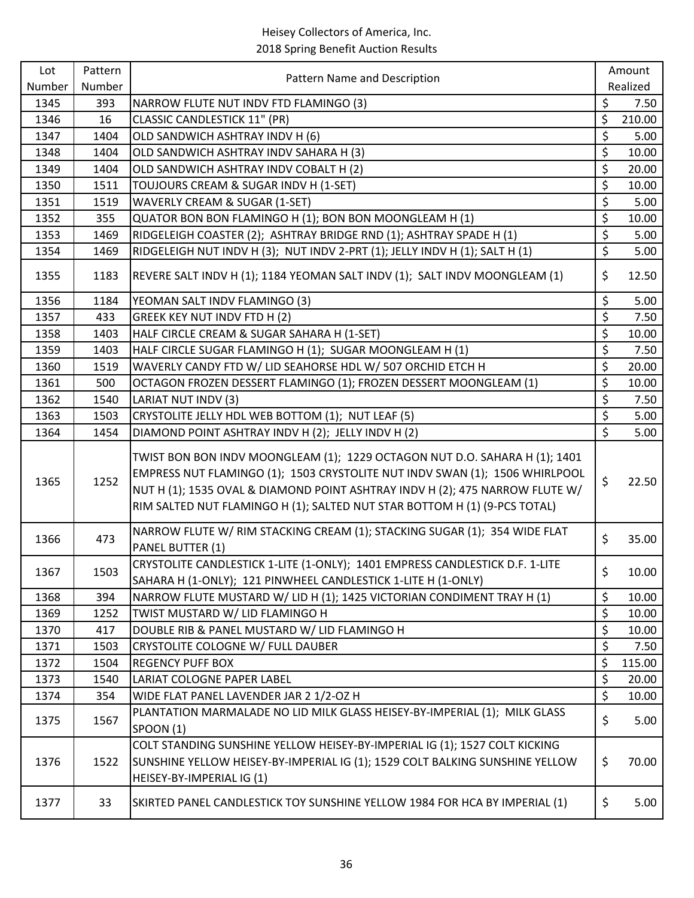| Lot    | Pattern |                                                                                                                                                                                                                                                                                                                        | Amount           |          |  |
|--------|---------|------------------------------------------------------------------------------------------------------------------------------------------------------------------------------------------------------------------------------------------------------------------------------------------------------------------------|------------------|----------|--|
| Number | Number  | Pattern Name and Description                                                                                                                                                                                                                                                                                           |                  | Realized |  |
| 1345   | 393     | NARROW FLUTE NUT INDV FTD FLAMINGO (3)                                                                                                                                                                                                                                                                                 | \$               | 7.50     |  |
| 1346   | 16      | <b>CLASSIC CANDLESTICK 11" (PR)</b>                                                                                                                                                                                                                                                                                    | \$               | 210.00   |  |
| 1347   | 1404    | OLD SANDWICH ASHTRAY INDV H (6)                                                                                                                                                                                                                                                                                        | \$               | 5.00     |  |
| 1348   | 1404    | OLD SANDWICH ASHTRAY INDV SAHARA H (3)                                                                                                                                                                                                                                                                                 | \$               | 10.00    |  |
| 1349   | 1404    | OLD SANDWICH ASHTRAY INDV COBALT H (2)                                                                                                                                                                                                                                                                                 | \$               | 20.00    |  |
| 1350   | 1511    | TOUJOURS CREAM & SUGAR INDV H (1-SET)                                                                                                                                                                                                                                                                                  | \$               | 10.00    |  |
| 1351   | 1519    | WAVERLY CREAM & SUGAR (1-SET)                                                                                                                                                                                                                                                                                          | \$               | 5.00     |  |
| 1352   | 355     | QUATOR BON BON FLAMINGO H (1); BON BON MOONGLEAM H (1)                                                                                                                                                                                                                                                                 | \$               | 10.00    |  |
| 1353   | 1469    | RIDGELEIGH COASTER (2); ASHTRAY BRIDGE RND (1); ASHTRAY SPADE H (1)                                                                                                                                                                                                                                                    | $\zeta$          | 5.00     |  |
| 1354   | 1469    | RIDGELEIGH NUT INDV H (3); NUT INDV 2-PRT (1); JELLY INDV H (1); SALT H (1)                                                                                                                                                                                                                                            | \$               | 5.00     |  |
| 1355   | 1183    | REVERE SALT INDV H (1); 1184 YEOMAN SALT INDV (1); SALT INDV MOONGLEAM (1)                                                                                                                                                                                                                                             | \$               | 12.50    |  |
| 1356   | 1184    | YEOMAN SALT INDV FLAMINGO (3)                                                                                                                                                                                                                                                                                          | \$               | 5.00     |  |
| 1357   | 433     | <b>GREEK KEY NUT INDV FTD H (2)</b>                                                                                                                                                                                                                                                                                    | \$               | 7.50     |  |
| 1358   | 1403    | HALF CIRCLE CREAM & SUGAR SAHARA H (1-SET)                                                                                                                                                                                                                                                                             | \$               | 10.00    |  |
| 1359   | 1403    | HALF CIRCLE SUGAR FLAMINGO H (1); SUGAR MOONGLEAM H (1)                                                                                                                                                                                                                                                                | \$               | 7.50     |  |
| 1360   | 1519    | WAVERLY CANDY FTD W/ LID SEAHORSE HDL W/ 507 ORCHID ETCH H                                                                                                                                                                                                                                                             | \$               | 20.00    |  |
| 1361   | 500     | OCTAGON FROZEN DESSERT FLAMINGO (1); FROZEN DESSERT MOONGLEAM (1)                                                                                                                                                                                                                                                      | \$               | 10.00    |  |
| 1362   | 1540    | LARIAT NUT INDV (3)                                                                                                                                                                                                                                                                                                    | \$               | 7.50     |  |
| 1363   | 1503    | CRYSTOLITE JELLY HDL WEB BOTTOM (1); NUT LEAF (5)                                                                                                                                                                                                                                                                      | $\overline{\xi}$ | 5.00     |  |
| 1364   | 1454    | DIAMOND POINT ASHTRAY INDV H (2); JELLY INDV H (2)                                                                                                                                                                                                                                                                     | $\zeta$          | 5.00     |  |
| 1365   | 1252    | TWIST BON BON INDV MOONGLEAM (1); 1229 OCTAGON NUT D.O. SAHARA H (1); 1401<br>EMPRESS NUT FLAMINGO (1); 1503 CRYSTOLITE NUT INDV SWAN (1); 1506 WHIRLPOOL<br>NUT H (1); 1535 OVAL & DIAMOND POINT ASHTRAY INDV H (2); 475 NARROW FLUTE W/<br>RIM SALTED NUT FLAMINGO H (1); SALTED NUT STAR BOTTOM H (1) (9-PCS TOTAL) | \$               | 22.50    |  |
| 1366   | 473     | NARROW FLUTE W/ RIM STACKING CREAM (1); STACKING SUGAR (1); 354 WIDE FLAT<br>PANEL BUTTER (1)                                                                                                                                                                                                                          | \$               | 35.00    |  |
| 1367   | 1503    | CRYSTOLITE CANDLESTICK 1-LITE (1-ONLY); 1401 EMPRESS CANDLESTICK D.F. 1-LITE<br>SAHARA H (1-ONLY); 121 PINWHEEL CANDLESTICK 1-LITE H (1-ONLY)                                                                                                                                                                          | \$               | 10.00    |  |
| 1368   | 394     | NARROW FLUTE MUSTARD W/ LID H (1); 1425 VICTORIAN CONDIMENT TRAY H (1)                                                                                                                                                                                                                                                 | \$               | 10.00    |  |
| 1369   | 1252    | TWIST MUSTARD W/ LID FLAMINGO H                                                                                                                                                                                                                                                                                        | \$               | 10.00    |  |
| 1370   | 417     | DOUBLE RIB & PANEL MUSTARD W/ LID FLAMINGO H                                                                                                                                                                                                                                                                           | \$               | 10.00    |  |
| 1371   | 1503    | CRYSTOLITE COLOGNE W/ FULL DAUBER                                                                                                                                                                                                                                                                                      | \$               | 7.50     |  |
| 1372   | 1504    | <b>REGENCY PUFF BOX</b>                                                                                                                                                                                                                                                                                                | \$               | 115.00   |  |
| 1373   | 1540    | LARIAT COLOGNE PAPER LABEL                                                                                                                                                                                                                                                                                             | \$               | 20.00    |  |
| 1374   | 354     | WIDE FLAT PANEL LAVENDER JAR 2 1/2-OZ H                                                                                                                                                                                                                                                                                | \$               | 10.00    |  |
| 1375   | 1567    | PLANTATION MARMALADE NO LID MILK GLASS HEISEY-BY-IMPERIAL (1); MILK GLASS<br>SPOON (1)                                                                                                                                                                                                                                 | \$               | 5.00     |  |
| 1376   | 1522    | COLT STANDING SUNSHINE YELLOW HEISEY-BY-IMPERIAL IG (1); 1527 COLT KICKING<br>SUNSHINE YELLOW HEISEY-BY-IMPERIAL IG (1); 1529 COLT BALKING SUNSHINE YELLOW<br>HEISEY-BY-IMPERIAL IG (1)                                                                                                                                | \$               | 70.00    |  |
| 1377   | 33      | SKIRTED PANEL CANDLESTICK TOY SUNSHINE YELLOW 1984 FOR HCA BY IMPERIAL (1)                                                                                                                                                                                                                                             | \$               | 5.00     |  |